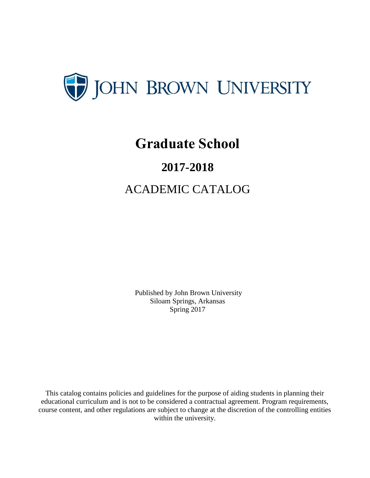

# **Graduate School**

# **2017-2018**

# ACADEMIC CATALOG

Published by John Brown University Siloam Springs, Arkansas Spring 2017

This catalog contains policies and guidelines for the purpose of aiding students in planning their educational curriculum and is not to be considered a contractual agreement. Program requirements, course content, and other regulations are subject to change at the discretion of the controlling entities within the university.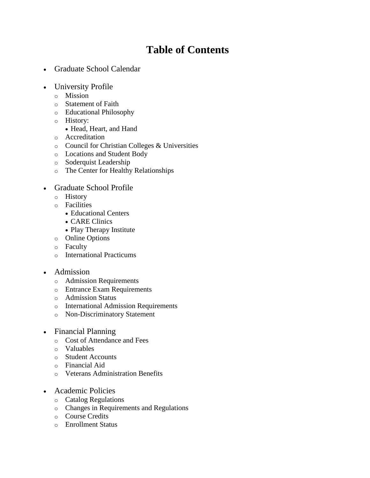# **Table of Contents**

- Graduate School Calendar
- University Profile
	- o Mission
	- o Statement of Faith
	- o Educational Philosophy
	- o History:
		- Head, Heart, and Hand
	- o Accreditation
	- o Council for Christian Colleges & Universities
	- o Locations and Student Body
	- o Soderquist Leadership
	- o The Center for Healthy Relationships

#### Graduate School Profile

- o History
- o Facilities
	- Educational Centers
	- CARE Clinics
	- Play Therapy Institute
- o Online Options
- o Faculty
- o International Practicums

#### • Admission

- o Admission Requirements
- o Entrance Exam Requirements
- o Admission Status
- o International Admission Requirements
- o Non-Discriminatory Statement
- Financial Planning
	- o Cost of Attendance and Fees
	- o Valuables
	- o Student Accounts
	- o Financial Aid
	- o Veterans Administration Benefits
- Academic Policies
	- o Catalog Regulations
	- o Changes in Requirements and Regulations
	- o Course Credits
	- o Enrollment Status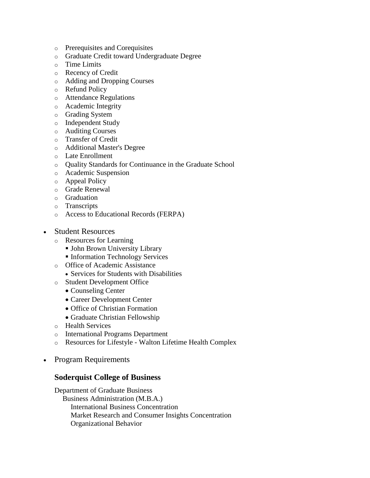- o Prerequisites and Corequisites
- o Graduate Credit toward Undergraduate Degree
- o Time Limits
- o Recency of Credit
- o Adding and Dropping Courses
- o Refund Policy
- o Attendance Regulations
- o Academic Integrity
- o Grading System
- o Independent Study
- o Auditing Courses
- o Transfer of Credit
- o Additional Master's Degree
- o Late Enrollment
- o Quality Standards for Continuance in the Graduate School
- o Academic Suspension
- o Appeal Policy
- o Grade Renewal
- o Graduation
- o Transcripts
- o Access to Educational Records (FERPA)
- Student Resources
	- o Resources for Learning
		- John Brown University Library
		- **Information Technology Services**
	- o Office of Academic Assistance
		- Services for Students with Disabilities
	- o Student Development Office
		- Counseling Center
		- Career Development Center
		- Office of Christian Formation
		- Graduate Christian Fellowship
	- o Health Services
	- o International Programs Department
	- o Resources for Lifestyle Walton Lifetime Health Complex
- Program Requirements

#### **Soderquist College of Business**

Department of Graduate Business Business Administration (M.B.A.) International Business Concentration Market Research and Consumer Insights Concentration Organizational Behavior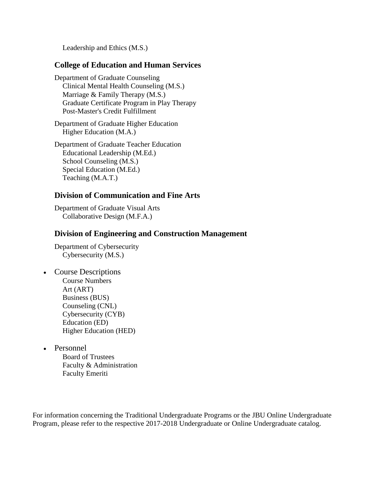Leadership and Ethics (M.S.)

#### **College of Education and Human Services**

Department of Graduate Counseling Clinical Mental Health Counseling (M.S.) Marriage & Family Therapy (M.S.) Graduate Certificate Program in Play Therapy Post-Master's Credit Fulfillment

Department of Graduate Higher Education Higher Education (M.A.)

Department of Graduate Teacher Education Educational Leadership (M.Ed.) School Counseling (M.S.) Special Education (M.Ed.) Teaching (M.A.T.)

#### **Division of Communication and Fine Arts**

Department of Graduate Visual Arts Collaborative Design (M.F.A.)

#### **Division of Engineering and Construction Management**

Department of Cybersecurity Cybersecurity (M.S.)

- Course Descriptions Course Numbers Art (ART) Business (BUS) Counseling (CNL) Cybersecurity (CYB) Education (ED) Higher Education (HED)
- Personnel

Board of Trustees Faculty & Administration Faculty Emeriti

For information concerning the Traditional Undergraduate Programs or the JBU Online Undergraduate Program, please refer to the respective 2017-2018 Undergraduate or Online Undergraduate catalog.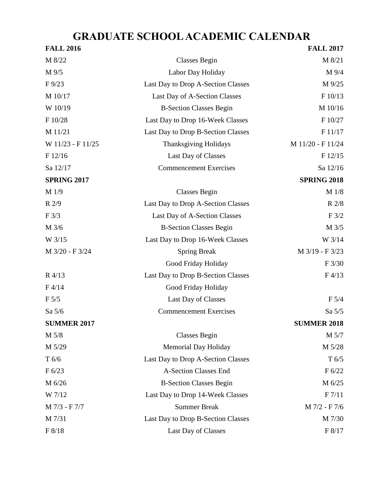# **GRADUATE SCHOOL ACADEMIC CALENDAR**

| <b>FALL 2016</b>   |                                    | <b>FALL 2017</b>   |
|--------------------|------------------------------------|--------------------|
| M 8/22             | <b>Classes Begin</b>               | M 8/21             |
| M 9/5              | Labor Day Holiday                  | M 9/4              |
| $F\frac{9}{23}$    | Last Day to Drop A-Section Classes | M 9/25             |
| M 10/17            | Last Day of A-Section Classes      | F 10/13            |
| W 10/19            | <b>B-Section Classes Begin</b>     | M 10/16            |
| F 10/28            | Last Day to Drop 16-Week Classes   |                    |
| M 11/21            | Last Day to Drop B-Section Classes | F 11/17            |
| W 11/23 - F 11/25  | <b>Thanksgiving Holidays</b>       | M 11/20 - F 11/24  |
| F 12/16            | F 12/15<br>Last Day of Classes     |                    |
| Sa 12/17           | <b>Commencement Exercises</b>      | Sa 12/16           |
| <b>SPRING 2017</b> |                                    | <b>SPRING 2018</b> |
| M 1/9              | <b>Classes Begin</b>               | M 1/8              |
| R 2/9              | Last Day to Drop A-Section Classes | R 2/8              |
| F3/3               | Last Day of A-Section Classes      | F3/2               |
| M 3/6              | <b>B-Section Classes Begin</b>     | M 3/5              |
| W 3/15             | Last Day to Drop 16-Week Classes   | W 3/14             |
| M 3/20 - F 3/24    | <b>Spring Break</b>                | M 3/19 - F 3/23    |
|                    | Good Friday Holiday                | F3/30              |
| R 4/13             | Last Day to Drop B-Section Classes | F4/13              |
| F4/14              | Good Friday Holiday                |                    |
| F 5/5              | Last Day of Classes                | F 5/4              |
| Sa 5/6             | <b>Commencement Exercises</b>      | Sa 5/5             |
| <b>SUMMER 2017</b> |                                    | <b>SUMMER 2018</b> |
| M 5/8              | <b>Classes Begin</b>               | M 5/7              |
| M 5/29             | <b>Memorial Day Holiday</b>        | M 5/28             |
| T 6/6              | Last Day to Drop A-Section Classes | T 6/5              |
| F 6/23             | <b>A-Section Classes End</b>       | F 6/22             |
| M 6/26             | <b>B-Section Classes Begin</b>     | M 6/25             |
| W 7/12             | Last Day to Drop 14-Week Classes   | F 7/11             |
| M 7/3 - F 7/7      | <b>Summer Break</b>                | M 7/2 - F 7/6      |
| M 7/31             | Last Day to Drop B-Section Classes | M 7/30             |
| F 8/18             | Last Day of Classes                | F 8/17             |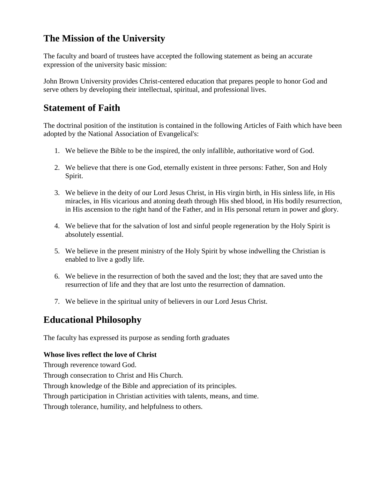# **The Mission of the University**

The faculty and board of trustees have accepted the following statement as being an accurate expression of the university basic mission:

John Brown University provides Christ-centered education that prepares people to honor God and serve others by developing their intellectual, spiritual, and professional lives.

# **Statement of Faith**

The doctrinal position of the institution is contained in the following Articles of Faith which have been adopted by the National Association of Evangelical's:

- 1. We believe the Bible to be the inspired, the only infallible, authoritative word of God.
- 2. We believe that there is one God, eternally existent in three persons: Father, Son and Holy Spirit.
- 3. We believe in the deity of our Lord Jesus Christ, in His virgin birth, in His sinless life, in His miracles, in His vicarious and atoning death through His shed blood, in His bodily resurrection, in His ascension to the right hand of the Father, and in His personal return in power and glory.
- 4. We believe that for the salvation of lost and sinful people regeneration by the Holy Spirit is absolutely essential.
- 5. We believe in the present ministry of the Holy Spirit by whose indwelling the Christian is enabled to live a godly life.
- 6. We believe in the resurrection of both the saved and the lost; they that are saved unto the resurrection of life and they that are lost unto the resurrection of damnation.
- 7. We believe in the spiritual unity of believers in our Lord Jesus Christ.

# **Educational Philosophy**

The faculty has expressed its purpose as sending forth graduates

#### **Whose lives reflect the love of Christ**

Through reverence toward God. Through consecration to Christ and His Church.

Through knowledge of the Bible and appreciation of its principles.

Through participation in Christian activities with talents, means, and time.

Through tolerance, humility, and helpfulness to others.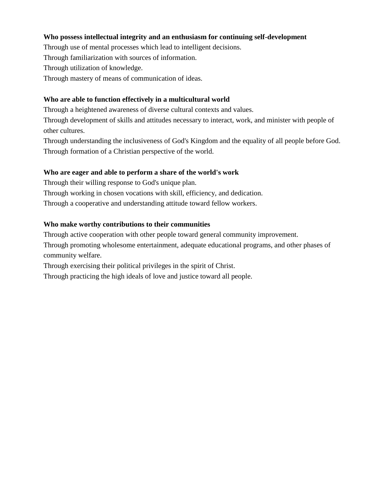#### **Who possess intellectual integrity and an enthusiasm for continuing self-development**

Through use of mental processes which lead to intelligent decisions.

Through familiarization with sources of information.

Through utilization of knowledge.

Through mastery of means of communication of ideas.

#### **Who are able to function effectively in a multicultural world**

Through a heightened awareness of diverse cultural contexts and values.

Through development of skills and attitudes necessary to interact, work, and minister with people of other cultures.

Through understanding the inclusiveness of God's Kingdom and the equality of all people before God. Through formation of a Christian perspective of the world.

#### **Who are eager and able to perform a share of the world's work**

Through their willing response to God's unique plan.

Through working in chosen vocations with skill, efficiency, and dedication.

Through a cooperative and understanding attitude toward fellow workers.

#### **Who make worthy contributions to their communities**

Through active cooperation with other people toward general community improvement.

Through promoting wholesome entertainment, adequate educational programs, and other phases of community welfare.

Through exercising their political privileges in the spirit of Christ.

Through practicing the high ideals of love and justice toward all people.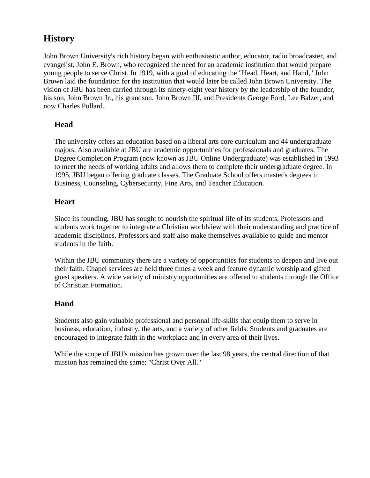# **History**

John Brown University's rich history began with enthusiastic author, educator, radio broadcaster, and evangelist, John E. Brown, who recognized the need for an academic institution that would prepare young people to serve Christ. In 1919, with a goal of educating the "Head, Heart, and Hand," John Brown laid the foundation for the institution that would later be called John Brown University. The vision of JBU has been carried through its ninety-eight year history by the leadership of the founder, his son, John Brown Jr., his grandson, John Brown III, and Presidents George Ford, Lee Balzer, and now Charles Pollard.

#### **Head**

The university offers an education based on a liberal arts core curriculum and 44 undergraduate majors. Also available at JBU are academic opportunities for professionals and graduates. The Degree Completion Program (now known as JBU Online Undergraduate) was established in 1993 to meet the needs of working adults and allows them to complete their undergraduate degree. In 1995, JBU began offering graduate classes. The Graduate School offers master's degrees in Business, Counseling, Cybersecurity, Fine Arts, and Teacher Education.

#### **Heart**

Since its founding, JBU has sought to nourish the spiritual life of its students. Professors and students work together to integrate a Christian worldview with their understanding and practice of academic disciplines. Professors and staff also make themselves available to guide and mentor students in the faith.

Within the JBU community there are a variety of opportunities for students to deepen and live out their faith. Chapel services are held three times a week and feature dynamic worship and gifted guest speakers. A wide variety of ministry opportunities are offered to students through the Office of Christian Formation.

#### **Hand**

Students also gain valuable professional and personal life-skills that equip them to serve in business, education, industry, the arts, and a variety of other fields. Students and graduates are encouraged to integrate faith in the workplace and in every area of their lives.

While the scope of JBU's mission has grown over the last 98 years, the central direction of that mission has remained the same: "Christ Over All."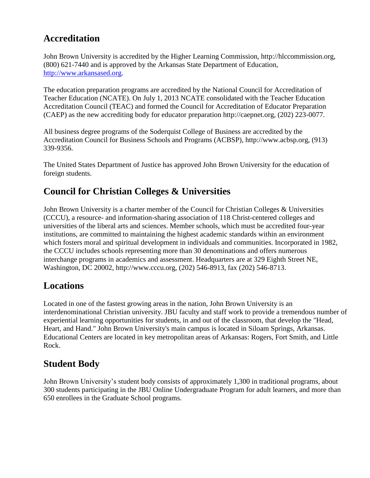# **Accreditation**

John Brown University is accredited by the Higher Learning Commission, http://hlccommission.org, (800) 621-7440 and is approved by the Arkansas State Department of Education, [http://www.arkansased.org.](http://www.arkansased.org/)

The education preparation programs are accredited by the National Council for Accreditation of Teacher Education (NCATE). On July 1, 2013 NCATE consolidated with the Teacher Education Accreditation Council (TEAC) and formed the Council for Accreditation of Educator Preparation (CAEP) as the new accrediting body for educator preparation http://caepnet.org, (202) 223-0077.

All business degree programs of the Soderquist College of Business are accredited by the Accreditation Council for Business Schools and Programs (ACBSP), http://www.acbsp.org, (913) 339-9356.

The United States Department of Justice has approved John Brown University for the education of foreign students.

# **Council for Christian Colleges & Universities**

John Brown University is a charter member of the Council for Christian Colleges & Universities (CCCU), a resource- and information-sharing association of 118 Christ-centered colleges and universities of the liberal arts and sciences. Member schools, which must be accredited four-year institutions, are committed to maintaining the highest academic standards within an environment which fosters moral and spiritual development in individuals and communities. Incorporated in 1982, the CCCU includes schools representing more than 30 denominations and offers numerous interchange programs in academics and assessment. Headquarters are at 329 Eighth Street NE, Washington, DC 20002, http://www.cccu.org, (202) 546-8913, fax (202) 546-8713.

# **Locations**

Located in one of the fastest growing areas in the nation, John Brown University is an interdenominational Christian university. JBU faculty and staff work to provide a tremendous number of experiential learning opportunities for students, in and out of the classroom, that develop the "Head, Heart, and Hand." John Brown University's main campus is located in Siloam Springs, Arkansas. Educational Centers are located in key metropolitan areas of Arkansas: Rogers, Fort Smith, and Little Rock.

# **Student Body**

John Brown University's student body consists of approximately 1,300 in traditional programs, about 300 students participating in the JBU Online Undergraduate Program for adult learners, and more than 650 enrollees in the Graduate School programs.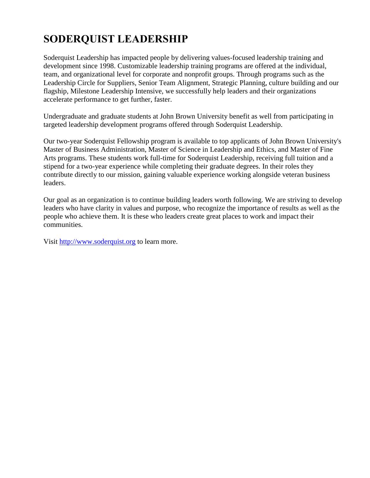# **SODERQUIST LEADERSHIP**

Soderquist Leadership has impacted people by delivering values-focused leadership training and development since 1998. Customizable leadership training programs are offered at the individual, team, and organizational level for corporate and nonprofit groups. Through programs such as the Leadership Circle for Suppliers, Senior Team Alignment, Strategic Planning, culture building and our flagship, Milestone Leadership Intensive, we successfully help leaders and their organizations accelerate performance to get further, faster.

Undergraduate and graduate students at John Brown University benefit as well from participating in targeted leadership development programs offered through Soderquist Leadership.

Our two-year Soderquist Fellowship program is available to top applicants of John Brown University's Master of Business Administration, Master of Science in Leadership and Ethics, and Master of Fine Arts programs. These students work full-time for Soderquist Leadership, receiving full tuition and a stipend for a two-year experience while completing their graduate degrees. In their roles they contribute directly to our mission, gaining valuable experience working alongside veteran business leaders.

Our goal as an organization is to continue building leaders worth following. We are striving to develop leaders who have clarity in values and purpose, who recognize the importance of results as well as the people who achieve them. It is these who leaders create great places to work and impact their communities.

Visit [http://www.soderquist.org](http://www.soderquist.org/#_blank) to learn more.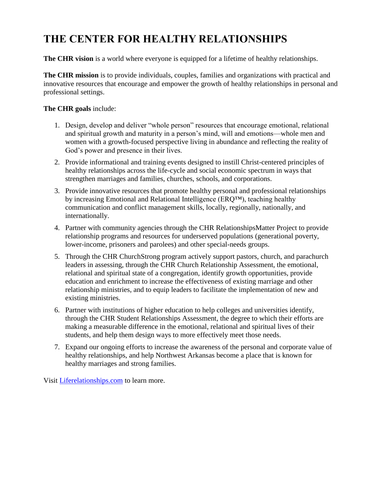# **THE CENTER FOR HEALTHY RELATIONSHIPS**

**The CHR vision** is a world where everyone is equipped for a lifetime of healthy relationships.

**The CHR mission** is to provide individuals, couples, families and organizations with practical and innovative resources that encourage and empower the growth of healthy relationships in personal and professional settings.

#### **The CHR goals** include:

- 1. Design, develop and deliver "whole person" resources that encourage emotional, relational and spiritual growth and maturity in a person's mind, will and emotions—whole men and women with a growth-focused perspective living in abundance and reflecting the reality of God's power and presence in their lives.
- 2. Provide informational and training events designed to instill Christ-centered principles of healthy relationships across the life-cycle and social economic spectrum in ways that strengthen marriages and families, churches, schools, and corporations.
- 3. Provide innovative resources that promote healthy personal and professional relationships by increasing Emotional and Relational Intelligence (ERQ™), teaching healthy communication and conflict management skills, locally, regionally, nationally, and internationally.
- 4. Partner with community agencies through the CHR RelationshipsMatter Project to provide relationship programs and resources for underserved populations (generational poverty, lower-income, prisoners and parolees) and other special-needs groups.
- 5. Through the CHR ChurchStrong program actively support pastors, church, and parachurch leaders in assessing, through the CHR Church Relationship Assessment, the emotional, relational and spiritual state of a congregation, identify growth opportunities, provide education and enrichment to increase the effectiveness of existing marriage and other relationship ministries, and to equip leaders to facilitate the implementation of new and existing ministries.
- 6. Partner with institutions of higher education to help colleges and universities identify, through the CHR Student Relationships Assessment, the degree to which their efforts are making a measurable difference in the emotional, relational and spiritual lives of their students, and help them design ways to more effectively meet those needs.
- 7. Expand our ongoing efforts to increase the awareness of the personal and corporate value of healthy relationships, and help Northwest Arkansas become a place that is known for healthy marriages and strong families.

Visit [Liferelationships.com](http://liferelationships.com/) to learn more.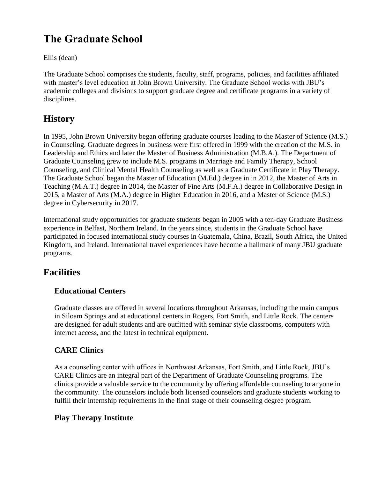# **The Graduate School**

Ellis (dean)

The Graduate School comprises the students, faculty, staff, programs, policies, and facilities affiliated with master's level education at John Brown University. The Graduate School works with JBU's academic colleges and divisions to support graduate degree and certificate programs in a variety of disciplines.

# **History**

In 1995, John Brown University began offering graduate courses leading to the Master of Science (M.S.) in Counseling. Graduate degrees in business were first offered in 1999 with the creation of the M.S. in Leadership and Ethics and later the Master of Business Administration (M.B.A.). The Department of Graduate Counseling grew to include M.S. programs in Marriage and Family Therapy, School Counseling, and Clinical Mental Health Counseling as well as a Graduate Certificate in Play Therapy. The Graduate School began the Master of Education (M.Ed.) degree in in 2012, the Master of Arts in Teaching (M.A.T.) degree in 2014, the Master of Fine Arts (M.F.A.) degree in Collaborative Design in 2015, a Master of Arts (M.A.) degree in Higher Education in 2016, and a Master of Science (M.S.) degree in Cybersecurity in 2017.

International study opportunities for graduate students began in 2005 with a ten-day Graduate Business experience in Belfast, Northern Ireland. In the years since, students in the Graduate School have participated in focused international study courses in Guatemala, China, Brazil, South Africa, the United Kingdom, and Ireland. International travel experiences have become a hallmark of many JBU graduate programs.

# **Facilities**

### **Educational Centers**

Graduate classes are offered in several locations throughout Arkansas, including the main campus in Siloam Springs and at educational centers in Rogers, Fort Smith, and Little Rock. The centers are designed for adult students and are outfitted with seminar style classrooms, computers with internet access, and the latest in technical equipment.

### **CARE Clinics**

As a counseling center with offices in Northwest Arkansas, Fort Smith, and Little Rock, JBU's CARE Clinics are an integral part of the Department of Graduate Counseling programs. The clinics provide a valuable service to the community by offering affordable counseling to anyone in the community. The counselors include both licensed counselors and graduate students working to fulfill their internship requirements in the final stage of their counseling degree program.

### **Play Therapy Institute**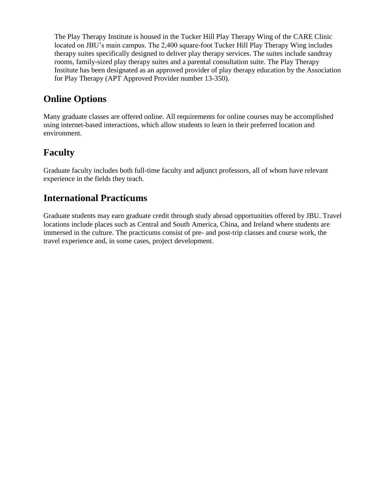The Play Therapy Institute is housed in the Tucker Hill Play Therapy Wing of the CARE Clinic located on JBU's main campus. The 2,400 square-foot Tucker Hill Play Therapy Wing includes therapy suites specifically designed to deliver play therapy services. The suites include sandtray rooms, family-sized play therapy suites and a parental consultation suite. The Play Therapy Institute has been designated as an approved provider of play therapy education by the Association for Play Therapy (APT Approved Provider number 13-350).

# **Online Options**

Many graduate classes are offered online. All requirements for online courses may be accomplished using internet-based interactions, which allow students to learn in their preferred location and environment.

# **Faculty**

Graduate faculty includes both full-time faculty and adjunct professors, all of whom have relevant experience in the fields they teach.

# **International Practicums**

Graduate students may earn graduate credit through study abroad opportunities offered by JBU. Travel locations include places such as Central and South America, China, and Ireland where students are immersed in the culture. The practicums consist of pre- and post-trip classes and course work, the travel experience and, in some cases, project development.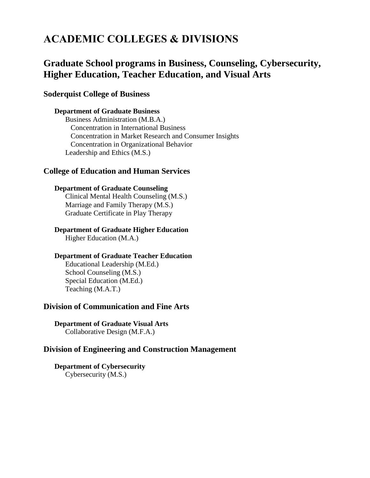# **ACADEMIC COLLEGES & DIVISIONS**

### **Graduate School programs in Business, Counseling, Cybersecurity, Higher Education, Teacher Education, and Visual Arts**

#### **Soderquist College of Business**

#### **Department of Graduate Business**

Business Administration (M.B.A.) Concentration in International Business Concentration in Market Research and Consumer Insights Concentration in Organizational Behavior Leadership and Ethics (M.S.)

#### **College of Education and Human Services**

#### **Department of Graduate Counseling** Clinical Mental Health Counseling (M.S.)

Marriage and Family Therapy (M.S.) Graduate Certificate in Play Therapy

# **Department of Graduate Higher Education**

Higher Education (M.A.)

#### **Department of Graduate Teacher Education**

Educational Leadership (M.Ed.) School Counseling (M.S.) Special Education (M.Ed.) Teaching (M.A.T.)

#### **Division of Communication and Fine Arts**

**Department of Graduate Visual Arts** Collaborative Design (M.F.A.)

#### **Division of Engineering and Construction Management**

**Department of Cybersecurity** Cybersecurity (M.S.)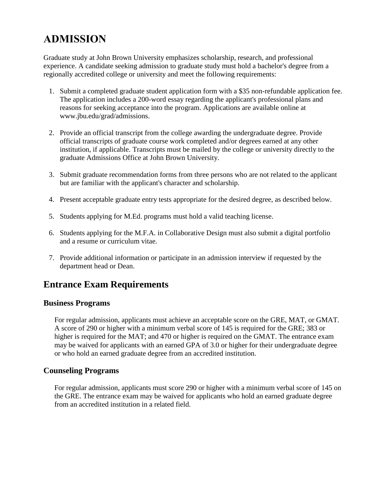# **ADMISSION**

Graduate study at John Brown University emphasizes scholarship, research, and professional experience. A candidate seeking admission to graduate study must hold a bachelor's degree from a regionally accredited college or university and meet the following requirements:

- 1. Submit a completed graduate student application form with a \$35 non-refundable application fee. The application includes a 200-word essay regarding the applicant's professional plans and reasons for seeking acceptance into the program. Applications are available online at www.jbu.edu/grad/admissions.
- 2. Provide an official transcript from the college awarding the undergraduate degree. Provide official transcripts of graduate course work completed and/or degrees earned at any other institution, if applicable. Transcripts must be mailed by the college or university directly to the graduate Admissions Office at John Brown University.
- 3. Submit graduate recommendation forms from three persons who are not related to the applicant but are familiar with the applicant's character and scholarship.
- 4. Present acceptable graduate entry tests appropriate for the desired degree, as described below.
- 5. Students applying for M.Ed. programs must hold a valid teaching license.
- 6. Students applying for the M.F.A. in Collaborative Design must also submit a digital portfolio and a resume or curriculum vitae.
- 7. Provide additional information or participate in an admission interview if requested by the department head or Dean.

# **Entrance Exam Requirements**

#### **Business Programs**

For regular admission, applicants must achieve an acceptable score on the GRE, MAT, or GMAT. A score of 290 or higher with a minimum verbal score of 145 is required for the GRE; 383 or higher is required for the MAT; and 470 or higher is required on the GMAT. The entrance exam may be waived for applicants with an earned GPA of 3.0 or higher for their undergraduate degree or who hold an earned graduate degree from an accredited institution.

#### **Counseling Programs**

For regular admission, applicants must score 290 or higher with a minimum verbal score of 145 on the GRE. The entrance exam may be waived for applicants who hold an earned graduate degree from an accredited institution in a related field.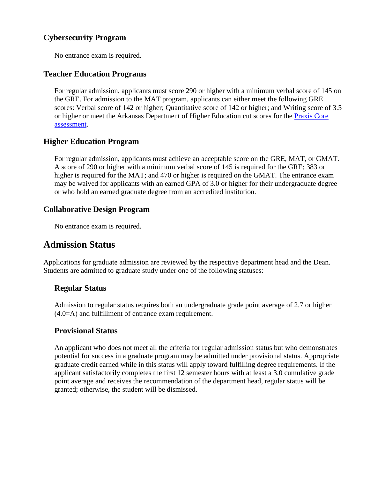### **Cybersecurity Program**

No entrance exam is required.

#### **Teacher Education Programs**

For regular admission, applicants must score 290 or higher with a minimum verbal score of 145 on the GRE. For admission to the MAT program, applicants can either meet the following GRE scores: Verbal score of 142 or higher; Quantitative score of 142 or higher; and Writing score of 3.5 or higher or meet the Arkansas Department of Higher Education cut scores for the Praxis Core [assessment.](https://www.ets.org/praxis/ar/requirements)

#### **Higher Education Program**

For regular admission, applicants must achieve an acceptable score on the GRE, MAT, or GMAT. A score of 290 or higher with a minimum verbal score of 145 is required for the GRE; 383 or higher is required for the MAT; and 470 or higher is required on the GMAT. The entrance exam may be waived for applicants with an earned GPA of 3.0 or higher for their undergraduate degree or who hold an earned graduate degree from an accredited institution.

#### **Collaborative Design Program**

No entrance exam is required.

### **Admission Status**

Applications for graduate admission are reviewed by the respective department head and the Dean. Students are admitted to graduate study under one of the following statuses:

#### **Regular Status**

Admission to regular status requires both an undergraduate grade point average of 2.7 or higher (4.0=A) and fulfillment of entrance exam requirement.

#### **Provisional Status**

An applicant who does not meet all the criteria for regular admission status but who demonstrates potential for success in a graduate program may be admitted under provisional status. Appropriate graduate credit earned while in this status will apply toward fulfilling degree requirements. If the applicant satisfactorily completes the first 12 semester hours with at least a 3.0 cumulative grade point average and receives the recommendation of the department head, regular status will be granted; otherwise, the student will be dismissed.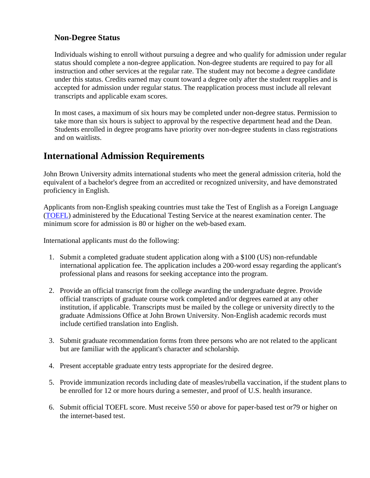#### **Non-Degree Status**

Individuals wishing to enroll without pursuing a degree and who qualify for admission under regular status should complete a non-degree application. Non-degree students are required to pay for all instruction and other services at the regular rate. The student may not become a degree candidate under this status. Credits earned may count toward a degree only after the student reapplies and is accepted for admission under regular status. The reapplication process must include all relevant transcripts and applicable exam scores.

In most cases, a maximum of six hours may be completed under non-degree status. Permission to take more than six hours is subject to approval by the respective department head and the Dean. Students enrolled in degree programs have priority over non-degree students in class registrations and on waitlists.

### **International Admission Requirements**

John Brown University admits international students who meet the general admission criteria, hold the equivalent of a bachelor's degree from an accredited or recognized university, and have demonstrated proficiency in English.

Applicants from non-English speaking countries must take the Test of English as a Foreign Language [\(TOEFL\)](http://www.ets.org/toefl) administered by the Educational Testing Service at the nearest examination center. The minimum score for admission is 80 or higher on the web-based exam.

International applicants must do the following:

- 1. Submit a completed graduate student application along with a \$100 (US) non-refundable international application fee. The application includes a 200-word essay regarding the applicant's professional plans and reasons for seeking acceptance into the program.
- 2. Provide an official transcript from the college awarding the undergraduate degree. Provide official transcripts of graduate course work completed and/or degrees earned at any other institution, if applicable. Transcripts must be mailed by the college or university directly to the graduate Admissions Office at John Brown University. Non-English academic records must include certified translation into English.
- 3. Submit graduate recommendation forms from three persons who are not related to the applicant but are familiar with the applicant's character and scholarship.
- 4. Present acceptable graduate entry tests appropriate for the desired degree.
- 5. Provide immunization records including date of measles/rubella vaccination, if the student plans to be enrolled for 12 or more hours during a semester, and proof of U.S. health insurance.
- 6. Submit official TOEFL score. Must receive 550 or above for paper-based test or79 or higher on the internet-based test.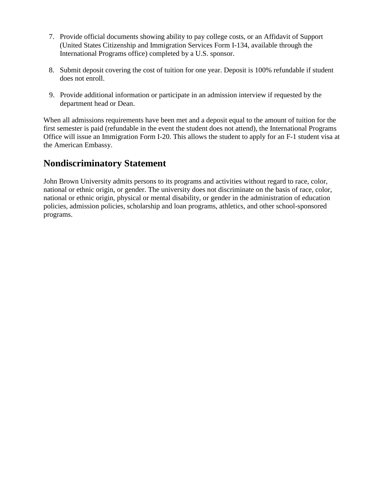- 7. Provide official documents showing ability to pay college costs, or an Affidavit of Support (United States Citizenship and Immigration Services Form I-134, available through the International Programs office) completed by a U.S. sponsor.
- 8. Submit deposit covering the cost of tuition for one year. Deposit is 100% refundable if student does not enroll.
- 9. Provide additional information or participate in an admission interview if requested by the department head or Dean.

When all admissions requirements have been met and a deposit equal to the amount of tuition for the first semester is paid (refundable in the event the student does not attend), the International Programs Office will issue an Immigration Form I-20. This allows the student to apply for an F-1 student visa at the American Embassy.

# **Nondiscriminatory Statement**

John Brown University admits persons to its programs and activities without regard to race, color, national or ethnic origin, or gender. The university does not discriminate on the basis of race, color, national or ethnic origin, physical or mental disability, or gender in the administration of education policies, admission policies, scholarship and loan programs, athletics, and other school-sponsored programs.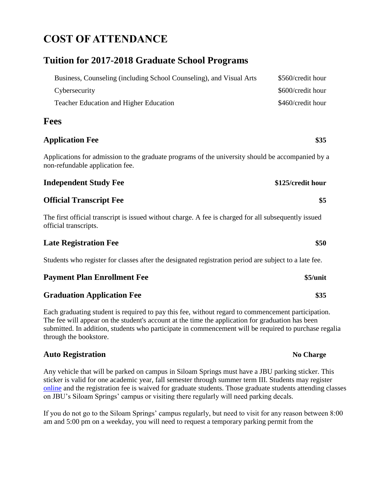# **COST OF ATTENDANCE**

### **Tuition for 2017-2018 Graduate School Programs**

| Business, Counseling (including School Counseling), and Visual Arts | \$560/credit hour |
|---------------------------------------------------------------------|-------------------|
| Cybersecurity                                                       | \$600/credit hour |
| <b>Teacher Education and Higher Education</b>                       | \$460/credit hour |

#### **Fees**

#### **Application Fee \$35**

Applications for admission to the graduate programs of the university should be accompanied by a non-refundable application fee.

| <b>Independent Study Fee</b> | \$125/credit hour |
|------------------------------|-------------------|
|------------------------------|-------------------|

#### **Official Transcript Fee \$5**

The first official transcript is issued without charge. A fee is charged for all subsequently issued official transcripts.

#### **Late Registration Fee \$50**

Students who register for classes after the designated registration period are subject to a late fee.

#### **Payment Plan Enrollment Fee \$5/unit**

#### **Graduation Application Fee \$35**

Each graduating student is required to pay this fee, without regard to commencement participation. The fee will appear on the student's account at the time the application for graduation has been submitted. In addition, students who participate in commencement will be required to purchase regalia through the bookstore.

#### **Auto Registration No Charge**

Any vehicle that will be parked on campus in Siloam Springs must have a JBU parking sticker. This sticker is valid for one academic year, fall semester through summer term III. Students may register [online](https://cms.jbu.edu/campus_safety/parking_traffic/registration_of_vehicles/) and the registration fee is waived for graduate students. Those graduate students attending classes on JBU's Siloam Springs' campus or visiting there regularly will need parking decals.

If you do not go to the Siloam Springs' campus regularly, but need to visit for any reason between 8:00 am and 5:00 pm on a weekday, you will need to request a temporary parking permit from the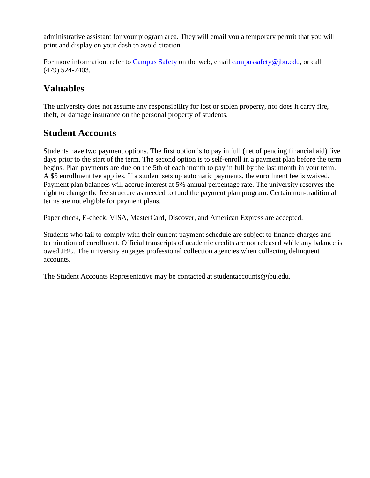administrative assistant for your program area. They will email you a temporary permit that you will print and display on your dash to avoid citation.

For more information, refer to [Campus Safety](https://cms.jbu.edu/campus_safety/) on the web, email [campussafety@jbu.edu,](mailto:campussafety@jbu.edu) or call (479) 524-7403.

# **Valuables**

The university does not assume any responsibility for lost or stolen property, nor does it carry fire, theft, or damage insurance on the personal property of students.

### **Student Accounts**

Students have two payment options. The first option is to pay in full (net of pending financial aid) five days prior to the start of the term. The second option is to self-enroll in a payment plan before the term begins. Plan payments are due on the 5th of each month to pay in full by the last month in your term. A \$5 enrollment fee applies. If a student sets up automatic payments, the enrollment fee is waived. Payment plan balances will accrue interest at 5% annual percentage rate. The university reserves the right to change the fee structure as needed to fund the payment plan program. Certain non-traditional terms are not eligible for payment plans.

Paper check, E-check, VISA, MasterCard, Discover, and American Express are accepted.

Students who fail to comply with their current payment schedule are subject to finance charges and termination of enrollment. Official transcripts of academic credits are not released while any balance is owed JBU. The university engages professional collection agencies when collecting delinquent accounts.

The Student Accounts Representative may be contacted at studentaccounts@jbu.edu.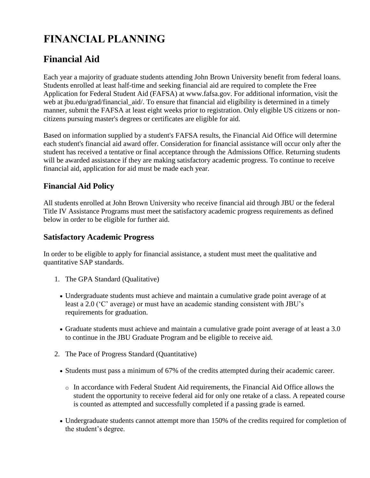# **FINANCIAL PLANNING**

# **Financial Aid**

Each year a majority of graduate students attending John Brown University benefit from federal loans. Students enrolled at least half-time and seeking financial aid are required to complete the Free Application for Federal Student Aid (FAFSA) at www.fafsa.gov. For additional information, visit the web at jbu.edu/grad/financial\_aid/. To ensure that financial aid eligibility is determined in a timely manner, submit the FAFSA at least eight weeks prior to registration. Only eligible US citizens or noncitizens pursuing master's degrees or certificates are eligible for aid.

Based on information supplied by a student's FAFSA results, the Financial Aid Office will determine each student's financial aid award offer. Consideration for financial assistance will occur only after the student has received a tentative or final acceptance through the Admissions Office. Returning students will be awarded assistance if they are making satisfactory academic progress. To continue to receive financial aid, application for aid must be made each year.

#### **Financial Aid Policy**

All students enrolled at John Brown University who receive financial aid through JBU or the federal Title IV Assistance Programs must meet the satisfactory academic progress requirements as defined below in order to be eligible for further aid.

#### **Satisfactory Academic Progress**

In order to be eligible to apply for financial assistance, a student must meet the qualitative and quantitative SAP standards.

- 1. The GPA Standard (Qualitative)
	- Undergraduate students must achieve and maintain a cumulative grade point average of at least a 2.0 ('C' average) or must have an academic standing consistent with JBU's requirements for graduation.
	- Graduate students must achieve and maintain a cumulative grade point average of at least a 3.0 to continue in the JBU Graduate Program and be eligible to receive aid.
- 2. The Pace of Progress Standard (Quantitative)
	- Students must pass a minimum of 67% of the credits attempted during their academic career.
		- o In accordance with Federal Student Aid requirements, the Financial Aid Office allows the student the opportunity to receive federal aid for only one retake of a class. A repeated course is counted as attempted and successfully completed if a passing grade is earned.
	- Undergraduate students cannot attempt more than 150% of the credits required for completion of the student's degree.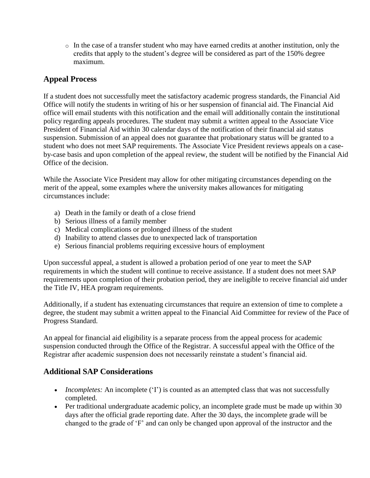$\circ$  In the case of a transfer student who may have earned credits at another institution, only the credits that apply to the student's degree will be considered as part of the 150% degree maximum.

#### **Appeal Process**

If a student does not successfully meet the satisfactory academic progress standards, the Financial Aid Office will notify the students in writing of his or her suspension of financial aid. The Financial Aid office will email students with this notification and the email will additionally contain the institutional policy regarding appeals procedures. The student may submit a written appeal to the Associate Vice President of Financial Aid within 30 calendar days of the notification of their financial aid status suspension. Submission of an appeal does not guarantee that probationary status will be granted to a student who does not meet SAP requirements. The Associate Vice President reviews appeals on a caseby-case basis and upon completion of the appeal review, the student will be notified by the Financial Aid Office of the decision.

While the Associate Vice President may allow for other mitigating circumstances depending on the merit of the appeal, some examples where the university makes allowances for mitigating circumstances include:

- a) Death in the family or death of a close friend
- b) Serious illness of a family member
- c) Medical complications or prolonged illness of the student
- d) Inability to attend classes due to unexpected lack of transportation
- e) Serious financial problems requiring excessive hours of employment

Upon successful appeal, a student is allowed a probation period of one year to meet the SAP requirements in which the student will continue to receive assistance. If a student does not meet SAP requirements upon completion of their probation period, they are ineligible to receive financial aid under the Title IV, HEA program requirements.

Additionally, if a student has extenuating circumstances that require an extension of time to complete a degree, the student may submit a written appeal to the Financial Aid Committee for review of the Pace of Progress Standard.

An appeal for financial aid eligibility is a separate process from the appeal process for academic suspension conducted through the Office of the Registrar. A successful appeal with the Office of the Registrar after academic suspension does not necessarily reinstate a student's financial aid.

#### **Additional SAP Considerations**

- *Incompletes:* An incomplete ('I') is counted as an attempted class that was not successfully completed.
- Per traditional undergraduate academic policy, an incomplete grade must be made up within 30 days after the official grade reporting date. After the 30 days, the incomplete grade will be changed to the grade of 'F' and can only be changed upon approval of the instructor and the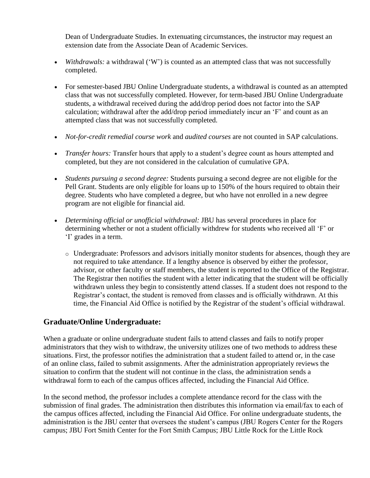Dean of Undergraduate Studies. In extenuating circumstances, the instructor may request an extension date from the Associate Dean of Academic Services.

- *Withdrawals:* a withdrawal ('W') is counted as an attempted class that was not successfully completed.
- For semester-based JBU Online Undergraduate students, a withdrawal is counted as an attempted class that was not successfully completed. However, for term-based JBU Online Undergraduate students, a withdrawal received during the add/drop period does not factor into the SAP calculation; withdrawal after the add/drop period immediately incur an 'F' and count as an attempted class that was not successfully completed.
- *Not-for-credit remedial course work* and *audited courses* are not counted in SAP calculations.
- *Transfer hours:* Transfer hours that apply to a student's degree count as hours attempted and completed, but they are not considered in the calculation of cumulative GPA.
- *Students pursuing a second degree:* Students pursuing a second degree are not eligible for the Pell Grant. Students are only eligible for loans up to 150% of the hours required to obtain their degree. Students who have completed a degree, but who have not enrolled in a new degree program are not eligible for financial aid.
- *Determining official or unofficial withdrawal:* JBU has several procedures in place for determining whether or not a student officially withdrew for students who received all 'F' or 'I' grades in a term.
	- o Undergraduate: Professors and advisors initially monitor students for absences, though they are not required to take attendance. If a lengthy absence is observed by either the professor, advisor, or other faculty or staff members, the student is reported to the Office of the Registrar. The Registrar then notifies the student with a letter indicating that the student will be officially withdrawn unless they begin to consistently attend classes. If a student does not respond to the Registrar's contact, the student is removed from classes and is officially withdrawn. At this time, the Financial Aid Office is notified by the Registrar of the student's official withdrawal.

#### **Graduate/Online Undergraduate:**

When a graduate or online undergraduate student fails to attend classes and fails to notify proper administrators that they wish to withdraw, the university utilizes one of two methods to address these situations. First, the professor notifies the administration that a student failed to attend or, in the case of an online class, failed to submit assignments. After the administration appropriately reviews the situation to confirm that the student will not continue in the class, the administration sends a withdrawal form to each of the campus offices affected, including the Financial Aid Office.

In the second method, the professor includes a complete attendance record for the class with the submission of final grades. The administration then distributes this information via email/fax to each of the campus offices affected, including the Financial Aid Office. For online undergraduate students, the administration is the JBU center that oversees the student's campus (JBU Rogers Center for the Rogers campus; JBU Fort Smith Center for the Fort Smith Campus; JBU Little Rock for the Little Rock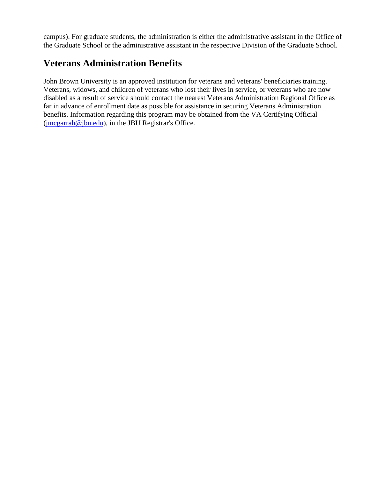campus). For graduate students, the administration is either the administrative assistant in the Office of the Graduate School or the administrative assistant in the respective Division of the Graduate School.

# **Veterans Administration Benefits**

John Brown University is an approved institution for veterans and veterans' beneficiaries training. Veterans, widows, and children of veterans who lost their lives in service, or veterans who are now disabled as a result of service should contact the nearest Veterans Administration Regional Office as far in advance of enrollment date as possible for assistance in securing Veterans Administration benefits. Information regarding this program may be obtained from the VA Certifying Official  $($ jmcgarrah@jbu.edu), in the JBU Registerar's Office.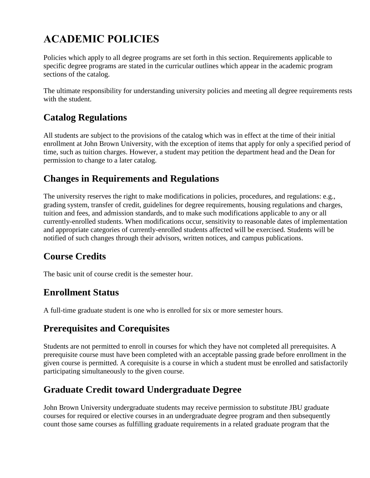# **ACADEMIC POLICIES**

Policies which apply to all degree programs are set forth in this section. Requirements applicable to specific degree programs are stated in the curricular outlines which appear in the academic program sections of the catalog.

The ultimate responsibility for understanding university policies and meeting all degree requirements rests with the student.

# **Catalog Regulations**

All students are subject to the provisions of the catalog which was in effect at the time of their initial enrollment at John Brown University, with the exception of items that apply for only a specified period of time, such as tuition charges. However, a student may petition the department head and the Dean for permission to change to a later catalog.

# **Changes in Requirements and Regulations**

The university reserves the right to make modifications in policies, procedures, and regulations: e.g., grading system, transfer of credit, guidelines for degree requirements, housing regulations and charges, tuition and fees, and admission standards, and to make such modifications applicable to any or all currently-enrolled students. When modifications occur, sensitivity to reasonable dates of implementation and appropriate categories of currently-enrolled students affected will be exercised. Students will be notified of such changes through their advisors, written notices, and campus publications.

# **Course Credits**

The basic unit of course credit is the semester hour.

# **Enrollment Status**

A full-time graduate student is one who is enrolled for six or more semester hours.

# **Prerequisites and Corequisites**

Students are not permitted to enroll in courses for which they have not completed all prerequisites. A prerequisite course must have been completed with an acceptable passing grade before enrollment in the given course is permitted. A corequisite is a course in which a student must be enrolled and satisfactorily participating simultaneously to the given course.

# **Graduate Credit toward Undergraduate Degree**

John Brown University undergraduate students may receive permission to substitute JBU graduate courses for required or elective courses in an undergraduate degree program and then subsequently count those same courses as fulfilling graduate requirements in a related graduate program that the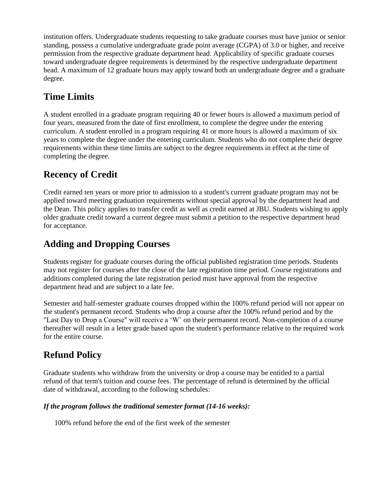institution offers. Undergraduate students requesting to take graduate courses must have junior or senior standing, possess a cumulative undergraduate grade point average (CGPA) of 3.0 or higher, and receive permission from the respective graduate department head. Applicability of specific graduate courses toward undergraduate degree requirements is determined by the respective undergraduate department head. A maximum of 12 graduate hours may apply toward both an undergraduate degree and a graduate degree.

# **Time Limits**

A student enrolled in a graduate program requiring 40 or fewer hours is allowed a maximum period of four years, measured from the date of first enrollment, to complete the degree under the entering curriculum. A student enrolled in a program requiring 41 or more hours is allowed a maximum of six years to complete the degree under the entering curriculum. Students who do not complete their degree requirements within these time limits are subject to the degree requirements in effect at the time of completing the degree.

# **Recency of Credit**

Credit earned ten years or more prior to admission to a student's current graduate program may not be applied toward meeting graduation requirements without special approval by the department head and the Dean. This policy applies to transfer credit as well as credit earned at JBU. Students wishing to apply older graduate credit toward a current degree must submit a petition to the respective department head for acceptance.

# **Adding and Dropping Courses**

Students register for graduate courses during the official published registration time periods. Students may not register for courses after the close of the late registration time period. Course registrations and additions completed during the late registration period must have approval from the respective department head and are subject to a late fee.

Semester and half-semester graduate courses dropped within the 100% refund period will not appear on the student's permanent record. Students who drop a course after the 100% refund period and by the "Last Day to Drop a Course" will receive a 'W' on their permanent record. Non-completion of a course thereafter will result in a letter grade based upon the student's performance relative to the required work for the entire course.

# **Refund Policy**

Graduate students who withdraw from the university or drop a course may be entitled to a partial refund of that term's tuition and course fees. The percentage of refund is determined by the official date of withdrawal, according to the following schedules:

#### *If the program follows the traditional semester format (14-16 weeks):*

100% refund before the end of the first week of the semester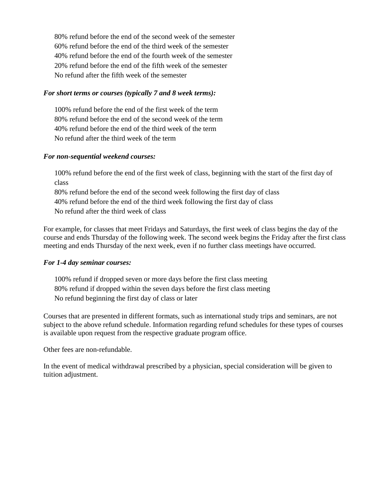80% refund before the end of the second week of the semester 60% refund before the end of the third week of the semester 40% refund before the end of the fourth week of the semester 20% refund before the end of the fifth week of the semester No refund after the fifth week of the semester

#### *For short terms or courses (typically 7 and 8 week terms):*

100% refund before the end of the first week of the term 80% refund before the end of the second week of the term 40% refund before the end of the third week of the term No refund after the third week of the term

#### *For non-sequential weekend courses:*

100% refund before the end of the first week of class, beginning with the start of the first day of class

80% refund before the end of the second week following the first day of class 40% refund before the end of the third week following the first day of class No refund after the third week of class

For example, for classes that meet Fridays and Saturdays, the first week of class begins the day of the course and ends Thursday of the following week. The second week begins the Friday after the first class meeting and ends Thursday of the next week, even if no further class meetings have occurred.

#### *For 1-4 day seminar courses:*

100% refund if dropped seven or more days before the first class meeting 80% refund if dropped within the seven days before the first class meeting No refund beginning the first day of class or later

Courses that are presented in different formats, such as international study trips and seminars, are not subject to the above refund schedule. Information regarding refund schedules for these types of courses is available upon request from the respective graduate program office.

Other fees are non-refundable.

In the event of medical withdrawal prescribed by a physician, special consideration will be given to tuition adjustment.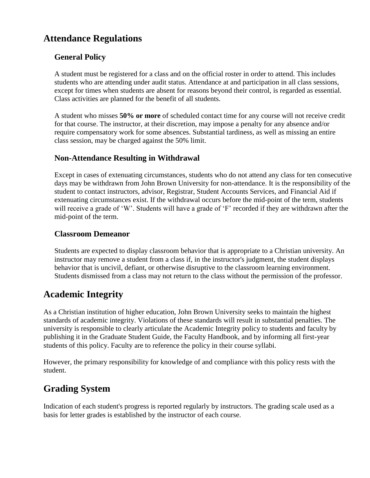# **Attendance Regulations**

#### **General Policy**

A student must be registered for a class and on the official roster in order to attend. This includes students who are attending under audit status. Attendance at and participation in all class sessions, except for times when students are absent for reasons beyond their control, is regarded as essential. Class activities are planned for the benefit of all students.

A student who misses **50% or more** of scheduled contact time for any course will not receive credit for that course. The instructor, at their discretion, may impose a penalty for any absence and/or require compensatory work for some absences. Substantial tardiness, as well as missing an entire class session, may be charged against the 50% limit.

#### **Non-Attendance Resulting in Withdrawal**

Except in cases of extenuating circumstances, students who do not attend any class for ten consecutive days may be withdrawn from John Brown University for non-attendance. It is the responsibility of the student to contact instructors, advisor, Registrar, Student Accounts Services, and Financial Aid if extenuating circumstances exist. If the withdrawal occurs before the mid-point of the term, students will receive a grade of 'W'. Students will have a grade of 'F' recorded if they are withdrawn after the mid-point of the term.

#### **Classroom Demeanor**

Students are expected to display classroom behavior that is appropriate to a Christian university. An instructor may remove a student from a class if, in the instructor's judgment, the student displays behavior that is uncivil, defiant, or otherwise disruptive to the classroom learning environment. Students dismissed from a class may not return to the class without the permission of the professor.

### **Academic Integrity**

As a Christian institution of higher education, John Brown University seeks to maintain the highest standards of academic integrity. Violations of these standards will result in substantial penalties. The university is responsible to clearly articulate the Academic Integrity policy to students and faculty by publishing it in the Graduate Student Guide, the Faculty Handbook, and by informing all first-year students of this policy. Faculty are to reference the policy in their course syllabi.

However, the primary responsibility for knowledge of and compliance with this policy rests with the student.

### **Grading System**

Indication of each student's progress is reported regularly by instructors. The grading scale used as a basis for letter grades is established by the instructor of each course.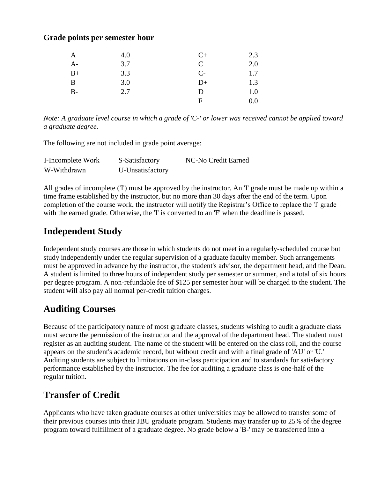#### **Grade points per semester hour**

| A     | 4.0 | $C+$         | 2.3     |
|-------|-----|--------------|---------|
| $A-$  | 3.7 | $\mathsf{C}$ | 2.0     |
| $B+$  | 3.3 | $C-$         | 1.7     |
| B     | 3.0 | $D+$         | 1.3     |
| $B -$ | 2.7 | D            | 1.0     |
|       |     | F            | $0.0\,$ |

*Note: A graduate level course in which a grade of 'C-' or lower was received cannot be applied toward a graduate degree.*

The following are not included in grade point average:

| I-Incomplete Work | S-Satisfactory   | NC-No Credit Earned |
|-------------------|------------------|---------------------|
| W-Withdrawn       | U-Unsatisfactory |                     |

All grades of incomplete ('I') must be approved by the instructor. An 'I' grade must be made up within a time frame established by the instructor, but no more than 30 days after the end of the term. Upon completion of the course work, the instructor will notify the Registrar's Office to replace the 'I' grade with the earned grade. Otherwise, the 'I' is converted to an 'F' when the deadline is passed.

### **Independent Study**

Independent study courses are those in which students do not meet in a regularly-scheduled course but study independently under the regular supervision of a graduate faculty member. Such arrangements must be approved in advance by the instructor, the student's advisor, the department head, and the Dean. A student is limited to three hours of independent study per semester or summer, and a total of six hours per degree program. A non-refundable fee of \$125 per semester hour will be charged to the student. The student will also pay all normal per-credit tuition charges.

# **Auditing Courses**

Because of the participatory nature of most graduate classes, students wishing to audit a graduate class must secure the permission of the instructor and the approval of the department head. The student must register as an auditing student. The name of the student will be entered on the class roll, and the course appears on the student's academic record, but without credit and with a final grade of 'AU' or 'U.' Auditing students are subject to limitations on in-class participation and to standards for satisfactory performance established by the instructor. The fee for auditing a graduate class is one-half of the regular tuition.

# **Transfer of Credit**

Applicants who have taken graduate courses at other universities may be allowed to transfer some of their previous courses into their JBU graduate program. Students may transfer up to 25% of the degree program toward fulfillment of a graduate degree. No grade below a 'B-' may be transferred into a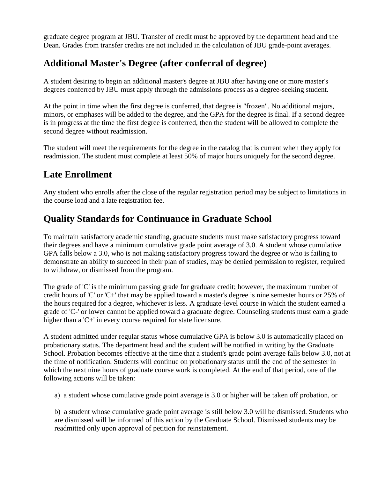graduate degree program at JBU. Transfer of credit must be approved by the department head and the Dean. Grades from transfer credits are not included in the calculation of JBU grade-point averages.

# **Additional Master's Degree (after conferral of degree)**

A student desiring to begin an additional master's degree at JBU after having one or more master's degrees conferred by JBU must apply through the admissions process as a degree-seeking student.

At the point in time when the first degree is conferred, that degree is "frozen". No additional majors, minors, or emphases will be added to the degree, and the GPA for the degree is final. If a second degree is in progress at the time the first degree is conferred, then the student will be allowed to complete the second degree without readmission.

The student will meet the requirements for the degree in the catalog that is current when they apply for readmission. The student must complete at least 50% of major hours uniquely for the second degree.

# **Late Enrollment**

Any student who enrolls after the close of the regular registration period may be subject to limitations in the course load and a late registration fee.

# **Quality Standards for Continuance in Graduate School**

To maintain satisfactory academic standing, graduate students must make satisfactory progress toward their degrees and have a minimum cumulative grade point average of 3.0. A student whose cumulative GPA falls below a 3.0, who is not making satisfactory progress toward the degree or who is failing to demonstrate an ability to succeed in their plan of studies, may be denied permission to register, required to withdraw, or dismissed from the program.

The grade of 'C' is the minimum passing grade for graduate credit; however, the maximum number of credit hours of 'C' or 'C+' that may be applied toward a master's degree is nine semester hours or 25% of the hours required for a degree, whichever is less. A graduate-level course in which the student earned a grade of 'C-' or lower cannot be applied toward a graduate degree. Counseling students must earn a grade higher than a 'C+' in every course required for state licensure.

A student admitted under regular status whose cumulative GPA is below 3.0 is automatically placed on probationary status. The department head and the student will be notified in writing by the Graduate School. Probation becomes effective at the time that a student's grade point average falls below 3.0, not at the time of notification. Students will continue on probationary status until the end of the semester in which the next nine hours of graduate course work is completed. At the end of that period, one of the following actions will be taken:

a) a student whose cumulative grade point average is 3.0 or higher will be taken off probation, or

b) a student whose cumulative grade point average is still below 3.0 will be dismissed. Students who are dismissed will be informed of this action by the Graduate School. Dismissed students may be readmitted only upon approval of petition for reinstatement.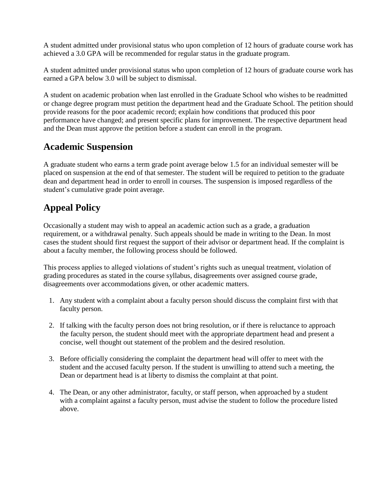A student admitted under provisional status who upon completion of 12 hours of graduate course work has achieved a 3.0 GPA will be recommended for regular status in the graduate program.

A student admitted under provisional status who upon completion of 12 hours of graduate course work has earned a GPA below 3.0 will be subject to dismissal.

A student on academic probation when last enrolled in the Graduate School who wishes to be readmitted or change degree program must petition the department head and the Graduate School. The petition should provide reasons for the poor academic record; explain how conditions that produced this poor performance have changed; and present specific plans for improvement. The respective department head and the Dean must approve the petition before a student can enroll in the program.

# **Academic Suspension**

A graduate student who earns a term grade point average below 1.5 for an individual semester will be placed on suspension at the end of that semester. The student will be required to petition to the graduate dean and department head in order to enroll in courses. The suspension is imposed regardless of the student's cumulative grade point average.

# **Appeal Policy**

Occasionally a student may wish to appeal an academic action such as a grade, a graduation requirement, or a withdrawal penalty. Such appeals should be made in writing to the Dean. In most cases the student should first request the support of their advisor or department head. If the complaint is about a faculty member, the following process should be followed.

This process applies to alleged violations of student's rights such as unequal treatment, violation of grading procedures as stated in the course syllabus, disagreements over assigned course grade, disagreements over accommodations given, or other academic matters.

- 1. Any student with a complaint about a faculty person should discuss the complaint first with that faculty person.
- 2. If talking with the faculty person does not bring resolution, or if there is reluctance to approach the faculty person, the student should meet with the appropriate department head and present a concise, well thought out statement of the problem and the desired resolution.
- 3. Before officially considering the complaint the department head will offer to meet with the student and the accused faculty person. If the student is unwilling to attend such a meeting, the Dean or department head is at liberty to dismiss the complaint at that point.
- 4. The Dean, or any other administrator, faculty, or staff person, when approached by a student with a complaint against a faculty person, must advise the student to follow the procedure listed above.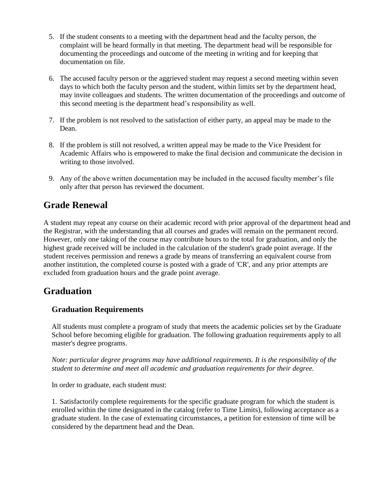- 5. If the student consents to a meeting with the department head and the faculty person, the complaint will be heard formally in that meeting. The department head will be responsible for documenting the proceedings and outcome of the meeting in writing and for keeping that documentation on file.
- 6. The accused faculty person or the aggrieved student may request a second meeting within seven days to which both the faculty person and the student, within limits set by the department head, may invite colleagues and students. The written documentation of the proceedings and outcome of this second meeting is the department head's responsibility as well.
- 7. If the problem is not resolved to the satisfaction of either party, an appeal may be made to the Dean.
- 8. If the problem is still not resolved, a written appeal may be made to the Vice President for Academic Affairs who is empowered to make the final decision and communicate the decision in writing to those involved.
- 9. Any of the above written documentation may be included in the accused faculty member's file only after that person has reviewed the document.

# **Grade Renewal**

A student may repeat any course on their academic record with prior approval of the department head and the Registrar, with the understanding that all courses and grades will remain on the permanent record. However, only one taking of the course may contribute hours to the total for graduation, and only the highest grade received will be included in the calculation of the student's grade point average. If the student receives permission and renews a grade by means of transferring an equivalent course from another institution, the completed course is posted with a grade of 'CR', and any prior attempts are excluded from graduation hours and the grade point average.

### **Graduation**

#### **Graduation Requirements**

All students must complete a program of study that meets the academic policies set by the Graduate School before becoming eligible for graduation. The following graduation requirements apply to all master's degree programs.

*Note: particular degree programs may have additional requirements. It is the responsibility of the student to determine and meet all academic and graduation requirements for their degree.*

In order to graduate, each student must:

1. Satisfactorily complete requirements for the specific graduate program for which the student is enrolled within the time designated in the catalog (refer to Time Limits), following acceptance as a graduate student. In the case of extenuating circumstances, a petition for extension of time will be considered by the department head and the Dean.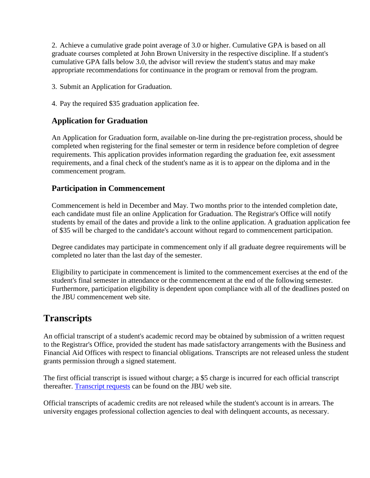2. Achieve a cumulative grade point average of 3.0 or higher. Cumulative GPA is based on all graduate courses completed at John Brown University in the respective discipline. If a student's cumulative GPA falls below 3.0, the advisor will review the student's status and may make appropriate recommendations for continuance in the program or removal from the program.

3. Submit an Application for Graduation.

4. Pay the required \$35 graduation application fee.

#### **Application for Graduation**

An Application for Graduation form, available on-line during the pre-registration process, should be completed when registering for the final semester or term in residence before completion of degree requirements. This application provides information regarding the graduation fee, exit assessment requirements, and a final check of the student's name as it is to appear on the diploma and in the commencement program.

#### **Participation in Commencement**

Commencement is held in December and May. Two months prior to the intended completion date, each candidate must file an online Application for Graduation. The Registrar's Office will notify students by email of the dates and provide a link to the online application. A graduation application fee of \$35 will be charged to the candidate's account without regard to commencement participation.

Degree candidates may participate in commencement only if all graduate degree requirements will be completed no later than the last day of the semester.

Eligibility to participate in commencement is limited to the commencement exercises at the end of the student's final semester in attendance or the commencement at the end of the following semester. Furthermore, participation eligibility is dependent upon compliance with all of the deadlines posted on the JBU commencement web site.

### **Transcripts**

An official transcript of a student's academic record may be obtained by submission of a written request to the Registrar's Office, provided the student has made satisfactory arrangements with the Business and Financial Aid Offices with respect to financial obligations. Transcripts are not released unless the student grants permission through a signed statement.

The first official transcript is issued without charge; a \$5 charge is incurred for each official transcript thereafter. [Transcript requests](https://cms.jbu.edu/registrar/) can be found on the JBU web site.

Official transcripts of academic credits are not released while the student's account is in arrears. The university engages professional collection agencies to deal with delinquent accounts, as necessary.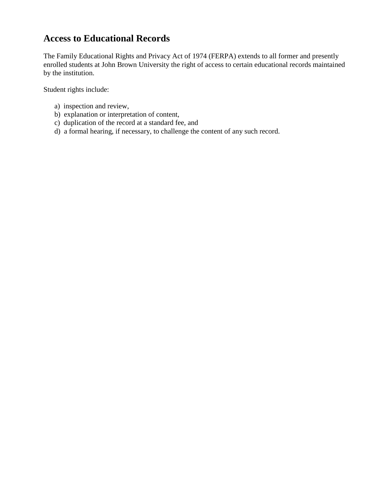# **Access to Educational Records**

The Family Educational Rights and Privacy Act of 1974 (FERPA) extends to all former and presently enrolled students at John Brown University the right of access to certain educational records maintained by the institution.

Student rights include:

- a) inspection and review,
- b) explanation or interpretation of content,
- c) duplication of the record at a standard fee, and
- d) a formal hearing, if necessary, to challenge the content of any such record.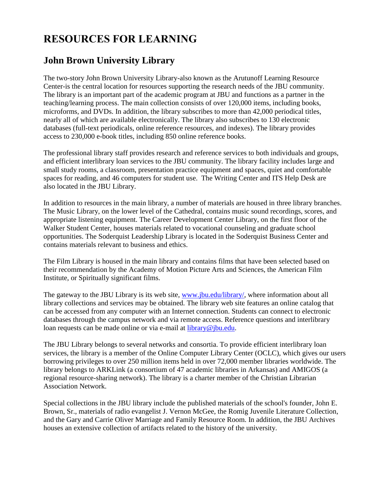# **RESOURCES FOR LEARNING**

# **John Brown University Library**

The two-story John Brown University Library-also known as the Arutunoff Learning Resource Center-is the central location for resources supporting the research needs of the JBU community. The library is an important part of the academic program at JBU and functions as a partner in the teaching/learning process. The main collection consists of over 120,000 items, including books, microforms, and DVDs. In addition, the library subscribes to more than 42,000 periodical titles, nearly all of which are available electronically. The library also subscribes to 130 electronic databases (full-text periodicals, online reference resources, and indexes). The library provides access to 230,000 e-book titles, including 850 online reference books.

The professional library staff provides research and reference services to both individuals and groups, and efficient interlibrary loan services to the JBU community. The library facility includes large and small study rooms, a classroom, presentation practice equipment and spaces, quiet and comfortable spaces for reading, and 46 computers for student use. The Writing Center and ITS Help Desk are also located in the JBU Library.

In addition to resources in the main library, a number of materials are housed in three library branches. The Music Library, on the lower level of the Cathedral, contains music sound recordings, scores, and appropriate listening equipment. The Career Development Center Library, on the first floor of the Walker Student Center, houses materials related to vocational counseling and graduate school opportunities. The Soderquist Leadership Library is located in the Soderquist Business Center and contains materials relevant to business and ethics.

The Film Library is housed in the main library and contains films that have been selected based on their recommendation by the Academy of Motion Picture Arts and Sciences, the American Film Institute, or Spiritually significant films.

The gateway to the JBU Library is its web site, [www.jbu.edu/library/,](http://www.jbu.edu/library/) where information about all library collections and services may be obtained. The library web site features an online catalog that can be accessed from any computer with an Internet connection. Students can connect to electronic databases through the campus network and via remote access. Reference questions and interlibrary loan requests can be made online or via e-mail at [library@jbu.edu.](mailto:library@jbu.edu)

The JBU Library belongs to several networks and consortia. To provide efficient interlibrary loan services, the library is a member of the Online Computer Library Center (OCLC), which gives our users borrowing privileges to over 250 million items held in over 72,000 member libraries worldwide. The library belongs to ARKLink (a consortium of 47 academic libraries in Arkansas) and AMIGOS (a regional resource-sharing network). The library is a charter member of the Christian Librarian Association Network.

Special collections in the JBU library include the published materials of the school's founder, John E. Brown, Sr., materials of radio evangelist J. Vernon McGee, the Romig Juvenile Literature Collection, and the Gary and Carrie Oliver Marriage and Family Resource Room. In addition, the JBU Archives houses an extensive collection of artifacts related to the history of the university.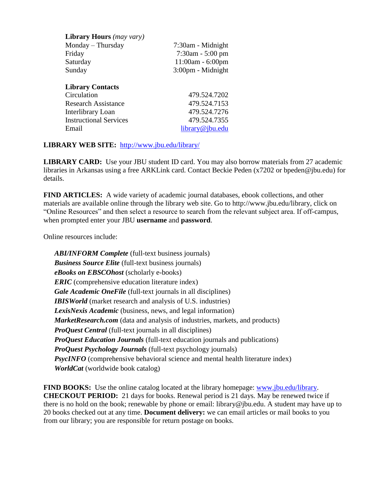| <b>Library Hours</b> (may vary) |                       |
|---------------------------------|-----------------------|
| Monday – Thursday               | 7:30am - Midnight     |
| Friday                          | $7:30$ am - $5:00$ pm |
| Saturday                        | $11:00am - 6:00pm$    |
| Sunday                          | 3:00pm - Midnight     |
| <b>Library Contacts</b>         |                       |
| Circulation                     | 479.524.7202          |
| <b>Research Assistance</b>      | 479.524.7153          |
| Interlibrary Loan               | 479.524.7276          |
| <b>Instructional Services</b>   | 479.524.7355          |
| Email                           | library@jbu.edu       |

#### **LIBRARY WEB SITE:** <http://www.jbu.edu/library/>

**LIBRARY CARD:** Use your JBU student ID card. You may also borrow materials from 27 academic libraries in Arkansas using a free ARKLink card. Contact Beckie Peden (x7202 or bpeden@jbu.edu) for details.

**FIND ARTICLES:** A wide variety of academic journal databases, ebook collections, and other materials are available online through the library web site. Go to http://www.jbu.edu/library, click on "Online Resources" and then select a resource to search from the relevant subject area. If off-campus, when prompted enter your JBU **username** and **password**.

Online resources include:

*ABI/INFORM Complete* (full-text business journals) *Business Source Elite* (full-text business journals) *eBooks on EBSCOhost* (scholarly e-books) *ERIC* (comprehensive education literature index) *Gale Academic OneFile* (full-text journals in all disciplines) **IBISWorld** (market research and analysis of U.S. industries) *LexisNexis Academic* (business, news, and legal information) *MarketResearch.com* (data and analysis of industries, markets, and products) *ProQuest Central* (full-text journals in all disciplines) *ProQuest Education Journals* (full-text education journals and publications) *ProQuest Psychology Journals* (full-text psychology journals) **PsycINFO** (comprehensive behavioral science and mental health literature index) *WorldCat* (worldwide book catalog)

**FIND BOOKS:** Use the online catalog located at the library homepage: [www.jbu.edu/library.](http://www.jbu.edu/library) **CHECKOUT PERIOD:** 21 days for books. Renewal period is 21 days. May be renewed twice if there is no hold on the book; renewable by phone or email: library@jbu.edu. A student may have up to 20 books checked out at any time. **Document delivery:** we can email articles or mail books to you from our library; you are responsible for return postage on books.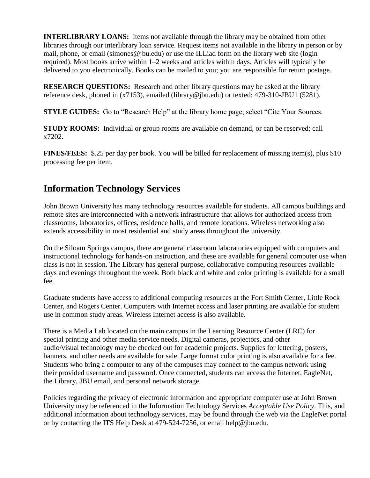**INTERLIBRARY LOANS:** Items not available through the library may be obtained from other libraries through our interlibrary loan service. Request items not available in the library in person or by mail, phone, or email (simones@jbu.edu) or use the ILLiad form on the library web site (login required). Most books arrive within 1–2 weeks and articles within days. Articles will typically be delivered to you electronically. Books can be mailed to you; you are responsible for return postage.

**RESEARCH QUESTIONS:** Research and other library questions may be asked at the library reference desk, phoned in (x7153), emailed (library@jbu.edu) or texted: 479-310-JBU1 (5281).

**STYLE GUIDES:** Go to "Research Help" at the library home page; select "Cite Your Sources.

**STUDY ROOMS:** Individual or group rooms are available on demand, or can be reserved; call x7202.

**FINES/FEES:** \$.25 per day per book. You will be billed for replacement of missing item(s), plus \$10 processing fee per item.

# **Information Technology Services**

John Brown University has many technology resources available for students. All campus buildings and remote sites are interconnected with a network infrastructure that allows for authorized access from classrooms, laboratories, offices, residence halls, and remote locations. Wireless networking also extends accessibility in most residential and study areas throughout the university.

On the Siloam Springs campus, there are general classroom laboratories equipped with computers and instructional technology for hands-on instruction, and these are available for general computer use when class is not in session. The Library has general purpose, collaborative computing resources available days and evenings throughout the week. Both black and white and color printing is available for a small fee.

Graduate students have access to additional computing resources at the Fort Smith Center, Little Rock Center, and Rogers Center. Computers with Internet access and laser printing are available for student use in common study areas. Wireless Internet access is also available.

There is a Media Lab located on the main campus in the Learning Resource Center (LRC) for special printing and other media service needs. Digital cameras, projectors, and other audio/visual technology may be checked out for academic projects. Supplies for lettering, posters, banners, and other needs are available for sale. Large format color printing is also available for a fee. Students who bring a computer to any of the campuses may connect to the campus network using their provided username and password. Once connected, students can access the Internet, EagleNet, the Library, JBU email, and personal network storage.

Policies regarding the privacy of electronic information and appropriate computer use at John Brown University may be referenced in the Information Technology Services *Acceptable Use Policy*. This, and additional information about technology services, may be found through the web via the EagleNet portal or by contacting the ITS Help Desk at 479-524-7256, or email help@jbu.edu.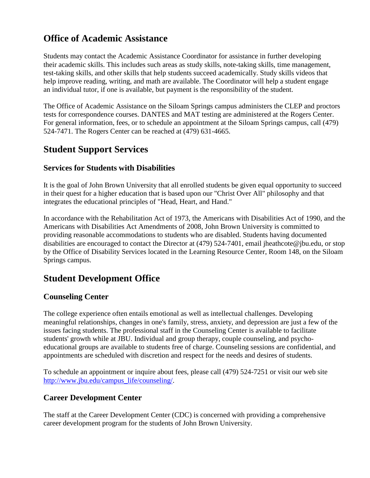# **Office of Academic Assistance**

Students may contact the Academic Assistance Coordinator for assistance in further developing their academic skills. This includes such areas as study skills, note-taking skills, time management, test-taking skills, and other skills that help students succeed academically. Study skills videos that help improve reading, writing, and math are available. The Coordinator will help a student engage an individual tutor, if one is available, but payment is the responsibility of the student.

The Office of Academic Assistance on the Siloam Springs campus administers the CLEP and proctors tests for correspondence courses. DANTES and MAT testing are administered at the Rogers Center. For general information, fees, or to schedule an appointment at the Siloam Springs campus, call (479) 524-7471. The Rogers Center can be reached at (479) 631-4665.

# **Student Support Services**

# **Services for Students with Disabilities**

It is the goal of John Brown University that all enrolled students be given equal opportunity to succeed in their quest for a higher education that is based upon our "Christ Over All" philosophy and that integrates the educational principles of "Head, Heart, and Hand."

In accordance with the Rehabilitation Act of 1973, the Americans with Disabilities Act of 1990, and the Americans with Disabilities Act Amendments of 2008, John Brown University is committed to providing reasonable accommodations to students who are disabled. Students having documented disabilities are encouraged to contact the Director at (479) 524-7401, email jheathcote@jbu.edu, or stop by the Office of Disability Services located in the Learning Resource Center, Room 148, on the Siloam Springs campus.

# **Student Development Office**

# **Counseling Center**

The college experience often entails emotional as well as intellectual challenges. Developing meaningful relationships, changes in one's family, stress, anxiety, and depression are just a few of the issues facing students. The professional staff in the Counseling Center is available to facilitate students' growth while at JBU. Individual and group therapy, couple counseling, and psychoeducational groups are available to students free of charge. Counseling sessions are confidential, and appointments are scheduled with discretion and respect for the needs and desires of students.

To schedule an appointment or inquire about fees, please call (479) 524-7251 or visit our web site [http://www.jbu.edu/campus\\_life/counseling/.](http://www.jbu.edu/campus_life/counseling/)

# **Career Development Center**

The staff at the Career Development Center (CDC) is concerned with providing a comprehensive career development program for the students of John Brown University.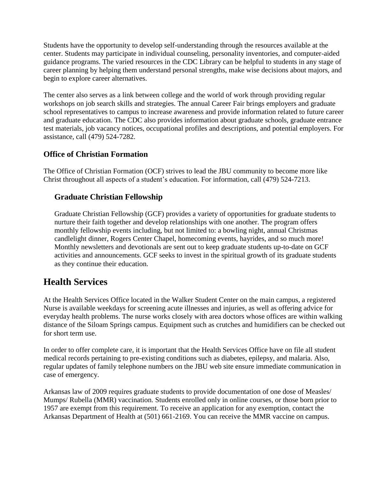Students have the opportunity to develop self-understanding through the resources available at the center. Students may participate in individual counseling, personality inventories, and computer-aided guidance programs. The varied resources in the CDC Library can be helpful to students in any stage of career planning by helping them understand personal strengths, make wise decisions about majors, and begin to explore career alternatives.

The center also serves as a link between college and the world of work through providing regular workshops on job search skills and strategies. The annual Career Fair brings employers and graduate school representatives to campus to increase awareness and provide information related to future career and graduate education. The CDC also provides information about graduate schools, graduate entrance test materials, job vacancy notices, occupational profiles and descriptions, and potential employers. For assistance, call (479) 524-7282.

# **Office of Christian Formation**

The Office of Christian Formation (OCF) strives to lead the JBU community to become more like Christ throughout all aspects of a student's education. For information, call (479) 524-7213.

# **Graduate Christian Fellowship**

Graduate Christian Fellowship (GCF) provides a variety of opportunities for graduate students to nurture their faith together and develop relationships with one another. The program offers monthly fellowship events including, but not limited to: a bowling night, annual Christmas candlelight dinner, Rogers Center Chapel, homecoming events, hayrides, and so much more! Monthly newsletters and devotionals are sent out to keep graduate students up-to-date on GCF activities and announcements. GCF seeks to invest in the spiritual growth of its graduate students as they continue their education.

# **Health Services**

At the Health Services Office located in the Walker Student Center on the main campus, a registered Nurse is available weekdays for screening acute illnesses and injuries, as well as offering advice for everyday health problems. The nurse works closely with area doctors whose offices are within walking distance of the Siloam Springs campus. Equipment such as crutches and humidifiers can be checked out for short term use.

In order to offer complete care, it is important that the Health Services Office have on file all student medical records pertaining to pre-existing conditions such as diabetes, epilepsy, and malaria. Also, regular updates of family telephone numbers on the JBU web site ensure immediate communication in case of emergency.

Arkansas law of 2009 requires graduate students to provide documentation of one dose of Measles/ Mumps/ Rubella (MMR) vaccination. Students enrolled only in online courses, or those born prior to 1957 are exempt from this requirement. To receive an application for any exemption, contact the Arkansas Department of Health at (501) 661-2169. You can receive the MMR vaccine on campus.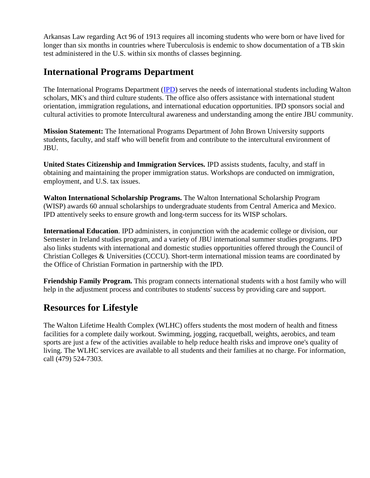Arkansas Law regarding Act 96 of 1913 requires all incoming students who were born or have lived for longer than six months in countries where Tuberculosis is endemic to show documentation of a TB skin test administered in the U.S. within six months of classes beginning.

# **International Programs Department**

The International Programs Department [\(IPD\)](https://www.jbu.edu/international/international_students/) serves the needs of international students including Walton scholars, MK's and third culture students. The office also offers assistance with international student orientation, immigration regulations, and international education opportunities. IPD sponsors social and cultural activities to promote Intercultural awareness and understanding among the entire JBU community.

**Mission Statement:** The International Programs Department of John Brown University supports students, faculty, and staff who will benefit from and contribute to the intercultural environment of JBU.

**United States Citizenship and Immigration Services.** IPD assists students, faculty, and staff in obtaining and maintaining the proper immigration status. Workshops are conducted on immigration, employment, and U.S. tax issues.

**Walton International Scholarship Programs.** The Walton International Scholarship Program (WISP) awards 60 annual scholarships to undergraduate students from Central America and Mexico. IPD attentively seeks to ensure growth and long-term success for its WISP scholars.

**International Education**. IPD administers, in conjunction with the academic college or division, our Semester in Ireland studies program, and a variety of JBU international summer studies programs. IPD also links students with international and domestic studies opportunities offered through the Council of Christian Colleges & Universities (CCCU). Short-term international mission teams are coordinated by the Office of Christian Formation in partnership with the IPD.

**Friendship Family Program.** This program connects international students with a host family who will help in the adjustment process and contributes to students' success by providing care and support.

# **Resources for Lifestyle**

The Walton Lifetime Health Complex (WLHC) offers students the most modern of health and fitness facilities for a complete daily workout. Swimming, jogging, racquetball, weights, aerobics, and team sports are just a few of the activities available to help reduce health risks and improve one's quality of living. The WLHC services are available to all students and their families at no charge. For information, call (479) 524-7303.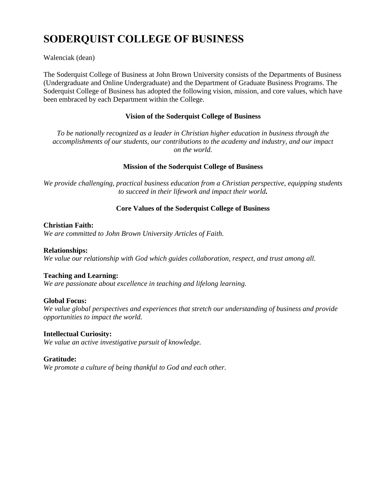# **SODERQUIST COLLEGE OF BUSINESS**

Walenciak (dean)

The Soderquist College of Business at John Brown University consists of the Departments of Business (Undergraduate and Online Undergraduate) and the Department of Graduate Business Programs. The Soderquist College of Business has adopted the following vision, mission, and core values, which have been embraced by each Department within the College.

#### **Vision of the Soderquist College of Business**

*To be nationally recognized as a leader in Christian higher education in business through the accomplishments of our students, our contributions to the academy and industry, and our impact on the world.*

#### **Mission of the Soderquist College of Business**

*We provide challenging, practical business education from a Christian perspective, equipping students to succeed in their lifework and impact their world.*

#### **Core Values of the Soderquist College of Business**

#### **Christian Faith:**

*We are committed to John Brown University Articles of Faith.*

#### **Relationships:**

*We value our relationship with God which guides collaboration, respect, and trust among all.*

#### **Teaching and Learning:**

*We are passionate about excellence in teaching and lifelong learning.*

#### **Global Focus:**

*We value global perspectives and experiences that stretch our understanding of business and provide opportunities to impact the world.*

#### **Intellectual Curiosity:**

*We value an active investigative pursuit of knowledge.*

#### **Gratitude:**

*We promote a culture of being thankful to God and each other.*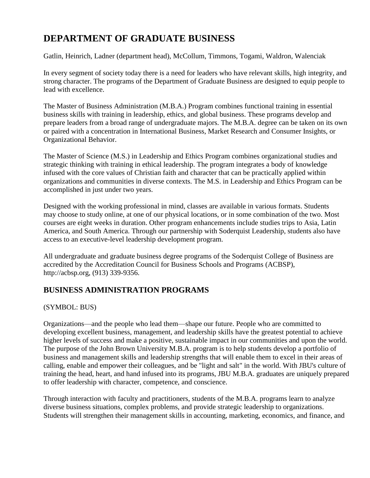# **DEPARTMENT OF GRADUATE BUSINESS**

Gatlin, Heinrich, Ladner (department head), McCollum, Timmons, Togami, Waldron, Walenciak

In every segment of society today there is a need for leaders who have relevant skills, high integrity, and strong character. The programs of the Department of Graduate Business are designed to equip people to lead with excellence.

The Master of Business Administration (M.B.A.) Program combines functional training in essential business skills with training in leadership, ethics, and global business. These programs develop and prepare leaders from a broad range of undergraduate majors. The M.B.A. degree can be taken on its own or paired with a concentration in International Business, Market Research and Consumer Insights, or Organizational Behavior.

The Master of Science (M.S.) in Leadership and Ethics Program combines organizational studies and strategic thinking with training in ethical leadership. The program integrates a body of knowledge infused with the core values of Christian faith and character that can be practically applied within organizations and communities in diverse contexts. The M.S. in Leadership and Ethics Program can be accomplished in just under two years.

Designed with the working professional in mind, classes are available in various formats. Students may choose to study online, at one of our physical locations, or in some combination of the two. Most courses are eight weeks in duration. Other program enhancements include studies trips to Asia, Latin America, and South America. Through our partnership with Soderquist Leadership, students also have access to an executive-level leadership development program.

All undergraduate and graduate business degree programs of the Soderquist College of Business are accredited by the Accreditation Council for Business Schools and Programs (ACBSP), http://acbsp.org, (913) 339-9356.

# **BUSINESS ADMINISTRATION PROGRAMS**

(SYMBOL: BUS)

Organizations—and the people who lead them—shape our future. People who are committed to developing excellent business, management, and leadership skills have the greatest potential to achieve higher levels of success and make a positive, sustainable impact in our communities and upon the world. The purpose of the John Brown University M.B.A. program is to help students develop a portfolio of business and management skills and leadership strengths that will enable them to excel in their areas of calling, enable and empower their colleagues, and be "light and salt" in the world. With JBU's culture of training the head, heart, and hand infused into its programs, JBU M.B.A. graduates are uniquely prepared to offer leadership with character, competence, and conscience.

Through interaction with faculty and practitioners, students of the M.B.A. programs learn to analyze diverse business situations, complex problems, and provide strategic leadership to organizations. Students will strengthen their management skills in accounting, marketing, economics, and finance, and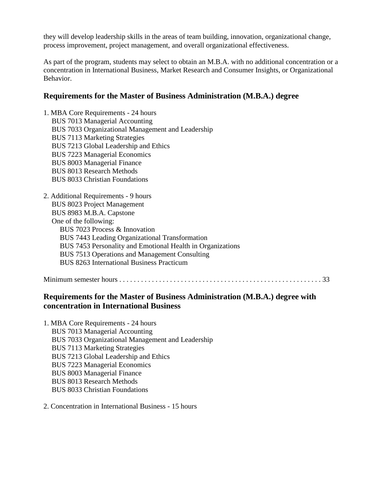they will develop leadership skills in the areas of team building, innovation, organizational change, process improvement, project management, and overall organizational effectiveness.

As part of the program, students may select to obtain an M.B.A. with no additional concentration or a concentration in International Business, Market Research and Consumer Insights, or Organizational Behavior.

# **Requirements for the Master of Business Administration (M.B.A.) degree**

1. MBA Core Requirements - 24 hours BUS 7013 Managerial Accounting BUS 7033 Organizational Management and Leadership BUS 7113 Marketing Strategies BUS 7213 Global Leadership and Ethics BUS 7223 Managerial Economics BUS 8003 Managerial Finance BUS 8013 Research Methods BUS 8033 Christian Foundations

2. Additional Requirements - 9 hours BUS 8023 Project Management BUS 8983 M.B.A. Capstone One of the following: BUS 7023 Process & Innovation BUS 7443 Leading Organizational Transformation BUS 7453 Personality and Emotional Health in Organizations BUS 7513 Operations and Management Consulting BUS 8263 International Business Practicum

Minimum semester hours . . . . . . . . . . . . . . . . . . . . . . . . . . . . . . . . . . . . . . . . . . . . . . . . . . . . . . . . 33

# **Requirements for the Master of Business Administration (M.B.A.) degree with concentration in International Business**

| 1. MBA Core Requirements - 24 hours               |
|---------------------------------------------------|
| <b>BUS 7013 Managerial Accounting</b>             |
| BUS 7033 Organizational Management and Leadership |
| <b>BUS 7113 Marketing Strategies</b>              |
| BUS 7213 Global Leadership and Ethics             |
| <b>BUS 7223 Managerial Economics</b>              |
| <b>BUS 8003 Managerial Finance</b>                |
| <b>BUS 8013 Research Methods</b>                  |
| <b>BUS 8033 Christian Foundations</b>             |

2. Concentration in International Business - 15 hours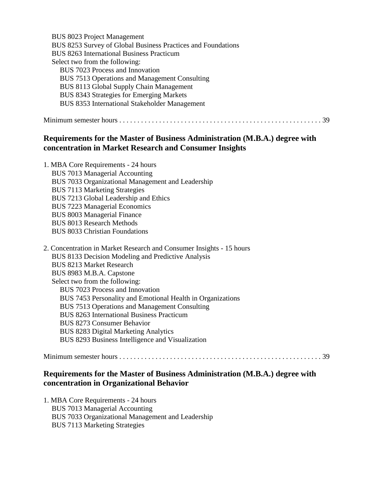| <b>BUS 8023 Project Management</b>                           |
|--------------------------------------------------------------|
| BUS 8253 Survey of Global Business Practices and Foundations |
| <b>BUS 8263 International Business Practicum</b>             |
| Select two from the following:                               |
| <b>BUS</b> 7023 Process and Innovation                       |
| BUS 7513 Operations and Management Consulting                |
| BUS 8113 Global Supply Chain Management                      |
| BUS 8343 Strategies for Emerging Markets                     |
| <b>BUS 8353 International Stakeholder Management</b>         |
|                                                              |
|                                                              |

# **Requirements for the Master of Business Administration (M.B.A.) degree with concentration in Market Research and Consumer Insights**

| 1. MBA Core Requirements - 24 hours               |
|---------------------------------------------------|
| <b>BUS 7013 Managerial Accounting</b>             |
| BUS 7033 Organizational Management and Leadership |
| <b>BUS 7113 Marketing Strategies</b>              |
| BUS 7213 Global Leadership and Ethics             |
| <b>BUS 7223 Managerial Economics</b>              |
| <b>BUS 8003 Managerial Finance</b>                |
| <b>BUS 8013 Research Methods</b>                  |
| <b>BUS 8033 Christian Foundations</b>             |
|                                                   |

| 2. Concentration in Market Research and Consumer Insights - 15 hours |
|----------------------------------------------------------------------|
| BUS 8133 Decision Modeling and Predictive Analysis                   |
| <b>BUS 8213 Market Research</b>                                      |
| BUS 8983 M.B.A. Capstone                                             |
| Select two from the following:                                       |
| BUS 7023 Process and Innovation                                      |
| BUS 7453 Personality and Emotional Health in Organizations           |
| BUS 7513 Operations and Management Consulting                        |
| <b>BUS 8263 International Business Practicum</b>                     |
| <b>BUS 8273 Consumer Behavior</b>                                    |
| <b>BUS 8283 Digital Marketing Analytics</b>                          |
| BUS 8293 Business Intelligence and Visualization                     |
|                                                                      |

Minimum semester hours . . . . . . . . . . . . . . . . . . . . . . . . . . . . . . . . . . . . . . . . . . . . . . . . . . . . . . . . 39

# **Requirements for the Master of Business Administration (M.B.A.) degree with concentration in Organizational Behavior**

1. MBA Core Requirements - 24 hours BUS 7013 Managerial Accounting BUS 7033 Organizational Management and Leadership BUS 7113 Marketing Strategies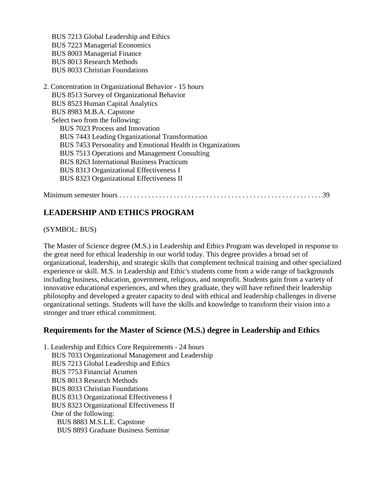BUS 7213 Global Leadership and Ethics BUS 7223 Managerial Economics BUS 8003 Managerial Finance BUS 8013 Research Methods BUS 8033 Christian Foundations

2. Concentration in Organizational Behavior - 15 hours BUS 8513 Survey of Organizational Behavior BUS 8523 Human Capital Analytics BUS 8983 M.B.A. Capstone Select two from the following: BUS 7023 Process and Innovation BUS 7443 Leading Organizational Transformation BUS 7453 Personality and Emotional Health in Organizations BUS 7513 Operations and Management Consulting BUS 8263 International Business Practicum BUS 8313 Organizational Effectiveness I BUS 8323 Organizational Effectiveness II

Minimum semester hours . . . . . . . . . . . . . . . . . . . . . . . . . . . . . . . . . . . . . . . . . . . . . . . . . . . . . . . . 39

# **LEADERSHIP AND ETHICS PROGRAM**

(SYMBOL: BUS)

The Master of Science degree (M.S.) in Leadership and Ethics Program was developed in response to the great need for ethical leadership in our world today. This degree provides a broad set of organizational, leadership, and strategic skills that complement technical training and other specialized experience or skill. M.S. in Leadership and Ethic's students come from a wide range of backgrounds including business, education, government, religious, and nonprofit. Students gain from a variety of innovative educational experiences, and when they graduate, they will have refined their leadership philosophy and developed a greater capacity to deal with ethical and leadership challenges in diverse organizational settings. Students will have the skills and knowledge to transform their vision into a stronger and truer ethical commitment.

# **Requirements for the Master of Science (M.S.) degree in Leadership and Ethics**

1. Leadership and Ethics Core Requirements - 24 hours BUS 7033 Organizational Management and Leadership BUS 7213 Global Leadership and Ethics BUS 7753 Financial Acumen BUS 8013 Research Methods BUS 8033 Christian Foundations BUS 8313 Organizational Effectiveness I BUS 8323 Organizational Effectiveness II One of the following: BUS 8883 M.S.L.E. Capstone BUS 8893 Graduate Business Seminar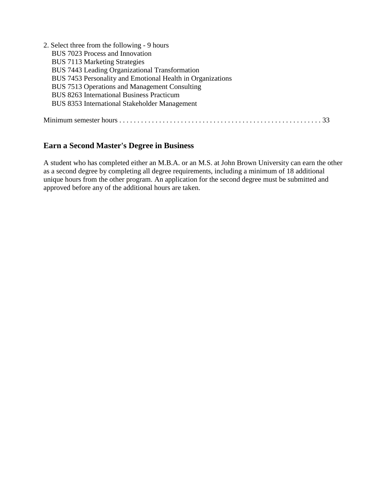| 2. Select three from the following - 9 hours               |
|------------------------------------------------------------|
| BUS 7023 Process and Innovation                            |
| <b>BUS 7113 Marketing Strategies</b>                       |
| BUS 7443 Leading Organizational Transformation             |
| BUS 7453 Personality and Emotional Health in Organizations |
| BUS 7513 Operations and Management Consulting              |
| <b>BUS 8263 International Business Practicum</b>           |
| <b>BUS 8353 International Stakeholder Management</b>       |
|                                                            |
|                                                            |

# **Earn a Second Master's Degree in Business**

A student who has completed either an M.B.A. or an M.S. at John Brown University can earn the other as a second degree by completing all degree requirements, including a minimum of 18 additional unique hours from the other program. An application for the second degree must be submitted and approved before any of the additional hours are taken.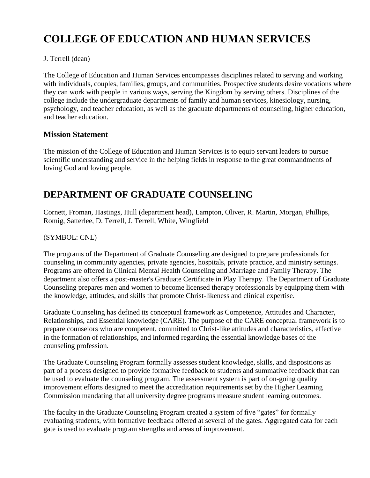# **COLLEGE OF EDUCATION AND HUMAN SERVICES**

### J. Terrell (dean)

The College of Education and Human Services encompasses disciplines related to serving and working with individuals, couples, families, groups, and communities. Prospective students desire vocations where they can work with people in various ways, serving the Kingdom by serving others. Disciplines of the college include the undergraduate departments of family and human services, kinesiology, nursing, psychology, and teacher education, as well as the graduate departments of counseling, higher education, and teacher education.

### **Mission Statement**

The mission of the College of Education and Human Services is to equip servant leaders to pursue scientific understanding and service in the helping fields in response to the great commandments of loving God and loving people.

# **DEPARTMENT OF GRADUATE COUNSELING**

Cornett, Froman, Hastings, Hull (department head), Lampton, Oliver, R. Martin, Morgan, Phillips, Romig, Satterlee, D. Terrell, J. Terrell, White, Wingfield

### (SYMBOL: CNL)

The programs of the Department of Graduate Counseling are designed to prepare professionals for counseling in community agencies, private agencies, hospitals, private practice, and ministry settings. Programs are offered in Clinical Mental Health Counseling and Marriage and Family Therapy. The department also offers a post-master's Graduate Certificate in Play Therapy. The Department of Graduate Counseling prepares men and women to become licensed therapy professionals by equipping them with the knowledge, attitudes, and skills that promote Christ-likeness and clinical expertise.

Graduate Counseling has defined its conceptual framework as Competence, Attitudes and Character, Relationships, and Essential knowledge (CARE). The purpose of the CARE conceptual framework is to prepare counselors who are competent, committed to Christ-like attitudes and characteristics, effective in the formation of relationships, and informed regarding the essential knowledge bases of the counseling profession.

The Graduate Counseling Program formally assesses student knowledge, skills, and dispositions as part of a process designed to provide formative feedback to students and summative feedback that can be used to evaluate the counseling program. The assessment system is part of on-going quality improvement efforts designed to meet the accreditation requirements set by the Higher Learning Commission mandating that all university degree programs measure student learning outcomes.

The faculty in the Graduate Counseling Program created a system of five "gates" for formally evaluating students, with formative feedback offered at several of the gates. Aggregated data for each gate is used to evaluate program strengths and areas of improvement.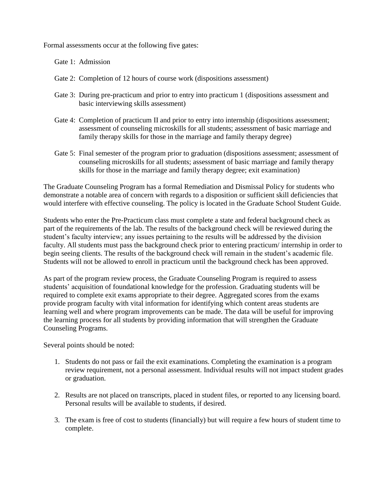Formal assessments occur at the following five gates:

Gate 1: Admission

- Gate 2: Completion of 12 hours of course work (dispositions assessment)
- Gate 3: During pre-practicum and prior to entry into practicum 1 (dispositions assessment and basic interviewing skills assessment)
- Gate 4: Completion of practicum II and prior to entry into internship (dispositions assessment; assessment of counseling microskills for all students; assessment of basic marriage and family therapy skills for those in the marriage and family therapy degree)
- Gate 5: Final semester of the program prior to graduation (dispositions assessment; assessment of counseling microskills for all students; assessment of basic marriage and family therapy skills for those in the marriage and family therapy degree; exit examination)

The Graduate Counseling Program has a formal Remediation and Dismissal Policy for students who demonstrate a notable area of concern with regards to a disposition or sufficient skill deficiencies that would interfere with effective counseling. The policy is located in the Graduate School Student Guide.

Students who enter the Pre-Practicum class must complete a state and federal background check as part of the requirements of the lab. The results of the background check will be reviewed during the student's faculty interview; any issues pertaining to the results will be addressed by the division faculty. All students must pass the background check prior to entering practicum/ internship in order to begin seeing clients. The results of the background check will remain in the student's academic file. Students will not be allowed to enroll in practicum until the background check has been approved.

As part of the program review process, the Graduate Counseling Program is required to assess students' acquisition of foundational knowledge for the profession. Graduating students will be required to complete exit exams appropriate to their degree. Aggregated scores from the exams provide program faculty with vital information for identifying which content areas students are learning well and where program improvements can be made. The data will be useful for improving the learning process for all students by providing information that will strengthen the Graduate Counseling Programs.

Several points should be noted:

- 1. Students do not pass or fail the exit examinations. Completing the examination is a program review requirement, not a personal assessment. Individual results will not impact student grades or graduation.
- 2. Results are not placed on transcripts, placed in student files, or reported to any licensing board. Personal results will be available to students, if desired.
- 3. The exam is free of cost to students (financially) but will require a few hours of student time to complete.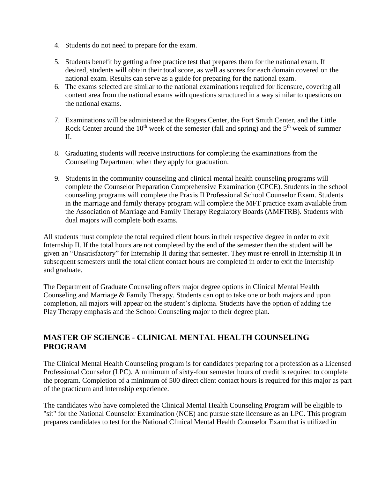- 4. Students do not need to prepare for the exam.
- 5. Students benefit by getting a free practice test that prepares them for the national exam. If desired, students will obtain their total score, as well as scores for each domain covered on the national exam. Results can serve as a guide for preparing for the national exam.
- 6. The exams selected are similar to the national examinations required for licensure, covering all content area from the national exams with questions structured in a way similar to questions on the national exams.
- 7. Examinations will be administered at the Rogers Center, the Fort Smith Center, and the Little Rock Center around the  $10<sup>th</sup>$  week of the semester (fall and spring) and the  $5<sup>th</sup>$  week of summer II.
- 8. Graduating students will receive instructions for completing the examinations from the Counseling Department when they apply for graduation.
- 9. Students in the community counseling and clinical mental health counseling programs will complete the Counselor Preparation Comprehensive Examination (CPCE). Students in the school counseling programs will complete the Praxis II Professional School Counselor Exam. Students in the marriage and family therapy program will complete the MFT practice exam available from the Association of Marriage and Family Therapy Regulatory Boards (AMFTRB). Students with dual majors will complete both exams.

All students must complete the total required client hours in their respective degree in order to exit Internship II. If the total hours are not completed by the end of the semester then the student will be given an "Unsatisfactory" for Internship II during that semester. They must re-enroll in Internship II in subsequent semesters until the total client contact hours are completed in order to exit the Internship and graduate.

The Department of Graduate Counseling offers major degree options in Clinical Mental Health Counseling and Marriage & Family Therapy. Students can opt to take one or both majors and upon completion, all majors will appear on the student's diploma. Students have the option of adding the Play Therapy emphasis and the School Counseling major to their degree plan.

# **MASTER OF SCIENCE - CLINICAL MENTAL HEALTH COUNSELING PROGRAM**

The Clinical Mental Health Counseling program is for candidates preparing for a profession as a Licensed Professional Counselor (LPC). A minimum of sixty-four semester hours of credit is required to complete the program. Completion of a minimum of 500 direct client contact hours is required for this major as part of the practicum and internship experience.

The candidates who have completed the Clinical Mental Health Counseling Program will be eligible to "sit" for the National Counselor Examination (NCE) and pursue state licensure as an LPC. This program prepares candidates to test for the National Clinical Mental Health Counselor Exam that is utilized in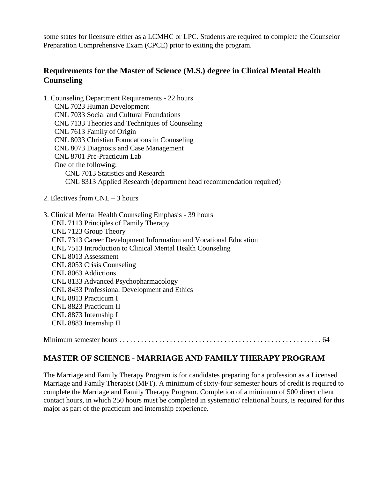some states for licensure either as a LCMHC or LPC. Students are required to complete the Counselor Preparation Comprehensive Exam (CPCE) prior to exiting the program.

# **Requirements for the Master of Science (M.S.) degree in Clinical Mental Health Counseling**

1. Counseling Department Requirements - 22 hours CNL 7023 Human Development CNL 7033 Social and Cultural Foundations CNL 7133 Theories and Techniques of Counseling CNL 7613 Family of Origin CNL 8033 Christian Foundations in Counseling CNL 8073 Diagnosis and Case Management CNL 8701 Pre-Practicum Lab One of the following: CNL 7013 Statistics and Research CNL 8313 Applied Research (department head recommendation required)

- 2. Electives from CNL 3 hours
- 3. Clinical Mental Health Counseling Emphasis 39 hours CNL 7113 Principles of Family Therapy CNL 7123 Group Theory CNL 7313 Career Development Information and Vocational Education CNL 7513 Introduction to Clinical Mental Health Counseling CNL 8013 Assessment CNL 8053 Crisis Counseling CNL 8063 Addictions CNL 8133 Advanced Psychopharmacology CNL 8433 Professional Development and Ethics CNL 8813 Practicum I CNL 8823 Practicum II CNL 8873 Internship I CNL 8883 Internship II

Minimum semester hours . . . . . . . . . . . . . . . . . . . . . . . . . . . . . . . . . . . . . . . . . . . . . . . . . . . . . . . . 64

# **MASTER OF SCIENCE - MARRIAGE AND FAMILY THERAPY PROGRAM**

The Marriage and Family Therapy Program is for candidates preparing for a profession as a Licensed Marriage and Family Therapist (MFT). A minimum of sixty-four semester hours of credit is required to complete the Marriage and Family Therapy Program. Completion of a minimum of 500 direct client contact hours, in which 250 hours must be completed in systematic/ relational hours, is required for this major as part of the practicum and internship experience.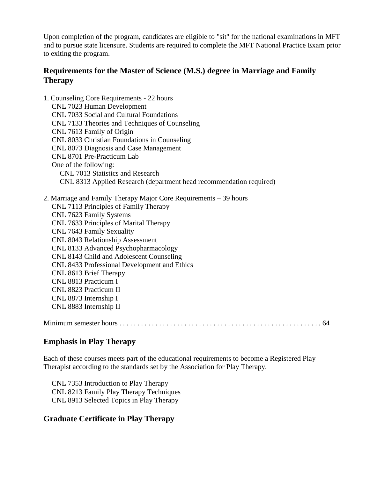Upon completion of the program, candidates are eligible to "sit" for the national examinations in MFT and to pursue state licensure. Students are required to complete the MFT National Practice Exam prior to exiting the program.

# **Requirements for the Master of Science (M.S.) degree in Marriage and Family Therapy**

| 1. Counseling Core Requirements - 22 hours                          |
|---------------------------------------------------------------------|
| CNL 7023 Human Development                                          |
| CNL 7033 Social and Cultural Foundations                            |
| CNL 7133 Theories and Techniques of Counseling                      |
| CNL 7613 Family of Origin                                           |
| CNL 8033 Christian Foundations in Counseling                        |
| CNL 8073 Diagnosis and Case Management                              |
| CNL 8701 Pre-Practicum Lab                                          |
| One of the following:                                               |
| CNL 7013 Statistics and Research                                    |
| CNL 8313 Applied Research (department head recommendation required) |
| 2. Marriage and Family Therapy Major Core Requirements – 39 hours   |
| CNL 7113 Principles of Family Therapy                               |
| CNL 7623 Family Systems                                             |
| CNL 7633 Principles of Marital Therapy                              |
| CNL 7643 Family Sexuality                                           |
| CNL 8043 Relationship Assessment                                    |
| CNL 8133 Advanced Psychopharmacology                                |
| CNL 8143 Child and Adolescent Counseling                            |
| CNL 8433 Professional Development and Ethics                        |
| CNL 8613 Brief Therapy                                              |
| CNL 8813 Practicum I                                                |
| CNL 8823 Practicum II                                               |
| CNL 8873 Internship I                                               |
| CNL 8883 Internship II                                              |
|                                                                     |

# **Emphasis in Play Therapy**

Each of these courses meets part of the educational requirements to become a Registered Play Therapist according to the standards set by the Association for Play Therapy.

CNL 7353 Introduction to Play Therapy CNL 8213 Family Play Therapy Techniques CNL 8913 Selected Topics in Play Therapy

# **Graduate Certificate in Play Therapy**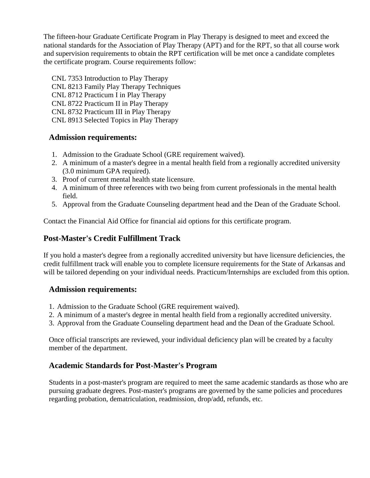The fifteen-hour Graduate Certificate Program in Play Therapy is designed to meet and exceed the national standards for the Association of Play Therapy (APT) and for the RPT, so that all course work and supervision requirements to obtain the RPT certification will be met once a candidate completes the certificate program. Course requirements follow:

CNL 7353 Introduction to Play Therapy CNL 8213 Family Play Therapy Techniques CNL 8712 Practicum I in Play Therapy CNL 8722 Practicum II in Play Therapy CNL 8732 Practicum III in Play Therapy CNL 8913 Selected Topics in Play Therapy

# **Admission requirements:**

- 1. Admission to the Graduate School (GRE requirement waived).
- 2. A minimum of a master's degree in a mental health field from a regionally accredited university (3.0 minimum GPA required).
- 3. Proof of current mental health state licensure.
- 4. A minimum of three references with two being from current professionals in the mental health field.
- 5. Approval from the Graduate Counseling department head and the Dean of the Graduate School.

Contact the Financial Aid Office for financial aid options for this certificate program.

# **Post-Master's Credit Fulfillment Track**

If you hold a master's degree from a regionally accredited university but have licensure deficiencies, the credit fulfillment track will enable you to complete licensure requirements for the State of Arkansas and will be tailored depending on your individual needs. Practicum/Internships are excluded from this option.

# **Admission requirements:**

- 1. Admission to the Graduate School (GRE requirement waived).
- 2. A minimum of a master's degree in mental health field from a regionally accredited university.
- 3. Approval from the Graduate Counseling department head and the Dean of the Graduate School.

Once official transcripts are reviewed, your individual deficiency plan will be created by a faculty member of the department.

# **Academic Standards for Post-Master's Program**

Students in a post-master's program are required to meet the same academic standards as those who are pursuing graduate degrees. Post-master's programs are governed by the same policies and procedures regarding probation, dematriculation, readmission, drop/add, refunds, etc.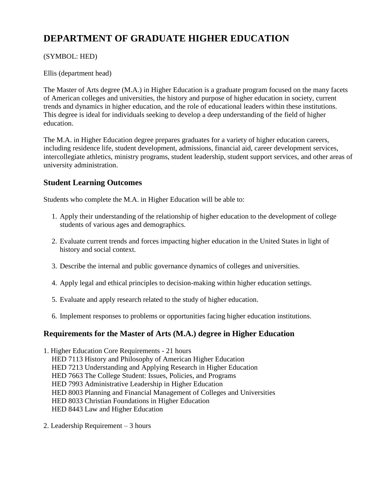# **DEPARTMENT OF GRADUATE HIGHER EDUCATION**

### (SYMBOL: HED)

Ellis (department head)

The Master of Arts degree (M.A.) in Higher Education is a graduate program focused on the many facets of American colleges and universities, the history and purpose of higher education in society, current trends and dynamics in higher education, and the role of educational leaders within these institutions. This degree is ideal for individuals seeking to develop a deep understanding of the field of higher education.

The M.A. in Higher Education degree prepares graduates for a variety of higher education careers, including residence life, student development, admissions, financial aid, career development services, intercollegiate athletics, ministry programs, student leadership, student support services, and other areas of university administration.

# **Student Learning Outcomes**

Students who complete the M.A. in Higher Education will be able to:

- 1. Apply their understanding of the relationship of higher education to the development of college students of various ages and demographics.
- 2. Evaluate current trends and forces impacting higher education in the United States in light of history and social context.
- 3. Describe the internal and public governance dynamics of colleges and universities.
- 4. Apply legal and ethical principles to decision-making within higher education settings.
- 5. Evaluate and apply research related to the study of higher education.
- 6. Implement responses to problems or opportunities facing higher education institutions.

# **Requirements for the Master of Arts (M.A.) degree in Higher Education**

1. Higher Education Core Requirements - 21 hours HED 7113 History and Philosophy of American Higher Education HED 7213 Understanding and Applying Research in Higher Education HED 7663 The College Student: Issues, Policies, and Programs HED 7993 Administrative Leadership in Higher Education HED 8003 Planning and Financial Management of Colleges and Universities HED 8033 Christian Foundations in Higher Education HED 8443 Law and Higher Education

2. Leadership Requirement – 3 hours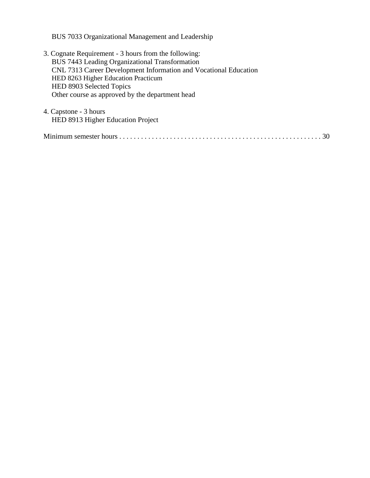BUS 7033 Organizational Management and Leadership

- 3. Cognate Requirement 3 hours from the following: BUS 7443 Leading Organizational Transformation CNL 7313 Career Development Information and Vocational Education HED 8263 Higher Education Practicum HED 8903 Selected Topics Other course as approved by the department head
- 4. Capstone 3 hours HED 8913 Higher Education Project

|--|--|--|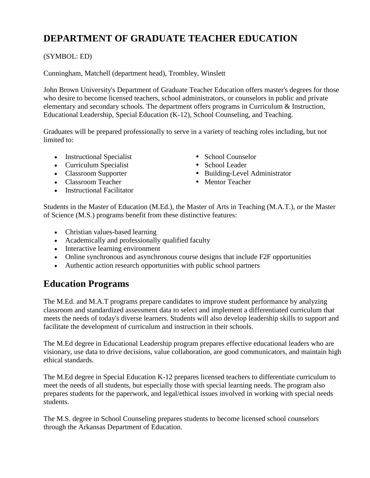# **DEPARTMENT OF GRADUATE TEACHER EDUCATION**

### (SYMBOL: ED)

Cunningham, Matchell (department head), Trombley, Winslett

John Brown University's Department of Graduate Teacher Education offers master's degrees for those who desire to become licensed teachers, school administrators, or counselors in public and private elementary and secondary schools. The department offers programs in Curriculum & Instruction, Educational Leadership, Special Education (K-12), School Counseling, and Teaching.

Graduates will be prepared professionally to serve in a variety of teaching roles including, but not limited to:

- Instructional Specialist School Counselor
- Curriculum Specialist School Leader
- 
- Classroom Teacher Mentor Teacher
- Instructional Facilitator
- 
- 
- Classroom Supporter Building-Level Administrator
	-

Students in the Master of Education (M.Ed.), the Master of Arts in Teaching (M.A.T.), or the Master of Science (M.S.) programs benefit from these distinctive features:

- Christian values-based learning
- Academically and professionally qualified faculty
- Interactive learning environment
- Online synchronous and asynchronous course designs that include F2F opportunities
- Authentic action research opportunities with public school partners

# **Education Programs**

The M.Ed. and M.A.T programs prepare candidates to improve student performance by analyzing classroom and standardized assessment data to select and implement a differentiated curriculum that meets the needs of today's diverse learners. Students will also develop leadership skills to support and facilitate the development of curriculum and instruction in their schools.

The M.Ed degree in Educational Leadership program prepares effective educational leaders who are visionary, use data to drive decisions, value collaboration, are good communicators, and maintain high ethical standards.

The M.Ed degree in Special Education K-12 prepares licensed teachers to differentiate curriculum to meet the needs of all students, but especially those with special learning needs. The program also prepares students for the paperwork, and legal/ethical issues involved in working with special needs students.

The M.S. degree in School Counseling prepares students to become licensed school counselors through the Arkansas Department of Education.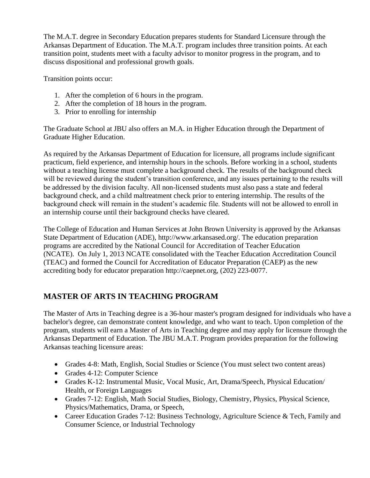The M.A.T. degree in Secondary Education prepares students for Standard Licensure through the Arkansas Department of Education. The M.A.T. program includes three transition points. At each transition point, students meet with a faculty advisor to monitor progress in the program, and to discuss dispositional and professional growth goals.

Transition points occur:

- 1. After the completion of 6 hours in the program.
- 2. After the completion of 18 hours in the program.
- 3. Prior to enrolling for internship

The Graduate School at JBU also offers an M.A. in Higher Education through the Department of Graduate Higher Education.

As required by the Arkansas Department of Education for licensure, all programs include significant practicum, field experience, and internship hours in the schools. Before working in a school, students without a teaching license must complete a background check. The results of the background check will be reviewed during the student's transition conference, and any issues pertaining to the results will be addressed by the division faculty. All non-licensed students must also pass a state and federal background check, and a child maltreatment check prior to entering internship. The results of the background check will remain in the student's academic file. Students will not be allowed to enroll in an internship course until their background checks have cleared.

The College of Education and Human Services at John Brown University is approved by the Arkansas State Department of Education (ADE), http://www.arkansased.org/. The education preparation programs are accredited by the National Council for Accreditation of Teacher Education (NCATE). On July 1, 2013 NCATE consolidated with the Teacher Education Accreditation Council (TEAC) and formed the Council for Accreditation of Educator Preparation (CAEP) as the new accrediting body for educator preparation http://caepnet.org, (202) 223-0077.

# **MASTER OF ARTS IN TEACHING PROGRAM**

The Master of Arts in Teaching degree is a 36-hour master's program designed for individuals who have a bachelor's degree, can demonstrate content knowledge, and who want to teach. Upon completion of the program, students will earn a Master of Arts in Teaching degree and may apply for licensure through the Arkansas Department of Education. The JBU M.A.T. Program provides preparation for the following Arkansas teaching licensure areas:

- Grades 4-8: Math, English, Social Studies or Science (You must select two content areas)
- Grades 4-12: Computer Science
- Grades K-12: Instrumental Music, Vocal Music, Art, Drama/Speech, Physical Education/ Health, or Foreign Languages
- Grades 7-12: English, Math Social Studies, Biology, Chemistry, Physics, Physical Science, Physics/Mathematics, Drama, or Speech,
- Career Education Grades 7-12: Business Technology, Agriculture Science & Tech, Family and Consumer Science, or Industrial Technology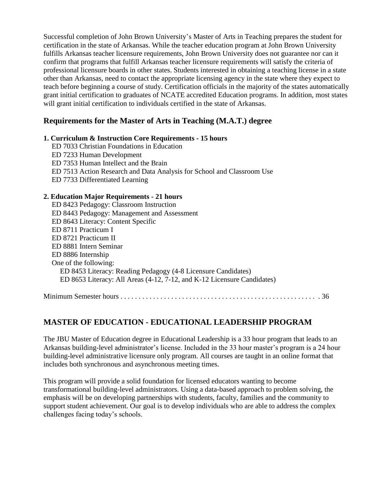Successful completion of John Brown University's Master of Arts in Teaching prepares the student for certification in the state of Arkansas. While the teacher education program at John Brown University fulfills Arkansas teacher licensure requirements, John Brown University does not guarantee nor can it confirm that programs that fulfill Arkansas teacher licensure requirements will satisfy the criteria of professional licensure boards in other states. Students interested in obtaining a teaching license in a state other than Arkansas, need to contact the appropriate licensing agency in the state where they expect to teach before beginning a course of study. Certification officials in the majority of the states automatically grant initial certification to graduates of NCATE accredited Education programs. In addition, most states will grant initial certification to individuals certified in the state of Arkansas.

# **Requirements for the Master of Arts in Teaching (M.A.T.) degree**

### **1. Curriculum & Instruction Core Requirements - 15 hours**

ED 7033 Christian Foundations in Education ED 7233 Human Development ED 7353 Human Intellect and the Brain ED 7513 Action Research and Data Analysis for School and Classroom Use ED 7733 Differentiated Learning

### **2. Education Major Requirements - 21 hours**

| ED 8423 Pedagogy: Classroom Instruction                                 |
|-------------------------------------------------------------------------|
| ED 8443 Pedagogy: Management and Assessment                             |
| ED 8643 Literacy: Content Specific                                      |
| ED 8711 Practicum I                                                     |
| ED 8721 Practicum II                                                    |
| ED 8881 Intern Seminar                                                  |
| ED 8886 Internship                                                      |
| One of the following:                                                   |
| ED 8453 Literacy: Reading Pedagogy (4-8 Licensure Candidates)           |
| ED 8653 Literacy: All Areas (4-12, 7-12, and K-12 Licensure Candidates) |
|                                                                         |

Minimum Semester hours . . . . . . . . . . . . . . . . . . . . . . . . . . . . . . . . . . . . . . . . . . . . . . . . . . . . . . . 36

# **MASTER OF EDUCATION - EDUCATIONAL LEADERSHIP PROGRAM**

The JBU Master of Education degree in Educational Leadership is a 33 hour program that leads to an Arkansas building-level administrator's license. Included in the 33 hour master's program is a 24 hour building-level administrative licensure only program. All courses are taught in an online format that includes both synchronous and asynchronous meeting times.

This program will provide a solid foundation for licensed educators wanting to become transformational building-level administrators. Using a data-based approach to problem solving, the emphasis will be on developing partnerships with students, faculty, families and the community to support student achievement. Our goal is to develop individuals who are able to address the complex challenges facing today's schools.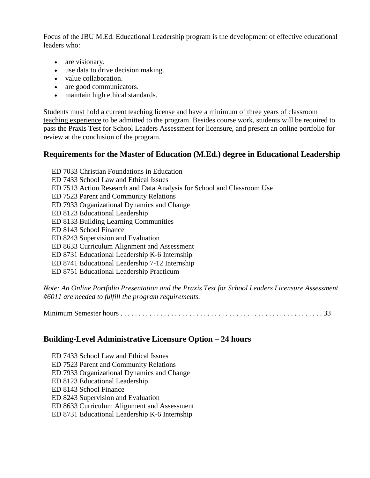Focus of the JBU M.Ed. Educational Leadership program is the development of effective educational leaders who:

- are visionary.
- use data to drive decision making.
- value collaboration.
- are good communicators.
- maintain high ethical standards.

Students must hold a current teaching license and have a minimum of three years of classroom teaching experience to be admitted to the program. Besides course work, students will be required to pass the Praxis Test for School Leaders Assessment for licensure, and present an online portfolio for review at the conclusion of the program.

# **Requirements for the Master of Education (M.Ed.) degree in Educational Leadership**

- ED 7033 Christian Foundations in Education
- ED 7433 School Law and Ethical Issues
- ED 7513 Action Research and Data Analysis for School and Classroom Use
- ED 7523 Parent and Community Relations
- ED 7933 Organizational Dynamics and Change
- ED 8123 Educational Leadership
- ED 8133 Building Learning Communities
- ED 8143 School Finance
- ED 8243 Supervision and Evaluation
- ED 8633 Curriculum Alignment and Assessment
- ED 8731 Educational Leadership K-6 Internship
- ED 8741 Educational Leadership 7-12 Internship
- ED 8751 Educational Leadership Practicum

*Note: An Online Portfolio Presentation and the Praxis Test for School Leaders Licensure Assessment #6011 are needed to fulfill the program requirements.*

Minimum Semester hours . . . . . . . . . . . . . . . . . . . . . . . . . . . . . . . . . . . . . . . . . . . . . . . . . . . . . . . . 33

# **Building-Level Administrative Licensure Option – 24 hours**

ED 7433 School Law and Ethical Issues ED 7523 Parent and Community Relations ED 7933 Organizational Dynamics and Change ED 8123 Educational Leadership ED 8143 School Finance ED 8243 Supervision and Evaluation ED 8633 Curriculum Alignment and Assessment ED 8731 Educational Leadership K-6 Internship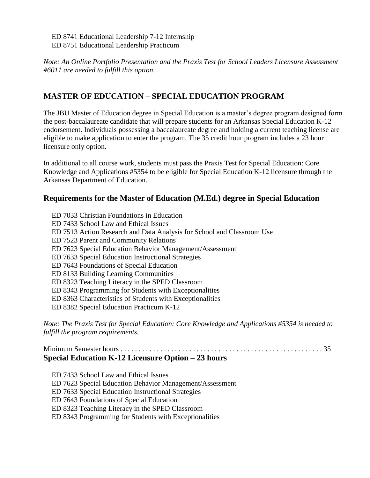ED 8741 Educational Leadership 7-12 Internship ED 8751 Educational Leadership Practicum

*Note: An Online Portfolio Presentation and the Praxis Test for School Leaders Licensure Assessment #6011 are needed to fulfill this option.*

# **MASTER OF EDUCATION – SPECIAL EDUCATION PROGRAM**

The JBU Master of Education degree in Special Education is a master's degree program designed form the post-baccalaureate candidate that will prepare students for an Arkansas Special Education K-12 endorsement. Individuals possessing a baccalaureate degree and holding a current teaching license are eligible to make application to enter the program. The 35 credit hour program includes a 23 hour licensure only option.

In additional to all course work, students must pass the Praxis Test for Special Education: Core Knowledge and Applications #5354 to be eligible for Special Education K-12 licensure through the Arkansas Department of Education.

# **Requirements for the Master of Education (M.Ed.) degree in Special Education**

ED 7033 Christian Foundations in Education ED 7433 School Law and Ethical Issues ED 7513 Action Research and Data Analysis for School and Classroom Use ED 7523 Parent and Community Relations ED 7623 Special Education Behavior Management/Assessment ED 7633 Special Education Instructional Strategies ED 7643 Foundations of Special Education ED 8133 Building Learning Communities ED 8323 Teaching Literacy in the SPED Classroom ED 8343 Programming for Students with Exceptionalities ED 8363 Characteristics of Students with Exceptionalities ED 8382 Special Education Practicum K-12

*Note: The Praxis Test for Special Education: Core Knowledge and Applications #5354 is needed to fulfill the program requirements.*

### Minimum Semester hours . . . . . . . . . . . . . . . . . . . . . . . . . . . . . . . . . . . . . . . . . . . . . . . . . . . . . . . . 35 **Special Education K-12 Licensure Option – 23 hours**

ED 7433 School Law and Ethical Issues

ED 7623 Special Education Behavior Management/Assessment

ED 7633 Special Education Instructional Strategies

ED 7643 Foundations of Special Education

ED 8323 Teaching Literacy in the SPED Classroom

ED 8343 Programming for Students with Exceptionalities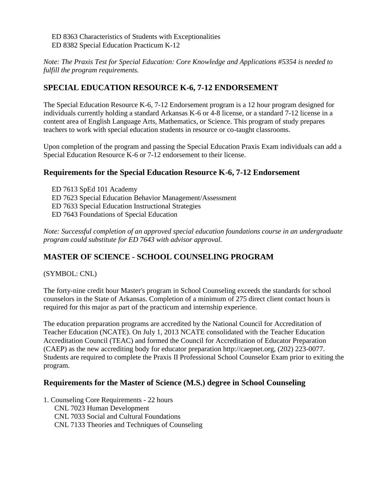ED 8363 Characteristics of Students with Exceptionalities ED 8382 Special Education Practicum K-12

*Note: The Praxis Test for Special Education: Core Knowledge and Applications #5354 is needed to fulfill the program requirements.*

# **SPECIAL EDUCATION RESOURCE K-6, 7-12 ENDORSEMENT**

The Special Education Resource K-6, 7-12 Endorsement program is a 12 hour program designed for individuals currently holding a standard Arkansas K-6 or 4-8 license, or a standard 7-12 license in a content area of English Language Arts, Mathematics, or Science. This program of study prepares teachers to work with special education students in resource or co-taught classrooms.

Upon completion of the program and passing the Special Education Praxis Exam individuals can add a Special Education Resource K-6 or 7-12 endorsement to their license.

# **Requirements for the Special Education Resource K-6, 7-12 Endorsement**

ED 7613 SpEd 101 Academy

ED 7623 Special Education Behavior Management/Assessment

ED 7633 Special Education Instructional Strategies

ED 7643 Foundations of Special Education

*Note: Successful completion of an approved special education foundations course in an undergraduate program could substitute for ED 7643 with advisor approval.*

# **MASTER OF SCIENCE - SCHOOL COUNSELING PROGRAM**

(SYMBOL: CNL)

The forty-nine credit hour Master's program in School Counseling exceeds the standards for school counselors in the State of Arkansas. Completion of a minimum of 275 direct client contact hours is required for this major as part of the practicum and internship experience.

The education preparation programs are accredited by the National Council for Accreditation of Teacher Education (NCATE). On July 1, 2013 NCATE consolidated with the Teacher Education Accreditation Council (TEAC) and formed the Council for Accreditation of Educator Preparation (CAEP) as the new accrediting body for educator preparation http://caepnet.org, (202) 223-0077. Students are required to complete the Praxis II Professional School Counselor Exam prior to exiting the program.

# **Requirements for the Master of Science (M.S.) degree in School Counseling**

1. Counseling Core Requirements - 22 hours CNL 7023 Human Development CNL 7033 Social and Cultural Foundations CNL 7133 Theories and Techniques of Counseling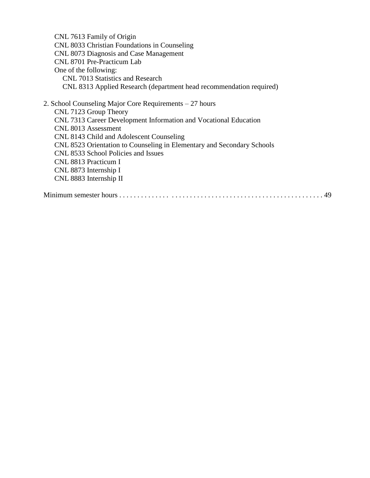CNL 7613 Family of Origin CNL 8033 Christian Foundations in Counseling CNL 8073 Diagnosis and Case Management CNL 8701 Pre-Practicum Lab One of the following: CNL 7013 Statistics and Research CNL 8313 Applied Research (department head recommendation required) 2. School Counseling Major Core Requirements – 27 hours CNL 7123 Group Theory CNL 7313 Career Development Information and Vocational Education CNL 8013 Assessment CNL 8143 Child and Adolescent Counseling CNL 8523 Orientation to Counseling in Elementary and Secondary Schools CNL 8533 School Policies and Issues CNL 8813 Practicum I CNL 8873 Internship I CNL 8883 Internship II Minimum semester hours . . . . . . . . . . . . . . . . . . . . . . . . . . . . . . . . . . . . . . . . . . . . . . . . . . . . . . . . 49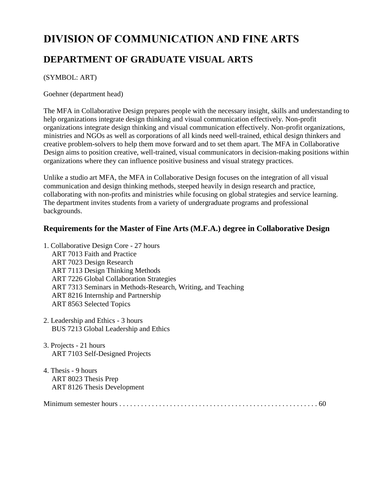# **DIVISION OF COMMUNICATION AND FINE ARTS DEPARTMENT OF GRADUATE VISUAL ARTS**

(SYMBOL: ART)

Goehner (department head)

The MFA in Collaborative Design prepares people with the necessary insight, skills and understanding to help organizations integrate design thinking and visual communication effectively. Non-profit organizations integrate design thinking and visual communication effectively. Non-profit organizations, ministries and NGOs as well as corporations of all kinds need well-trained, ethical design thinkers and creative problem-solvers to help them move forward and to set them apart. The MFA in Collaborative Design aims to position creative, well-trained, visual communicators in decision-making positions within organizations where they can influence positive business and visual strategy practices.

Unlike a studio art MFA, the MFA in Collaborative Design focuses on the integration of all visual communication and design thinking methods, steeped heavily in design research and practice, collaborating with non-profits and ministries while focusing on global strategies and service learning. The department invites students from a variety of undergraduate programs and professional backgrounds.

# **Requirements for the Master of Fine Arts (M.F.A.) degree in Collaborative Design**

- 1. Collaborative Design Core 27 hours ART 7013 Faith and Practice ART 7023 Design Research ART 7113 Design Thinking Methods ART 7226 Global Collaboration Strategies ART 7313 Seminars in Methods-Research, Writing, and Teaching ART 8216 Internship and Partnership ART 8563 Selected Topics
- 2. Leadership and Ethics 3 hours BUS 7213 Global Leadership and Ethics
- 3. Projects 21 hours ART 7103 Self-Designed Projects
- 4. Thesis 9 hours ART 8023 Thesis Prep ART 8126 Thesis Development

Minimum semester hours . . . . . . . . . . . . . . . . . . . . . . . . . . . . . . . . . . . . . . . . . . . . . . . . . . . . . . . 60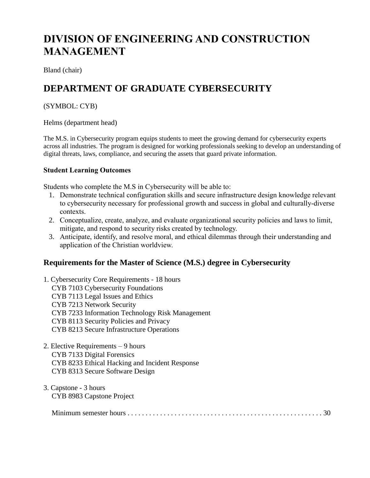# **DIVISION OF ENGINEERING AND CONSTRUCTION MANAGEMENT**

Bland (chair)

# **DEPARTMENT OF GRADUATE CYBERSECURITY**

### (SYMBOL: CYB)

Helms (department head)

The M.S. in Cybersecurity program equips students to meet the growing demand for cybersecurity experts across all industries. The program is designed for working professionals seeking to develop an understanding of digital threats, laws, compliance, and securing the assets that guard private information.

### **Student Learning Outcomes**

Students who complete the M.S in Cybersecurity will be able to:

- 1. Demonstrate technical configuration skills and secure infrastructure design knowledge relevant to cybersecurity necessary for professional growth and success in global and culturally-diverse contexts.
- 2. Conceptualize, create, analyze, and evaluate organizational security policies and laws to limit, mitigate, and respond to security risks created by technology.
- 3. Anticipate, identify, and resolve moral, and ethical dilemmas through their understanding and application of the Christian worldview.

# **Requirements for the Master of Science (M.S.) degree in Cybersecurity**

- 1. Cybersecurity Core Requirements 18 hours CYB 7103 Cybersecurity Foundations CYB 7113 Legal Issues and Ethics CYB 7213 Network Security CYB 7233 Information Technology Risk Management CYB 8113 Security Policies and Privacy CYB 8213 Secure Infrastructure Operations
- 2. Elective Requirements 9 hours CYB 7133 Digital Forensics CYB 8233 Ethical Hacking and Incident Response CYB 8313 Secure Software Design
- 3. Capstone 3 hours CYB 8983 Capstone Project

|--|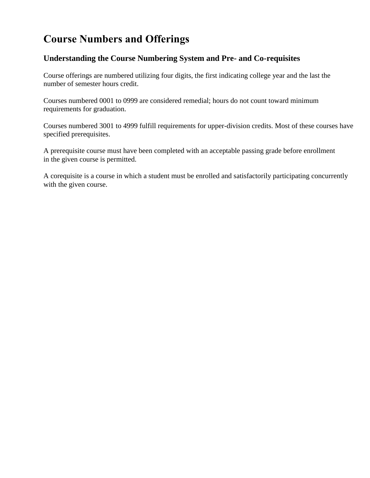# **Course Numbers and Offerings**

# **Understanding the Course Numbering System and Pre- and Co-requisites**

Course offerings are numbered utilizing four digits, the first indicating college year and the last the number of semester hours credit.

Courses numbered 0001 to 0999 are considered remedial; hours do not count toward minimum requirements for graduation.

Courses numbered 3001 to 4999 fulfill requirements for upper-division credits. Most of these courses have specified prerequisites.

A prerequisite course must have been completed with an acceptable passing grade before enrollment in the given course is permitted.

A corequisite is a course in which a student must be enrolled and satisfactorily participating concurrently with the given course.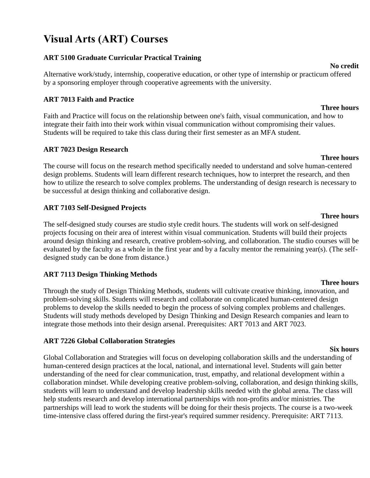# **Visual Arts (ART) Courses**

# **ART 5100 Graduate Curricular Practical Training**

Alternative work/study, internship, cooperative education, or other type of internship or practicum offered by a sponsoring employer through cooperative agreements with the university.

# **ART 7013 Faith and Practice**

Faith and Practice will focus on the relationship between one's faith, visual communication, and how to integrate their faith into their work within visual communication without compromising their values. Students will be required to take this class during their first semester as an MFA student.

### **ART 7023 Design Research**

The course will focus on the research method specifically needed to understand and solve human-centered design problems. Students will learn different research techniques, how to interpret the research, and then how to utilize the research to solve complex problems. The understanding of design research is necessary to be successful at design thinking and collaborative design.

# **ART 7103 Self-Designed Projects**

The self-designed study courses are studio style credit hours. The students will work on self-designed projects focusing on their area of interest within visual communication. Students will build their projects around design thinking and research, creative problem-solving, and collaboration. The studio courses will be evaluated by the faculty as a whole in the first year and by a faculty mentor the remaining year(s). (The selfdesigned study can be done from distance.)

# **ART 7113 Design Thinking Methods**

Through the study of Design Thinking Methods, students will cultivate creative thinking, innovation, and problem-solving skills. Students will research and collaborate on complicated human-centered design problems to develop the skills needed to begin the process of solving complex problems and challenges. Students will study methods developed by Design Thinking and Design Research companies and learn to integrate those methods into their design arsenal. Prerequisites: ART 7013 and ART 7023.

### **ART 7226 Global Collaboration Strategies**

Global Collaboration and Strategies will focus on developing collaboration skills and the understanding of human-centered design practices at the local, national, and international level. Students will gain better understanding of the need for clear communication, trust, empathy, and relational development within a collaboration mindset. While developing creative problem-solving, collaboration, and design thinking skills, students will learn to understand and develop leadership skills needed with the global arena. The class will help students research and develop international partnerships with non-profits and/or ministries. The partnerships will lead to work the students will be doing for their thesis projects. The course is a two-week time-intensive class offered during the first-year's required summer residency. Prerequisite: ART 7113.

**Six hours**

#### **Three hours**

**Three hours**

### **Three hours**

# **Three hours**

**No credit**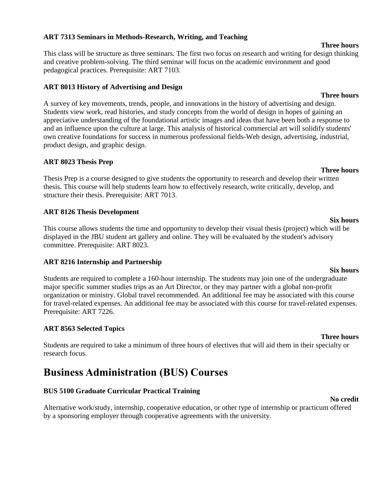### **ART 7313 Seminars in Methods-Research, Writing, and Teaching**

This class will be structure as three seminars. The first two focus on research and writing for design thinking and creative problem-solving. The third seminar will focus on the academic environment and good pedagogical practices. Prerequisite: ART 7103.

### **ART 8013 History of Advertising and Design**

A survey of key movements, trends, people, and innovations in the history of advertising and design. Students view work, read histories, and study concepts from the world of design in hopes of gaining an appreciative understanding of the foundational artistic images and ideas that have been both a response to and an influence upon the culture at large. This analysis of historical commercial art will solidify students' own creative foundations for success in numerous professional fields-Web design, advertising, industrial, product design, and graphic design.

### **ART 8023 Thesis Prep**

Thesis Prep is a course designed to give students the opportunity to research and develop their written thesis. This course will help students learn how to effectively research, write critically, develop, and structure their thesis. Prerequisite: ART 7013.

### **ART 8126 Thesis Development**

This course allows students the time and opportunity to develop their visual thesis (project) which will be displayed in the JBU student art gallery and online. They will be evaluated by the student's advisory committee. Prerequisite: ART 8023.

### **ART 8216 Internship and Partnership**

Students are required to complete a 160-hour internship. The students may join one of the undergraduate major specific summer studies trips as an Art Director, or they may partner with a global non-profit organization or ministry. Global travel recommended. An additional fee may be associated with this course for travel-related expenses. An additional fee may be associated with this course for travel-related expenses. Prerequisite: ART 7226.

# **ART 8563 Selected Topics**

Students are required to take a minimum of three hours of electives that will aid them in their specialty or research focus.

# **Business Administration (BUS) Courses**

# **BUS 5100 Graduate Curricular Practical Training**

Alternative work/study, internship, cooperative education, or other type of internship or practicum offered by a sponsoring employer through cooperative agreements with the university.

### **Six hours**

**Three hours**

# **Three hours**

#### **No credit**

# **Three hours**

# **Six hours**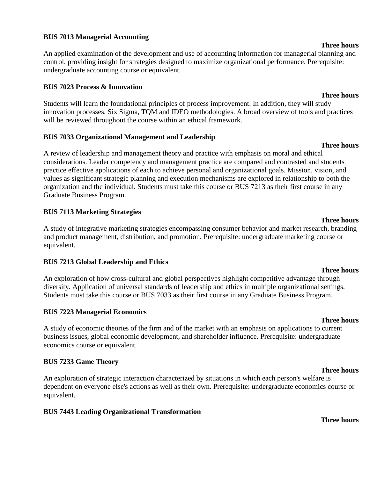#### **BUS 7013 Managerial Accounting**

An applied examination of the development and use of accounting information for managerial planning and control, providing insight for strategies designed to maximize organizational performance. Prerequisite: undergraduate accounting course or equivalent.

#### **BUS 7023 Process & Innovation**

Students will learn the foundational principles of process improvement. In addition, they will study innovation processes, Six Sigma, TQM and IDEO methodologies. A broad overview of tools and practices will be reviewed throughout the course within an ethical framework.

#### **BUS 7033 Organizational Management and Leadership**

A review of leadership and management theory and practice with emphasis on moral and ethical considerations. Leader competency and management practice are compared and contrasted and students practice effective applications of each to achieve personal and organizational goals. Mission, vision, and values as significant strategic planning and execution mechanisms are explored in relationship to both the organization and the individual. Students must take this course or BUS 7213 as their first course in any Graduate Business Program.

#### **BUS 7113 Marketing Strategies**

A study of integrative marketing strategies encompassing consumer behavior and market research, branding and product management, distribution, and promotion. Prerequisite: undergraduate marketing course or equivalent.

### **BUS 7213 Global Leadership and Ethics**

An exploration of how cross-cultural and global perspectives highlight competitive advantage through diversity. Application of universal standards of leadership and ethics in multiple organizational settings. Students must take this course or BUS 7033 as their first course in any Graduate Business Program.

### **BUS 7223 Managerial Economics**

A study of economic theories of the firm and of the market with an emphasis on applications to current business issues, global economic development, and shareholder influence. Prerequisite: undergraduate economics course or equivalent.

### **BUS 7233 Game Theory**

An exploration of strategic interaction characterized by situations in which each person's welfare is dependent on everyone else's actions as well as their own. Prerequisite: undergraduate economics course or equivalent.

# **BUS 7443 Leading Organizational Transformation**

#### **Three hours**

#### **Three hours**

### **Three hours**

# **Three hours**

# **Three hours**

# **Three hours**

# **Three hours**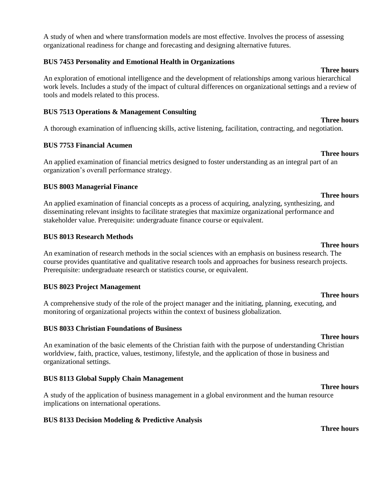A study of when and where transformation models are most effective. Involves the process of assessing organizational readiness for change and forecasting and designing alternative futures.

#### **BUS 7453 Personality and Emotional Health in Organizations**

An exploration of emotional intelligence and the development of relationships among various hierarchical work levels. Includes a study of the impact of cultural differences on organizational settings and a review of tools and models related to this process.

#### **BUS 7513 Operations & Management Consulting**

A thorough examination of influencing skills, active listening, facilitation, contracting, and negotiation.

#### **BUS 7753 Financial Acumen**

An applied examination of financial metrics designed to foster understanding as an integral part of an organization's overall performance strategy.

#### **BUS 8003 Managerial Finance**

An applied examination of financial concepts as a process of acquiring, analyzing, synthesizing, and disseminating relevant insights to facilitate strategies that maximize organizational performance and stakeholder value. Prerequisite: undergraduate finance course or equivalent.

#### **BUS 8013 Research Methods**

An examination of research methods in the social sciences with an emphasis on business research. The course provides quantitative and qualitative research tools and approaches for business research projects. Prerequisite: undergraduate research or statistics course, or equivalent.

### **BUS 8023 Project Management**

A comprehensive study of the role of the project manager and the initiating, planning, executing, and monitoring of organizational projects within the context of business globalization.

#### **BUS 8033 Christian Foundations of Business**

An examination of the basic elements of the Christian faith with the purpose of understanding Christian worldview, faith, practice, values, testimony, lifestyle, and the application of those in business and organizational settings.

### **BUS 8113 Global Supply Chain Management**

A study of the application of business management in a global environment and the human resource implications on international operations.

### **BUS 8133 Decision Modeling & Predictive Analysis**

#### **Three hours**

**Three hours**

# **Three hours**

**Three hours**

# **Three hours**

# **Three hours**

# **Three hours**

# **Three hours**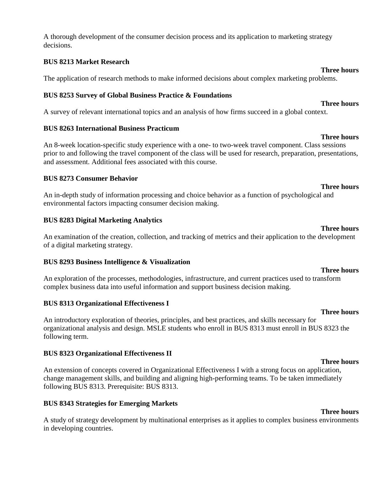A thorough development of the consumer decision process and its application to marketing strategy decisions.

#### **BUS 8213 Market Research**

The application of research methods to make informed decisions about complex marketing problems.

#### **BUS 8253 Survey of Global Business Practice & Foundations**

A survey of relevant international topics and an analysis of how firms succeed in a global context.

#### **BUS 8263 International Business Practicum**

An 8-week location-specific study experience with a one- to two-week travel component. Class sessions prior to and following the travel component of the class will be used for research, preparation, presentations, and assessment. Additional fees associated with this course.

#### **BUS 8273 Consumer Behavior**

An in-depth study of information processing and choice behavior as a function of psychological and environmental factors impacting consumer decision making.

#### **BUS 8283 Digital Marketing Analytics**

An examination of the creation, collection, and tracking of metrics and their application to the development of a digital marketing strategy.

#### **BUS 8293 Business Intelligence & Visualization**

An exploration of the processes, methodologies, infrastructure, and current practices used to transform complex business data into useful information and support business decision making.

### **BUS 8313 Organizational Effectiveness I**

An introductory exploration of theories, principles, and best practices, and skills necessary for organizational analysis and design. MSLE students who enroll in BUS 8313 must enroll in BUS 8323 the following term.

### **BUS 8323 Organizational Effectiveness II**

An extension of concepts covered in Organizational Effectiveness I with a strong focus on application, change management skills, and building and aligning high-performing teams. To be taken immediately following BUS 8313. Prerequisite: BUS 8313.

### **BUS 8343 Strategies for Emerging Markets**

A study of strategy development by multinational enterprises as it applies to complex business environments in developing countries.

#### **Three hours**

#### **Three hours**

# **Three hours**

**Three hours**

### **Three hours**

# **Three hours**

**Three hours**

### **Three hours**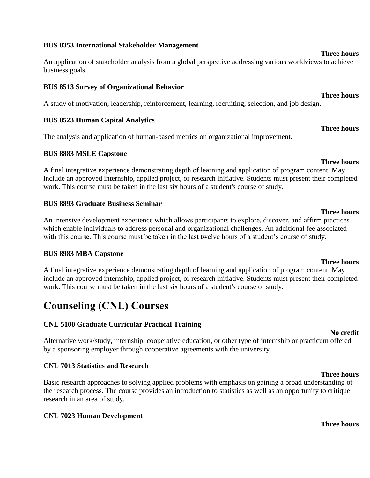#### **BUS 8353 International Stakeholder Management**

An application of stakeholder analysis from a global perspective addressing various worldviews to achieve business goals.

#### **BUS 8513 Survey of Organizational Behavior**

A study of motivation, leadership, reinforcement, learning, recruiting, selection, and job design.

#### **BUS 8523 Human Capital Analytics**

The analysis and application of human-based metrics on organizational improvement.

#### **BUS 8883 MSLE Capstone**

A final integrative experience demonstrating depth of learning and application of program content. May include an approved internship, applied project, or research initiative. Students must present their completed work. This course must be taken in the last six hours of a student's course of study.

#### **BUS 8893 Graduate Business Seminar**

An intensive development experience which allows participants to explore, discover, and affirm practices which enable individuals to address personal and organizational challenges. An additional fee associated with this course. This course must be taken in the last twelve hours of a student's course of study.

#### **BUS 8983 MBA Capstone**

A final integrative experience demonstrating depth of learning and application of program content. May include an approved internship, applied project, or research initiative. Students must present their completed work. This course must be taken in the last six hours of a student's course of study.

# **Counseling (CNL) Courses**

### **CNL 5100 Graduate Curricular Practical Training**

Alternative work/study, internship, cooperative education, or other type of internship or practicum offered by a sponsoring employer through cooperative agreements with the university.

#### **CNL 7013 Statistics and Research**

Basic research approaches to solving applied problems with emphasis on gaining a broad understanding of the research process. The course provides an introduction to statistics as well as an opportunity to critique research in an area of study.

#### **CNL 7023 Human Development**

# **Three hours**

#### **Three hours**

# **Three hours**

**Three hours**

**No credit**

**Three hours**

# **Three hours**

# **Three hours**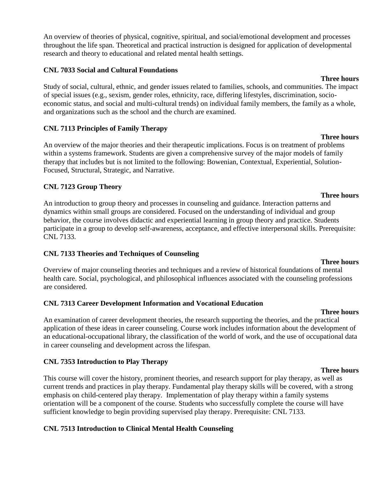An overview of theories of physical, cognitive, spiritual, and social/emotional development and processes throughout the life span. Theoretical and practical instruction is designed for application of developmental research and theory to educational and related mental health settings.

### **CNL 7033 Social and Cultural Foundations**

**Three hours** Study of social, cultural, ethnic, and gender issues related to families, schools, and communities. The impact of special issues (e.g., sexism, gender roles, ethnicity, race, differing lifestyles, discrimination, socioeconomic status, and social and multi-cultural trends) on individual family members, the family as a whole, and organizations such as the school and the church are examined.

# **CNL 7113 Principles of Family Therapy**

An overview of the major theories and their therapeutic implications. Focus is on treatment of problems within a systems framework. Students are given a comprehensive survey of the major models of family therapy that includes but is not limited to the following: Bowenian, Contextual, Experiential, Solution-Focused, Structural, Strategic, and Narrative.

### **CNL 7123 Group Theory**

An introduction to group theory and processes in counseling and guidance. Interaction patterns and dynamics within small groups are considered. Focused on the understanding of individual and group behavior, the course involves didactic and experiential learning in group theory and practice. Students participate in a group to develop self-awareness, acceptance, and effective interpersonal skills. Prerequisite: CNL 7133.

### **CNL 7133 Theories and Techniques of Counseling**

Overview of major counseling theories and techniques and a review of historical foundations of mental health care. Social, psychological, and philosophical influences associated with the counseling professions are considered.

### **CNL 7313 Career Development Information and Vocational Education**

An examination of career development theories, the research supporting the theories, and the practical application of these ideas in career counseling. Course work includes information about the development of an educational-occupational library, the classification of the world of work, and the use of occupational data in career counseling and development across the lifespan.

# **CNL 7353 Introduction to Play Therapy**

This course will cover the history, prominent theories, and research support for play therapy, as well as current trends and practices in play therapy. Fundamental play therapy skills will be covered, with a strong emphasis on child-centered play therapy. Implementation of play therapy within a family systems orientation will be a component of the course. Students who successfully complete the course will have sufficient knowledge to begin providing supervised play therapy. Prerequisite: CNL 7133.

# **CNL 7513 Introduction to Clinical Mental Health Counseling**

# **Three hours**

**Three hours**

# **Three hours**

**Three hours**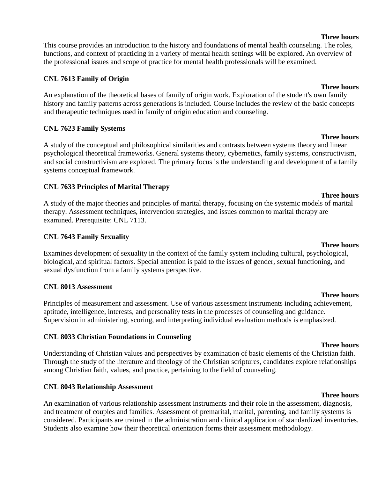This course provides an introduction to the history and foundations of mental health counseling. The roles, functions, and context of practicing in a variety of mental health settings will be explored. An overview of the professional issues and scope of practice for mental health professionals will be examined.

### **CNL 7613 Family of Origin**

An explanation of the theoretical bases of family of origin work. Exploration of the student's own family history and family patterns across generations is included. Course includes the review of the basic concepts and therapeutic techniques used in family of origin education and counseling.

# **CNL 7623 Family Systems**

A study of the conceptual and philosophical similarities and contrasts between systems theory and linear psychological theoretical frameworks. General systems theory, cybernetics, family systems, constructivism, and social constructivism are explored. The primary focus is the understanding and development of a family systems conceptual framework.

# **CNL 7633 Principles of Marital Therapy**

**Three hours** A study of the major theories and principles of marital therapy, focusing on the systemic models of marital therapy. Assessment techniques, intervention strategies, and issues common to marital therapy are examined. Prerequisite: CNL 7113.

# **CNL 7643 Family Sexuality**

Examines development of sexuality in the context of the family system including cultural, psychological, biological, and spiritual factors. Special attention is paid to the issues of gender, sexual functioning, and sexual dysfunction from a family systems perspective.

# **CNL 8013 Assessment**

Principles of measurement and assessment. Use of various assessment instruments including achievement, aptitude, intelligence, interests, and personality tests in the processes of counseling and guidance. Supervision in administering, scoring, and interpreting individual evaluation methods is emphasized.

# **CNL 8033 Christian Foundations in Counseling**

Understanding of Christian values and perspectives by examination of basic elements of the Christian faith. Through the study of the literature and theology of the Christian scriptures, candidates explore relationships among Christian faith, values, and practice, pertaining to the field of counseling.

# **CNL 8043 Relationship Assessment**

An examination of various relationship assessment instruments and their role in the assessment, diagnosis, and treatment of couples and families. Assessment of premarital, marital, parenting, and family systems is considered. Participants are trained in the administration and clinical application of standardized inventories. Students also examine how their theoretical orientation forms their assessment methodology.

#### **Three hours**

### **Three hours**

# **Three hours**

#### **Three hours**

**Three hours**

#### **Three hours**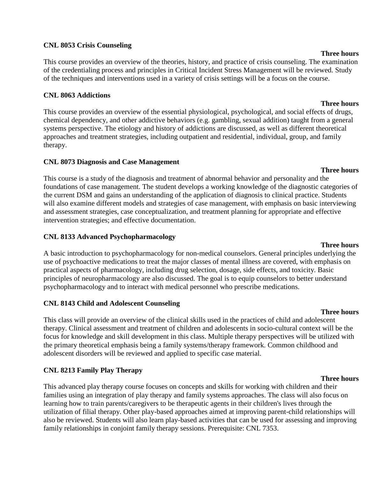#### **CNL 8053 Crisis Counseling**

This course provides an overview of the theories, history, and practice of crisis counseling. The examination of the credentialing process and principles in Critical Incident Stress Management will be reviewed. Study of the techniques and interventions used in a variety of crisis settings will be a focus on the course.

#### **CNL 8063 Addictions**

**Three hours** This course provides an overview of the essential physiological, psychological, and social effects of drugs, chemical dependency, and other addictive behaviors (e.g. gambling, sexual addition) taught from a general systems perspective. The etiology and history of addictions are discussed, as well as different theoretical approaches and treatment strategies, including outpatient and residential, individual, group, and family therapy.

#### **CNL 8073 Diagnosis and Case Management**

This course is a study of the diagnosis and treatment of abnormal behavior and personality and the foundations of case management. The student develops a working knowledge of the diagnostic categories of the current DSM and gains an understanding of the application of diagnosis to clinical practice. Students will also examine different models and strategies of case management, with emphasis on basic interviewing and assessment strategies, case conceptualization, and treatment planning for appropriate and effective intervention strategies; and effective documentation.

#### **CNL 8133 Advanced Psychopharmacology**

A basic introduction to psychopharmacology for non-medical counselors. General principles underlying the use of psychoactive medications to treat the major classes of mental illness are covered, with emphasis on practical aspects of pharmacology, including drug selection, dosage, side effects, and toxicity. Basic principles of neuropharmacology are also discussed. The goal is to equip counselors to better understand psychopharmacology and to interact with medical personnel who prescribe medications.

#### **CNL 8143 Child and Adolescent Counseling**

This class will provide an overview of the clinical skills used in the practices of child and adolescent therapy. Clinical assessment and treatment of children and adolescents in socio-cultural context will be the focus for knowledge and skill development in this class. Multiple therapy perspectives will be utilized with the primary theoretical emphasis being a family systems/therapy framework. Common childhood and adolescent disorders will be reviewed and applied to specific case material.

#### **CNL 8213 Family Play Therapy**

This advanced play therapy course focuses on concepts and skills for working with children and their families using an integration of play therapy and family systems approaches. The class will also focus on learning how to train parents/caregivers to be therapeutic agents in their children's lives through the utilization of filial therapy. Other play-based approaches aimed at improving parent-child relationships will also be reviewed. Students will also learn play-based activities that can be used for assessing and improving family relationships in conjoint family therapy sessions. Prerequisite: CNL 7353.

#### **Three hours**

## **Three hours**

### **Three hours**

**Three hours**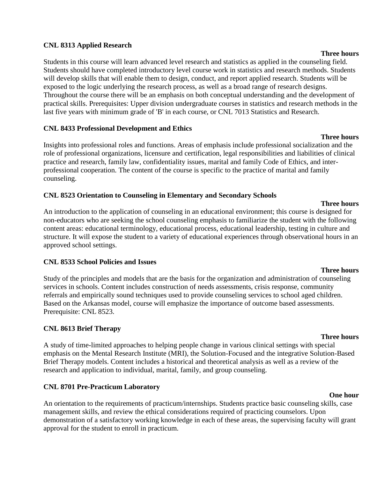#### **CNL 8313 Applied Research**

Students in this course will learn advanced level research and statistics as applied in the counseling field. Students should have completed introductory level course work in statistics and research methods. Students will develop skills that will enable them to design, conduct, and report applied research. Students will be exposed to the logic underlying the research process, as well as a broad range of research designs. Throughout the course there will be an emphasis on both conceptual understanding and the development of practical skills. Prerequisites: Upper division undergraduate courses in statistics and research methods in the last five years with minimum grade of 'B' in each course, or CNL 7013 Statistics and Research.

#### **CNL 8433 Professional Development and Ethics**

Insights into professional roles and functions. Areas of emphasis include professional socialization and the role of professional organizations, licensure and certification, legal responsibilities and liabilities of clinical practice and research, family law, confidentiality issues, marital and family Code of Ethics, and interprofessional cooperation. The content of the course is specific to the practice of marital and family counseling.

#### **CNL 8523 Orientation to Counseling in Elementary and Secondary Schools**

**Three hours** An introduction to the application of counseling in an educational environment; this course is designed for non-educators who are seeking the school counseling emphasis to familiarize the student with the following content areas: educational terminology, educational process, educational leadership, testing in culture and structure. It will expose the student to a variety of educational experiences through observational hours in an approved school settings.

#### **CNL 8533 School Policies and Issues**

Study of the principles and models that are the basis for the organization and administration of counseling services in schools. Content includes construction of needs assessments, crisis response, community referrals and empirically sound techniques used to provide counseling services to school aged children. Based on the Arkansas model, course will emphasize the importance of outcome based assessments. Prerequisite: CNL 8523.

#### **CNL 8613 Brief Therapy**

A study of time-limited approaches to helping people change in various clinical settings with special emphasis on the Mental Research Institute (MRI), the Solution-Focused and the integrative Solution-Based Brief Therapy models. Content includes a historical and theoretical analysis as well as a review of the research and application to individual, marital, family, and group counseling.

#### **CNL 8701 Pre-Practicum Laboratory**

An orientation to the requirements of practicum/internships. Students practice basic counseling skills, case management skills, and review the ethical considerations required of practicing counselors. Upon demonstration of a satisfactory working knowledge in each of these areas, the supervising faculty will grant approval for the student to enroll in practicum.

#### **Three hours**

**Three hours**

#### **Three hours**

## **Three hours**

#### **One hour**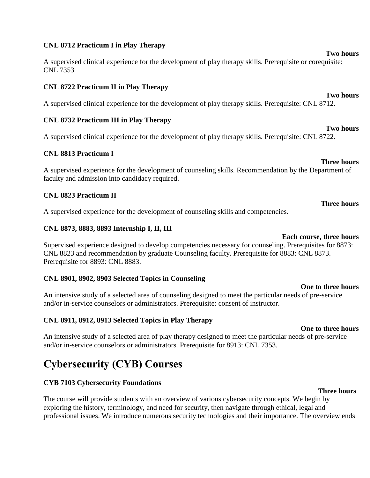#### **CNL 8712 Practicum I in Play Therapy**

A supervised clinical experience for the development of play therapy skills. Prerequisite or corequisite: CNL 7353.

### **CNL 8722 Practicum II in Play Therapy**

A supervised clinical experience for the development of play therapy skills. Prerequisite: CNL 8712.

### **CNL 8732 Practicum III in Play Therapy**

A supervised clinical experience for the development of play therapy skills. Prerequisite: CNL 8722.

### **CNL 8813 Practicum I**

A supervised experience for the development of counseling skills. Recommendation by the Department of faculty and admission into candidacy required.

#### **CNL 8823 Practicum II**

A supervised experience for the development of counseling skills and competencies.

#### **CNL 8873, 8883, 8893 Internship I, II, III**

Supervised experience designed to develop competencies necessary for counseling. Prerequisites for 8873: CNL 8823 and recommendation by graduate Counseling faculty. Prerequisite for 8883: CNL 8873. Prerequisite for 8893: CNL 8883.

#### **CNL 8901, 8902, 8903 Selected Topics in Counseling**

An intensive study of a selected area of counseling designed to meet the particular needs of pre-service and/or in-service counselors or administrators. Prerequisite: consent of instructor.

#### **CNL 8911, 8912, 8913 Selected Topics in Play Therapy**

## **One to three hours**

An intensive study of a selected area of play therapy designed to meet the particular needs of pre-service and/or in-service counselors or administrators. Prerequisite for 8913: CNL 7353.

## **Cybersecurity (CYB) Courses**

#### **CYB 7103 Cybersecurity Foundations**

The course will provide students with an overview of various cybersecurity concepts. We begin by exploring the history, terminology, and need for security, then navigate through ethical, legal and professional issues. We introduce numerous security technologies and their importance. The overview ends

**Two hours**

**Two hours**

# **Two hours**

**Three hours**

**Three hours**

#### **Each course, three hours**

### **One to three hours**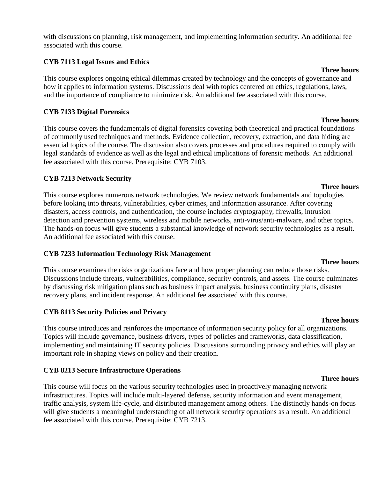with discussions on planning, risk management, and implementing information security. An additional fee associated with this course.

### **CYB 7113 Legal Issues and Ethics**

This course explores ongoing ethical dilemmas created by technology and the concepts of governance and how it applies to information systems. Discussions deal with topics centered on ethics, regulations, laws, and the importance of compliance to minimize risk. An additional fee associated with this course.

### **CYB 7133 Digital Forensics**

**Three hours** This course covers the fundamentals of digital forensics covering both theoretical and practical foundations of commonly used techniques and methods. Evidence collection, recovery, extraction, and data hiding are essential topics of the course. The discussion also covers processes and procedures required to comply with legal standards of evidence as well as the legal and ethical implications of forensic methods. An additional fee associated with this course. Prerequisite: CYB 7103.

### **CYB 7213 Network Security**

This course explores numerous network technologies. We review network fundamentals and topologies before looking into threats, vulnerabilities, cyber crimes, and information assurance. After covering disasters, access controls, and authentication, the course includes cryptography, firewalls, intrusion detection and prevention systems, wireless and mobile networks, anti-virus/anti-malware, and other topics. The hands-on focus will give students a substantial knowledge of network security technologies as a result. An additional fee associated with this course.

#### **CYB 7233 Information Technology Risk Management**

This course examines the risks organizations face and how proper planning can reduce those risks. Discussions include threats, vulnerabilities, compliance, security controls, and assets. The course culminates by discussing risk mitigation plans such as business impact analysis, business continuity plans, disaster recovery plans, and incident response. An additional fee associated with this course.

### **CYB 8113 Security Policies and Privacy**

**Three hours** This course introduces and reinforces the importance of information security policy for all organizations. Topics will include governance, business drivers, types of policies and frameworks, data classification, implementing and maintaining IT security policies. Discussions surrounding privacy and ethics will play an important role in shaping views on policy and their creation.

### **CYB 8213 Secure Infrastructure Operations**

This course will focus on the various security technologies used in proactively managing network infrastructures. Topics will include multi-layered defense, security information and event management, traffic analysis, system life-cycle, and distributed management among others. The distinctly hands-on focus will give students a meaningful understanding of all network security operations as a result. An additional fee associated with this course. Prerequisite: CYB 7213.

#### **Three hours**

#### **Three hours**

**Three hours**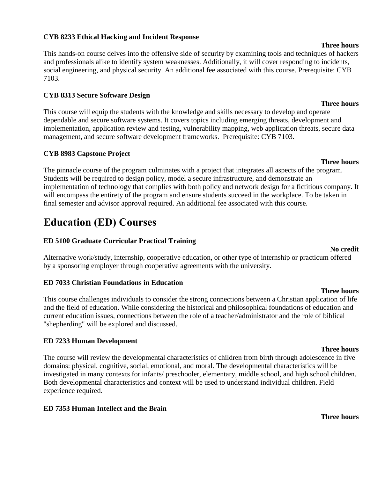#### **CYB 8233 Ethical Hacking and Incident Response**

This hands-on course delves into the offensive side of security by examining tools and techniques of hackers and professionals alike to identify system weaknesses. Additionally, it will cover responding to incidents, social engineering, and physical security. An additional fee associated with this course. Prerequisite: CYB 7103.

#### **CYB 8313 Secure Software Design**

This course will equip the students with the knowledge and skills necessary to develop and operate dependable and secure software systems. It covers topics including emerging threats, development and implementation, application review and testing, vulnerability mapping, web application threats, secure data management, and secure software development frameworks. Prerequisite: CYB 7103.

#### **CYB 8983 Capstone Project**

The pinnacle course of the program culminates with a project that integrates all aspects of the program. Students will be required to design policy, model a secure infrastructure, and demonstrate an implementation of technology that complies with both policy and network design for a fictitious company. It will encompass the entirety of the program and ensure students succeed in the workplace. To be taken in final semester and advisor approval required. An additional fee associated with this course.

## **Education (ED) Courses**

#### **ED 5100 Graduate Curricular Practical Training**

#### **No credit** Alternative work/study, internship, cooperative education, or other type of internship or practicum offered by a sponsoring employer through cooperative agreements with the university.

#### **ED 7033 Christian Foundations in Education**

This course challenges individuals to consider the strong connections between a Christian application of life and the field of education. While considering the historical and philosophical foundations of education and current education issues, connections between the role of a teacher/administrator and the role of biblical "shepherding" will be explored and discussed.

#### **ED 7233 Human Development**

The course will review the developmental characteristics of children from birth through adolescence in five domains: physical, cognitive, social, emotional, and moral. The developmental characteristics will be investigated in many contexts for infants/ preschooler, elementary, middle school, and high school children. Both developmental characteristics and context will be used to understand individual children. Field experience required.

#### **ED 7353 Human Intellect and the Brain**

#### **Three hours**

#### **Three hours**

#### **Three hours**

#### **Three hours**

**Three hours**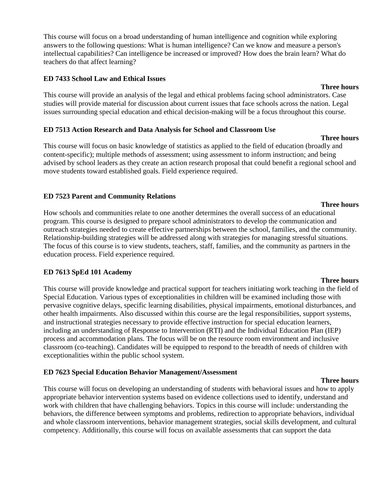This course will focus on a broad understanding of human intelligence and cognition while exploring answers to the following questions: What is human intelligence? Can we know and measure a person's intellectual capabilities? Can intelligence be increased or improved? How does the brain learn? What do teachers do that affect learning?

#### **ED 7433 School Law and Ethical Issues**

#### **Three hours**

**Three hours**

This course will provide an analysis of the legal and ethical problems facing school administrators. Case studies will provide material for discussion about current issues that face schools across the nation. Legal issues surrounding special education and ethical decision-making will be a focus throughout this course.

#### **ED 7513 Action Research and Data Analysis for School and Classroom Use**

This course will focus on basic knowledge of statistics as applied to the field of education (broadly and content-specific); multiple methods of assessment; using assessment to inform instruction; and being advised by school leaders as they create an action research proposal that could benefit a regional school and move students toward established goals. Field experience required.

### **ED 7523 Parent and Community Relations**

How schools and communities relate to one another determines the overall success of an educational program. This course is designed to prepare school administrators to develop the communication and outreach strategies needed to create effective partnerships between the school, families, and the community. Relationship-building strategies will be addressed along with strategies for managing stressful situations. The focus of this course is to view students, teachers, staff, families, and the community as partners in the education process. Field experience required.

#### **ED 7613 SpEd 101 Academy**

This course will provide knowledge and practical support for teachers initiating work teaching in the field of Special Education. Various types of exceptionalities in children will be examined including those with pervasive cognitive delays, specific learning disabilities, physical impairments, emotional disturbances, and other health impairments. Also discussed within this course are the legal responsibilities, support systems, and instructional strategies necessary to provide effective instruction for special education learners, including an understanding of Response to Intervention (RTI) and the Individual Education Plan (IEP) process and accommodation plans. The focus will be on the resource room environment and inclusive classroom (co-teaching). Candidates will be equipped to respond to the breadth of needs of children with exceptionalities within the public school system.

#### **ED 7623 Special Education Behavior Management/Assessment**

This course will focus on developing an understanding of students with behavioral issues and how to apply appropriate behavior intervention systems based on evidence collections used to identify, understand and work with children that have challenging behaviors. Topics in this course will include: understanding the behaviors, the difference between symptoms and problems, redirection to appropriate behaviors, individual and whole classroom interventions, behavior management strategies, social skills development, and cultural competency. Additionally, this course will focus on available assessments that can support the data

#### **Three hours**

#### **Three hours**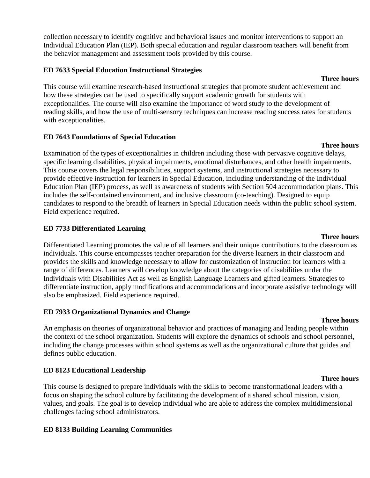collection necessary to identify cognitive and behavioral issues and monitor interventions to support an Individual Education Plan (IEP). Both special education and regular classroom teachers will benefit from the behavior management and assessment tools provided by this course.

#### **ED 7633 Special Education Instructional Strategies**

**Three hours** This course will examine research-based instructional strategies that promote student achievement and how these strategies can be used to specifically support academic growth for students with exceptionalities. The course will also examine the importance of word study to the development of reading skills, and how the use of multi-sensory techniques can increase reading success rates for students with exceptionalities.

#### **ED 7643 Foundations of Special Education**

Examination of the types of exceptionalities in children including those with pervasive cognitive delays, specific learning disabilities, physical impairments, emotional disturbances, and other health impairments. This course covers the legal responsibilities, support systems, and instructional strategies necessary to provide effective instruction for learners in Special Education, including understanding of the Individual Education Plan (IEP) process, as well as awareness of students with Section 504 accommodation plans. This includes the self-contained environment, and inclusive classroom (co-teaching). Designed to equip candidates to respond to the breadth of learners in Special Education needs within the public school system. Field experience required.

#### **ED 7733 Differentiated Learning**

### Differentiated Learning promotes the value of all learners and their unique contributions to the classroom as individuals. This course encompasses teacher preparation for the diverse learners in their classroom and provides the skills and knowledge necessary to allow for customization of instruction for learners with a range of differences. Learners will develop knowledge about the categories of disabilities under the Individuals with Disabilities Act as well as English Language Learners and gifted learners. Strategies to differentiate instruction, apply modifications and accommodations and incorporate assistive technology will also be emphasized. Field experience required.

### **ED 7933 Organizational Dynamics and Change**

#### **Three hours** An emphasis on theories of organizational behavior and practices of managing and leading people within the context of the school organization. Students will explore the dynamics of schools and school personnel, including the change processes within school systems as well as the organizational culture that guides and defines public education.

### **ED 8123 Educational Leadership**

This course is designed to prepare individuals with the skills to become transformational leaders with a focus on shaping the school culture by facilitating the development of a shared school mission, vision, values, and goals. The goal is to develop individual who are able to address the complex multidimensional challenges facing school administrators.

### **ED 8133 Building Learning Communities**

#### **Three hours**

#### **Three hours**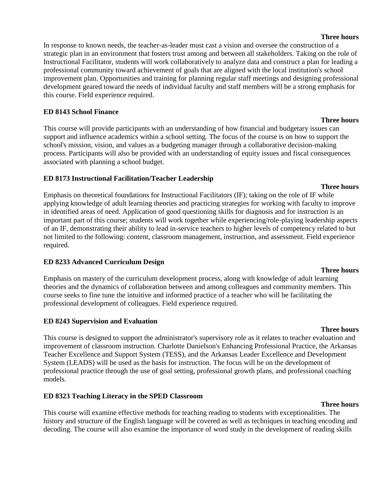#### **Three hours**

In response to known needs, the teacher-as-leader must cast a vision and oversee the construction of a strategic plan in an environment that fosters trust among and between all stakeholders. Taking on the role of Instructional Facilitator, students will work collaboratively to analyze data and construct a plan for leading a professional community toward achievement of goals that are aligned with the local institution's school improvement plan. Opportunities and training for planning regular staff meetings and designing professional development geared toward the needs of individual faculty and staff members will be a strong emphasis for this course. Field experience required.

#### **ED 8143 School Finance**

This course will provide participants with an understanding of how financial and budgetary issues can support and influence academics within a school setting. The focus of the course is on how to support the school's mission, vision, and values as a budgeting manager through a collaborative decision-making process. Participants will also be provided with an understanding of equity issues and fiscal consequences associated with planning a school budget.

#### **ED 8173 Instructional Facilitation/Teacher Leadership**

Emphasis on theoretical foundations for Instructional Facilitators (IF); taking on the role of IF while applying knowledge of adult learning theories and practicing strategies for working with faculty to improve in identified areas of need. Application of good questioning skills for diagnosis and for instruction is an important part of this course; students will work together while experiencing/role-playing leadership aspects of an IF, demonstrating their ability to lead in-service teachers to higher levels of competency related to but not limited to the following: content, classroom management, instruction, and assessment. Field experience required.

#### **ED 8233 Advanced Curriculum Design**

Emphasis on mastery of the curriculum development process, along with knowledge of adult learning theories and the dynamics of collaboration between and among colleagues and community members. This course seeks to fine tune the intuitive and informed practice of a teacher who will be facilitating the professional development of colleagues. Field experience required.

#### **ED 8243 Supervision and Evaluation**

#### **Three hours**

This course is designed to support the administrator's supervisory role as it relates to teacher evaluation and improvement of classroom instruction. Charlotte Danielson's Enhancing Professional Practice, the Arkansas Teacher Excellence and Support System (TESS), and the Arkansas Leader Excellence and Development System (LEADS) will be used as the basis for instruction. The focus will be on the development of professional practice through the use of goal setting, professional growth plans, and professional coaching models.

#### **ED 8323 Teaching Literacy in the SPED Classroom**

#### **Three hours**

This course will examine effective methods for teaching reading to students with exceptionalities. The history and structure of the English language will be covered as well as techniques in teaching encoding and decoding. The course will also examine the importance of word study in the development of reading skills

#### **Three hours**

#### **Three hours**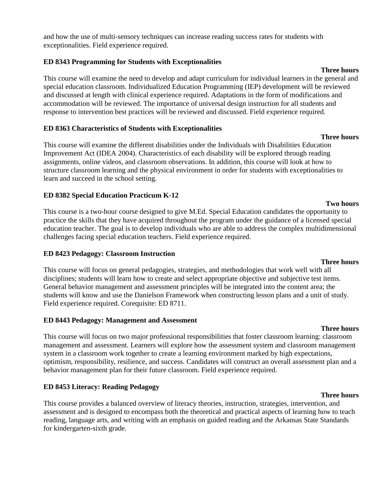and how the use of multi-sensory techniques can increase reading success rates for students with exceptionalities. Field experience required.

### **ED 8343 Programming for Students with Exceptionalities**

This course will examine the need to develop and adapt curriculum for individual learners in the general and special education classroom. Individualized Education Programming (IEP) development will be reviewed and discussed at length with clinical experience required. Adaptations in the form of modifications and accommodation will be reviewed. The importance of universal design instruction for all students and response to intervention best practices will be reviewed and discussed. Field experience required.

### **ED 8363 Characteristics of Students with Exceptionalities**

This course will examine the different disabilities under the Individuals with Disabilities Education Improvement Act (IDEA 2004). Characteristics of each disability will be explored through reading assignments, online videos, and classroom observations. In addition, this course will look at how to structure classroom learning and the physical environment in order for students with exceptionalities to learn and succeed in the school setting.

### **ED 8382 Special Education Practicum K-12**

This course is a two-hour course designed to give M.Ed. Special Education candidates the opportunity to practice the skills that they have acquired throughout the program under the guidance of a licensed special education teacher. The goal is to develop individuals who are able to address the complex multidimensional challenges facing special education teachers. Field experience required.

#### **ED 8423 Pedagogy: Classroom Instruction**

This course will focus on general pedagogies, strategies, and methodologies that work well with all disciplines; students will learn how to create and select appropriate objective and subjective test items. General behavior management and assessment principles will be integrated into the content area; the students will know and use the Danielson Framework when constructing lesson plans and a unit of study. Field experience required. Corequisite: ED 8711.

#### **ED 8443 Pedagogy: Management and Assessment**

This course will focus on two major professional responsibilities that foster classroom learning: classroom management and assessment. Learners will explore how the assessment system and classroom management system in a classroom work together to create a learning environment marked by high expectations, optimism, responsibility, resilience, and success. Candidates will construct an overall assessment plan and a behavior management plan for their future classroom. Field experience required.

### **ED 8453 Literacy: Reading Pedagogy**

**Three hours** This course provides a balanced overview of literacy theories, instruction, strategies, intervention, and assessment and is designed to encompass both the theoretical and practical aspects of learning how to teach reading, language arts, and writing with an emphasis on guided reading and the Arkansas State Standards for kindergarten-sixth grade.

#### **Three hours**

**Three hours**

## **Three hours**

### **Two hours**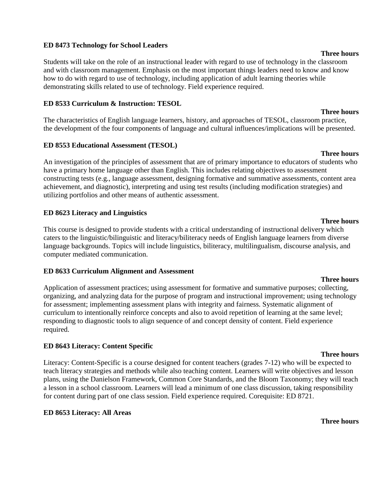#### **ED 8473 Technology for School Leaders**

Students will take on the role of an instructional leader with regard to use of technology in the classroom and with classroom management. Emphasis on the most important things leaders need to know and know how to do with regard to use of technology, including application of adult learning theories while demonstrating skills related to use of technology. Field experience required.

#### **ED 8533 Curriculum & Instruction: TESOL**

The characteristics of English language learners, history, and approaches of TESOL, classroom practice, the development of the four components of language and cultural influences/implications will be presented.

#### **ED 8553 Educational Assessment (TESOL)**

An investigation of the principles of assessment that are of primary importance to educators of students who have a primary home language other than English. This includes relating objectives to assessment constructing tests (e.g., language assessment, designing formative and summative assessments, content area achievement, and diagnostic), interpreting and using test results (including modification strategies) and utilizing portfolios and other means of authentic assessment.

#### **ED 8623 Literacy and Linguistics**

This course is designed to provide students with a critical understanding of instructional delivery which caters to the linguistic/bilinguistic and literacy/biliteracy needs of English language learners from diverse language backgrounds. Topics will include linguistics, biliteracy, multilingualism, discourse analysis, and computer mediated communication.

#### **ED 8633 Curriculum Alignment and Assessment**

Application of assessment practices; using assessment for formative and summative purposes; collecting, organizing, and analyzing data for the purpose of program and instructional improvement; using technology for assessment; implementing assessment plans with integrity and fairness. Systematic alignment of curriculum to intentionally reinforce concepts and also to avoid repetition of learning at the same level; responding to diagnostic tools to align sequence of and concept density of content. Field experience required.

#### **ED 8643 Literacy: Content Specific**

Literacy: Content-Specific is a course designed for content teachers (grades 7-12) who will be expected to teach literacy strategies and methods while also teaching content. Learners will write objectives and lesson plans, using the Danielson Framework, Common Core Standards, and the Bloom Taxonomy; they will teach a lesson in a school classroom. Learners will lead a minimum of one class discussion, taking responsibility for content during part of one class session. Field experience required. Corequisite: ED 8721.

#### **ED 8653 Literacy: All Areas**

#### **Three hours**

#### **Three hours**

#### **Three hours**

**Three hours**

### **Three hours**

#### **Three hours**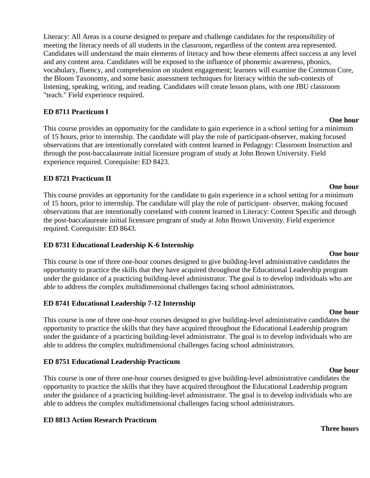Literacy: All Areas is a course designed to prepare and challenge candidates for the responsibility of meeting the literacy needs of all students in the classroom, regardless of the content area represented. Candidates will understand the main elements of literacy and how these elements affect success at any level and any content area. Candidates will be exposed to the influence of phonemic awareness, phonics, vocabulary, fluency, and comprehension on student engagement; learners will examine the Common Core, the Bloom Taxonomy, and some basic assessment techniques for literacy within the sub-contexts of listening, speaking, writing, and reading. Candidates will create lesson plans, with one JBU classroom "teach." Field experience required.

#### **ED 8711 Practicum I**

This course provides an opportunity for the candidate to gain experience in a school setting for a minimum of 15 hours, prior to internship. The candidate will play the role of participant-observer, making focused observations that are intentionally correlated with content learned in Pedagogy: Classroom Instruction and through the post-baccalaureate initial licensure program of study at John Brown University. Field experience required. Corequisite: ED 8423.

#### **ED 8721 Practicum II**

This course provides an opportunity for the candidate to gain experience in a school setting for a minimum of 15 hours, prior to internship. The candidate will play the role of participant- observer, making focused observations that are intentionally correlated with content learned in Literacy: Content Specific and through the post-baccalaureate initial licensure program of study at John Brown University. Field experience required. Corequisite: ED 8643.

#### **ED 8731 Educational Leadership K-6 Internship**

This course is one of three one-hour courses designed to give building-level administrative candidates the opportunity to practice the skills that they have acquired throughout the Educational Leadership program under the guidance of a practicing building-level administrator. The goal is to develop individuals who are able to address the complex multidimensional challenges facing school administrators.

#### **ED 8741 Educational Leadership 7-12 Internship**

This course is one of three one-hour courses designed to give building-level administrative candidates the opportunity to practice the skills that they have acquired throughout the Educational Leadership program under the guidance of a practicing building-level administrator. The goal is to develop individuals who are able to address the complex multidimensional challenges facing school administrators.

#### **ED 8751 Educational Leadership Practicum**

This course is one of three one-hour courses designed to give building-level administrative candidates the opportunity to practice the skills that they have acquired throughout the Educational Leadership program under the guidance of a practicing building-level administrator. The goal is to develop individuals who are able to address the complex multidimensional challenges facing school administrators.

### **ED 8813 Action Research Practicum**

#### **Three hours**

# **One hour**

**One hour**

## **One hour**

**One hour**

**One hour**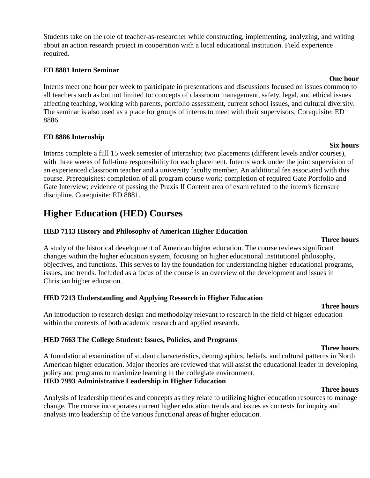Students take on the role of teacher-as-researcher while constructing, implementing, analyzing, and writing about an action research project in cooperation with a local educational institution. Field experience required.

#### **ED 8881 Intern Seminar**

Interns meet one hour per week to participate in presentations and discussions focused on issues common to all teachers such as but not limited to: concepts of classroom management, safety, legal, and ethical issues affecting teaching, working with parents, portfolio assessment, current school issues, and cultural diversity. The seminar is also used as a place for groups of interns to meet with their supervisors. Corequisite: ED 8886.

#### **ED 8886 Internship**

Interns complete a full 15 week semester of internship; two placements (different levels and/or courses), with three weeks of full-time responsibility for each placement. Interns work under the joint supervision of an experienced classroom teacher and a university faculty member. An additional fee associated with this course. Prerequisites: completion of all program course work; completion of required Gate Portfolio and Gate Interview; evidence of passing the Praxis II Content area of exam related to the intern's licensure discipline. Corequisite: ED 8881.

## **Higher Education (HED) Courses**

### **HED 7113 History and Philosophy of American Higher Education**

#### **Three hours**

A study of the historical development of American higher education. The course reviews significant changes within the higher education system, focusing on higher educational institutional philosophy, objectives, and functions. This serves to lay the foundation for understanding higher educational programs, issues, and trends. Included as a focus of the course is an overview of the development and issues in Christian higher education.

#### **HED 7213 Understanding and Applying Research in Higher Education**

#### **Three hours**

An introduction to research design and methodolgy relevant to research in the field of higher education within the contexts of both academic research and applied research.

#### **HED 7663 The College Student: Issues, Policies, and Programs**

#### **Three hours**

A foundational examination of student characteristics, demographics, beliefs, and cultural patterns in North American higher education. Major theories are reviewed that will assist the educational leader in developing policy and programs to maximize learning in the collegiate environment. **HED 7993 Administrative Leadership in Higher Education**

#### **Three hours**

Analysis of leadership theories and concepts as they relate to utilizing higher education resources to manage change. The course incorporates current higher education trends and issues as contexts for inquiry and analysis into leadership of the various functional areas of higher education.

#### **Six hours**

**One hour**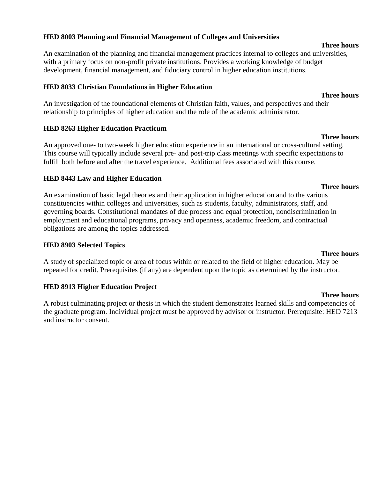### **HED 8003 Planning and Financial Management of Colleges and Universities**

An examination of the planning and financial management practices internal to colleges and universities, with a primary focus on non-profit private institutions. Provides a working knowledge of budget development, financial management, and fiduciary control in higher education institutions.

### **HED 8033 Christian Foundations in Higher Education**

An investigation of the foundational elements of Christian faith, values, and perspectives and their relationship to principles of higher education and the role of the academic administrator.

### **HED 8263 Higher Education Practicum**

An approved one- to two-week higher education experience in an international or cross-cultural setting. This course will typically include several pre- and post-trip class meetings with specific expectations to fulfill both before and after the travel experience. Additional fees associated with this course.

### **HED 8443 Law and Higher Education**

An examination of basic legal theories and their application in higher education and to the various constituencies within colleges and universities, such as students, faculty, administrators, staff, and governing boards. Constitutional mandates of due process and equal protection, nondiscrimination in employment and educational programs, privacy and openness, academic freedom, and contractual obligations are among the topics addressed.

#### **HED 8903 Selected Topics**

#### **Three hours**

A study of specialized topic or area of focus within or related to the field of higher education. May be repeated for credit. Prerequisites (if any) are dependent upon the topic as determined by the instructor.

### **HED 8913 Higher Education Project**

A robust culminating project or thesis in which the student demonstrates learned skills and competencies of the graduate program. Individual project must be approved by advisor or instructor. Prerequisite: HED 7213 and instructor consent.

#### **Three hours**

#### **Three hours**

### **Three hours**

**Three hours**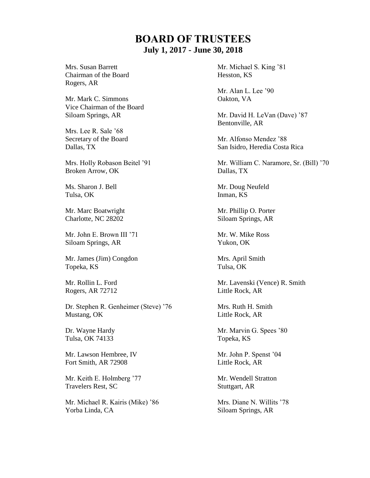## **BOARD OF TRUSTEES July 1, 2017 - June 30, 2018**

Chairman of the Board Hesston, KS Rogers, AR

Mr. Mark C. Simmons Oakton, VA Vice Chairman of the Board

Mrs. Lee R. Sale '68

Broken Arrow, OK Dallas, TX

Tulsa, OK Inman, KS

Mr. Marc Boatwright Mr. Phillip O. Porter Charlotte, NC 28202 Siloam Springs, AR

Mr. John E. Brown III '71 Mr. W. Mike Ross Siloam Springs, AR Yukon, OK

Mr. James (Jim) Congdon Mrs. April Smith Topeka, KS Tulsa, OK

Rogers, AR 72712 Little Rock, AR

Dr. Stephen R. Genheimer (Steve) '76 Mrs. Ruth H. Smith Mustang, OK Little Rock, AR

Tulsa, OK 74133 Topeka, KS

Mr. Lawson Hembree, IV Mr. John P. Spenst '04 Fort Smith, AR 72908 Little Rock, AR

Mr. Keith E. Holmberg '77 Mr. Wendell Stratton Travelers Rest, SC Stuttgart, AR

Mr. Michael R. Kairis (Mike) '86 Mrs. Diane N. Willits '78 Yorba Linda, CA Siloam Springs, AR

Mrs. Susan Barrett Mr. Michael S. King '81

Mr. Alan L. Lee '90

Siloam Springs, AR Mr. David H. LeVan (Dave) '87 Bentonville, AR

Secretary of the Board Mr. Alfonso Mendez '88 Dallas, TX San Isidro, Heredia Costa Rica

Mrs. Holly Robason Beitel '91 Mr. William C. Naramore, Sr. (Bill) '70

Ms. Sharon J. Bell Mr. Doug Neufeld

Mr. Rollin L. Ford Mr. Lavenski (Vence) R. Smith

Dr. Wayne Hardy Mr. Marvin G. Spees '80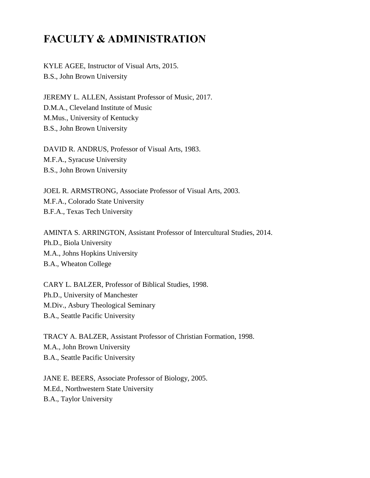## **FACULTY & ADMINISTRATION**

KYLE AGEE, Instructor of Visual Arts, 2015. B.S., John Brown University

JEREMY L. ALLEN, Assistant Professor of Music, 2017. D.M.A., Cleveland Institute of Music M.Mus., University of Kentucky B.S., John Brown University

DAVID R. ANDRUS, Professor of Visual Arts, 1983. M.F.A., Syracuse University B.S., John Brown University

JOEL R. ARMSTRONG, Associate Professor of Visual Arts, 2003. M.F.A., Colorado State University B.F.A., Texas Tech University

AMINTA S. ARRINGTON, Assistant Professor of Intercultural Studies, 2014. Ph.D., Biola University M.A., Johns Hopkins University B.A., Wheaton College

CARY L. BALZER, Professor of Biblical Studies, 1998. Ph.D., University of Manchester M.Div., Asbury Theological Seminary B.A., Seattle Pacific University

TRACY A. BALZER, Assistant Professor of Christian Formation, 1998. M.A., John Brown University B.A., Seattle Pacific University

JANE E. BEERS, Associate Professor of Biology, 2005. M.Ed., Northwestern State University B.A., Taylor University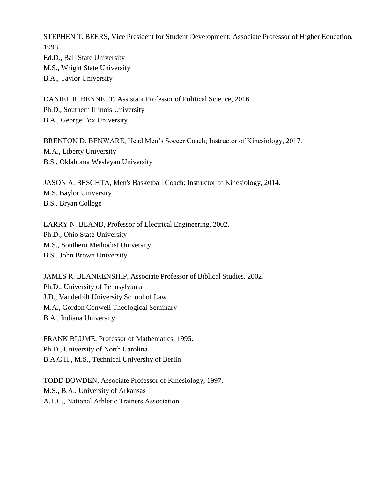STEPHEN T. BEERS, Vice President for Student Development; Associate Professor of Higher Education, 1998.

Ed.D., Ball State University M.S., Wright State University

B.A., Taylor University

DANIEL R. BENNETT, Assistant Professor of Political Science, 2016. Ph.D., Southern Illinois University B.A., George Fox University

BRENTON D. BENWARE, Head Men's Soccer Coach; Instructor of Kinesiology, 2017. M.A., Liberty University B.S., Oklahoma Wesleyan University

JASON A. BESCHTA, Men's Basketball Coach; Instructor of Kinesiology, 2014. M.S. Baylor University B.S., Bryan College

LARRY N. BLAND, Professor of Electrical Engineering, 2002. Ph.D., Ohio State University M.S., Southern Methodist University B.S., John Brown University

JAMES R. BLANKENSHIP, Associate Professor of Biblical Studies, 2002. Ph.D., University of Pennsylvania J.D., Vanderbilt University School of Law M.A., Gordon Conwell Theological Seminary B.A., Indiana University

FRANK BLUME, Professor of Mathematics, 1995. Ph.D., University of North Carolina B.A.C.H., M.S., Technical University of Berlin

TODD BOWDEN, Associate Professor of Kinesiology, 1997. M.S., B.A., University of Arkansas A.T.C., National Athletic Trainers Association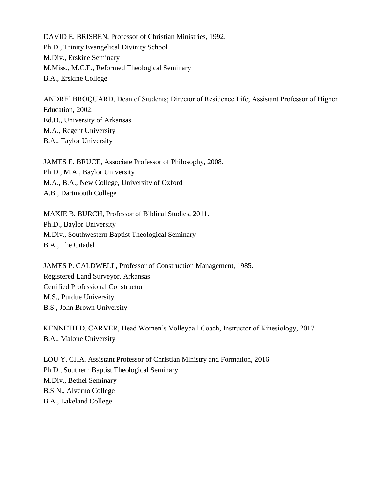DAVID E. BRISBEN, Professor of Christian Ministries, 1992. Ph.D., Trinity Evangelical Divinity School M.Div., Erskine Seminary M.Miss., M.C.E., Reformed Theological Seminary B.A., Erskine College

ANDRE' BROQUARD, Dean of Students; Director of Residence Life; Assistant Professor of Higher Education, 2002. Ed.D., University of Arkansas M.A., Regent University B.A., Taylor University

JAMES E. BRUCE, Associate Professor of Philosophy, 2008. Ph.D., M.A., Baylor University M.A., B.A., New College, University of Oxford A.B., Dartmouth College

MAXIE B. BURCH, Professor of Biblical Studies, 2011. Ph.D., Baylor University M.Div., Southwestern Baptist Theological Seminary B.A., The Citadel

JAMES P. CALDWELL, Professor of Construction Management, 1985. Registered Land Surveyor, Arkansas Certified Professional Constructor M.S., Purdue University B.S., John Brown University

KENNETH D. CARVER, Head Women's Volleyball Coach, Instructor of Kinesiology, 2017. B.A., Malone University

LOU Y. CHA, Assistant Professor of Christian Ministry and Formation, 2016. Ph.D., Southern Baptist Theological Seminary M.Div., Bethel Seminary B.S.N., Alverno College B.A., Lakeland College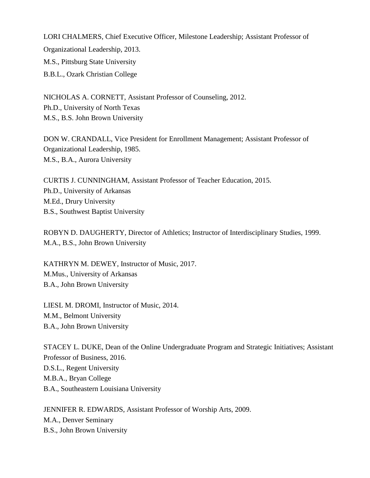LORI CHALMERS, Chief Executive Officer, Milestone Leadership; Assistant Professor of Organizational Leadership, 2013. M.S., Pittsburg State University B.B.L., Ozark Christian College

NICHOLAS A. CORNETT, Assistant Professor of Counseling, 2012. Ph.D., University of North Texas M.S., B.S. John Brown University

DON W. CRANDALL, Vice President for Enrollment Management; Assistant Professor of Organizational Leadership, 1985. M.S., B.A., Aurora University

CURTIS J. CUNNINGHAM, Assistant Professor of Teacher Education, 2015. Ph.D., University of Arkansas M.Ed., Drury University B.S., Southwest Baptist University

ROBYN D. DAUGHERTY, Director of Athletics; Instructor of Interdisciplinary Studies, 1999. M.A., B.S., John Brown University

KATHRYN M. DEWEY, Instructor of Music, 2017. M.Mus., University of Arkansas B.A., John Brown University

LIESL M. DROMI, Instructor of Music, 2014. M.M., Belmont University B.A., John Brown University

STACEY L. DUKE, Dean of the Online Undergraduate Program and Strategic Initiatives; Assistant Professor of Business, 2016. D.S.L., Regent University M.B.A., Bryan College B.A., Southeastern Louisiana University

JENNIFER R. EDWARDS, Assistant Professor of Worship Arts, 2009. M.A., Denver Seminary B.S., John Brown University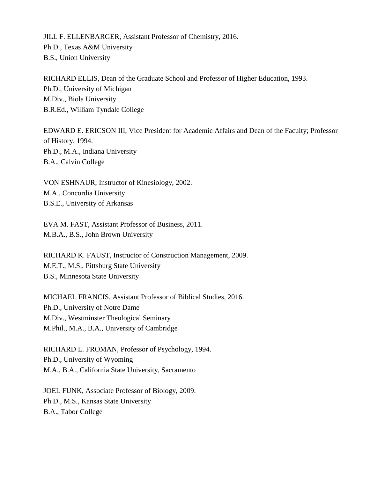JILL F. ELLENBARGER, Assistant Professor of Chemistry, 2016. Ph.D., Texas A&M University B.S., Union University

RICHARD ELLIS, Dean of the Graduate School and Professor of Higher Education, 1993. Ph.D., University of Michigan M.Div., Biola University B.R.Ed., William Tyndale College

EDWARD E. ERICSON III, Vice President for Academic Affairs and Dean of the Faculty; Professor of History, 1994. Ph.D., M.A., Indiana University B.A., Calvin College

VON ESHNAUR, Instructor of Kinesiology, 2002. M.A., Concordia University B.S.E., University of Arkansas

EVA M. FAST, Assistant Professor of Business, 2011. M.B.A., B.S., John Brown University

RICHARD K. FAUST, Instructor of Construction Management, 2009. M.E.T., M.S., Pittsburg State University B.S., Minnesota State University

MICHAEL FRANCIS, Assistant Professor of Biblical Studies, 2016. Ph.D., University of Notre Dame M.Div., Westminster Theological Seminary M.Phil., M.A., B.A., University of Cambridge

RICHARD L. FROMAN, Professor of Psychology, 1994. Ph.D., University of Wyoming M.A., B.A., California State University, Sacramento

JOEL FUNK, Associate Professor of Biology, 2009. Ph.D., M.S., Kansas State University B.A., Tabor College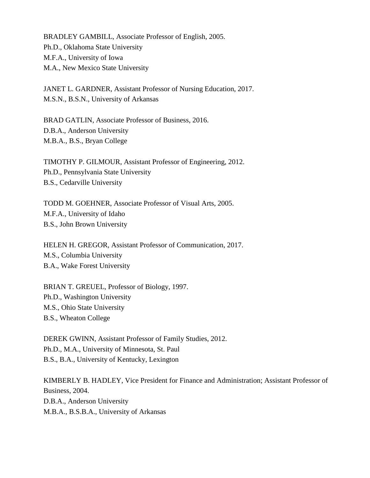BRADLEY GAMBILL, Associate Professor of English, 2005. Ph.D., Oklahoma State University M.F.A., University of Iowa M.A., New Mexico State University

JANET L. GARDNER, Assistant Professor of Nursing Education, 2017. M.S.N., B.S.N., University of Arkansas

BRAD GATLIN, Associate Professor of Business, 2016. D.B.A., Anderson University M.B.A., B.S., Bryan College

TIMOTHY P. GILMOUR, Assistant Professor of Engineering, 2012. Ph.D., Pennsylvania State University B.S., Cedarville University

TODD M. GOEHNER, Associate Professor of Visual Arts, 2005. M.F.A., University of Idaho B.S., John Brown University

HELEN H. GREGOR, Assistant Professor of Communication, 2017. M.S., Columbia University B.A., Wake Forest University

BRIAN T. GREUEL, Professor of Biology, 1997. Ph.D., Washington University M.S., Ohio State University B.S., Wheaton College

DEREK GWINN, Assistant Professor of Family Studies, 2012. Ph.D., M.A., University of Minnesota, St. Paul B.S., B.A., University of Kentucky, Lexington

KIMBERLY B. HADLEY, Vice President for Finance and Administration; Assistant Professor of Business, 2004. D.B.A., Anderson University M.B.A., B.S.B.A., University of Arkansas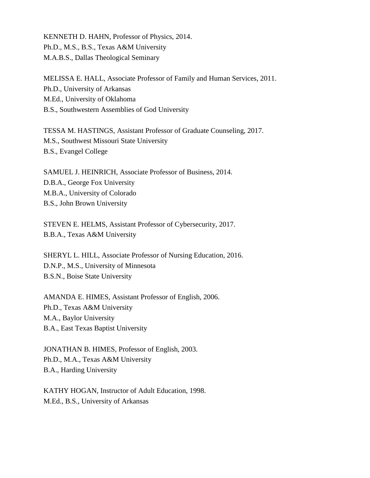KENNETH D. HAHN, Professor of Physics, 2014. Ph.D., M.S., B.S., Texas A&M University M.A.B.S., Dallas Theological Seminary

MELISSA E. HALL, Associate Professor of Family and Human Services, 2011. Ph.D., University of Arkansas M.Ed., University of Oklahoma B.S., Southwestern Assemblies of God University

TESSA M. HASTINGS, Assistant Professor of Graduate Counseling, 2017. M.S., Southwest Missouri State University B.S., Evangel College

SAMUEL J. HEINRICH, Associate Professor of Business, 2014. D.B.A., George Fox University M.B.A., University of Colorado B.S., John Brown University

STEVEN E. HELMS, Assistant Professor of Cybersecurity, 2017. B.B.A., Texas A&M University

SHERYL L. HILL, Associate Professor of Nursing Education, 2016. D.N.P., M.S., University of Minnesota B.S.N., Boise State University

AMANDA E. HIMES, Assistant Professor of English, 2006. Ph.D., Texas A&M University M.A., Baylor University B.A., East Texas Baptist University

JONATHAN B. HIMES, Professor of English, 2003. Ph.D., M.A., Texas A&M University B.A., Harding University

KATHY HOGAN, Instructor of Adult Education, 1998. M.Ed., B.S., University of Arkansas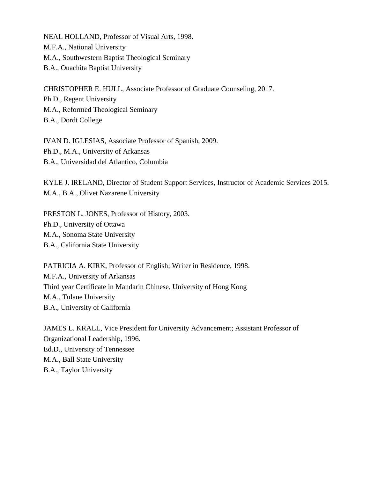NEAL HOLLAND, Professor of Visual Arts, 1998. M.F.A., National University M.A., Southwestern Baptist Theological Seminary B.A., Ouachita Baptist University

CHRISTOPHER E. HULL, Associate Professor of Graduate Counseling, 2017. Ph.D., Regent University M.A., Reformed Theological Seminary B.A., Dordt College

IVAN D. IGLESIAS, Associate Professor of Spanish, 2009. Ph.D., M.A., University of Arkansas B.A., Universidad del Atlantico, Columbia

KYLE J. IRELAND, Director of Student Support Services, Instructor of Academic Services 2015. M.A., B.A., Olivet Nazarene University

PRESTON L. JONES, Professor of History, 2003. Ph.D., University of Ottawa M.A., Sonoma State University B.A., California State University

PATRICIA A. KIRK, Professor of English; Writer in Residence, 1998. M.F.A., University of Arkansas Third year Certificate in Mandarin Chinese, University of Hong Kong M.A., Tulane University B.A., University of California

JAMES L. KRALL, Vice President for University Advancement; Assistant Professor of Organizational Leadership, 1996. Ed.D., University of Tennessee M.A., Ball State University B.A., Taylor University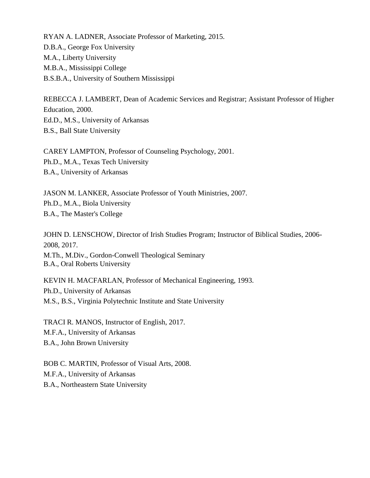RYAN A. LADNER, Associate Professor of Marketing, 2015. D.B.A., George Fox University M.A., Liberty University M.B.A., Mississippi College B.S.B.A., University of Southern Mississippi

REBECCA J. LAMBERT, Dean of Academic Services and Registrar; Assistant Professor of Higher Education, 2000. Ed.D., M.S., University of Arkansas B.S., Ball State University

CAREY LAMPTON, Professor of Counseling Psychology, 2001. Ph.D., M.A., Texas Tech University B.A., University of Arkansas

JASON M. LANKER, Associate Professor of Youth Ministries, 2007. Ph.D., M.A., Biola University B.A., The Master's College

JOHN D. LENSCHOW, Director of Irish Studies Program; Instructor of Biblical Studies, 2006- 2008, 2017. M.Th., M.Div., Gordon-Conwell Theological Seminary B.A., Oral Roberts University

KEVIN H. MACFARLAN, Professor of Mechanical Engineering, 1993. Ph.D., University of Arkansas M.S., B.S., Virginia Polytechnic Institute and State University

TRACI R. MANOS, Instructor of English, 2017. M.F.A., University of Arkansas B.A., John Brown University

BOB C. MARTIN, Professor of Visual Arts, 2008. M.F.A., University of Arkansas B.A., Northeastern State University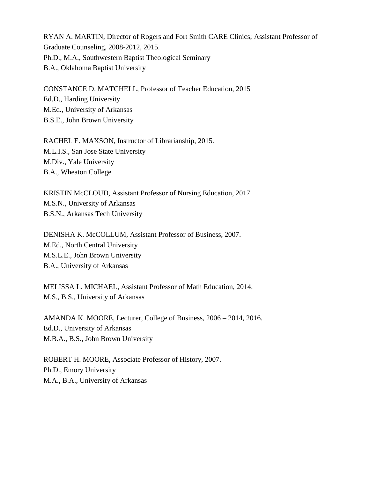RYAN A. MARTIN, Director of Rogers and Fort Smith CARE Clinics; Assistant Professor of Graduate Counseling, 2008-2012, 2015. Ph.D., M.A., Southwestern Baptist Theological Seminary B.A., Oklahoma Baptist University

CONSTANCE D. MATCHELL, Professor of Teacher Education, 2015 Ed.D., Harding University M.Ed., University of Arkansas B.S.E., John Brown University

RACHEL E. MAXSON, Instructor of Librarianship, 2015. M.L.I.S., San Jose State University M.Div., Yale University B.A., Wheaton College

KRISTIN McCLOUD, Assistant Professor of Nursing Education, 2017. M.S.N., University of Arkansas B.S.N., Arkansas Tech University

DENISHA K. McCOLLUM, Assistant Professor of Business, 2007. M.Ed., North Central University M.S.L.E., John Brown University B.A., University of Arkansas

MELISSA L. MICHAEL, Assistant Professor of Math Education, 2014. M.S., B.S., University of Arkansas

AMANDA K. MOORE, Lecturer, College of Business, 2006 – 2014, 2016. Ed.D., University of Arkansas M.B.A., B.S., John Brown University

ROBERT H. MOORE, Associate Professor of History, 2007. Ph.D., Emory University M.A., B.A., University of Arkansas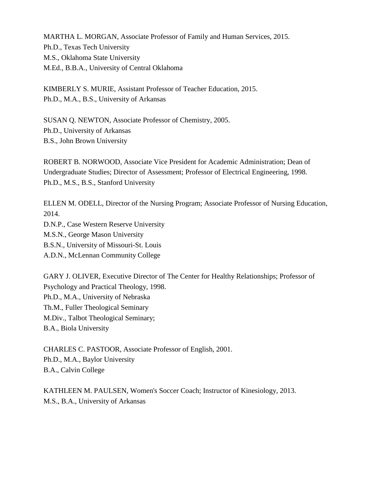MARTHA L. MORGAN, Associate Professor of Family and Human Services, 2015. Ph.D., Texas Tech University M.S., Oklahoma State University M.Ed., B.B.A., University of Central Oklahoma

KIMBERLY S. MURIE, Assistant Professor of Teacher Education, 2015. Ph.D., M.A., B.S., University of Arkansas

SUSAN Q. NEWTON, Associate Professor of Chemistry, 2005. Ph.D., University of Arkansas B.S., John Brown University

ROBERT B. NORWOOD, Associate Vice President for Academic Administration; Dean of Undergraduate Studies; Director of Assessment; Professor of Electrical Engineering, 1998. Ph.D., M.S., B.S., Stanford University

ELLEN M. ODELL, Director of the Nursing Program; Associate Professor of Nursing Education, 2014.

D.N.P., Case Western Reserve University M.S.N., George Mason University B.S.N., University of Missouri-St. Louis A.D.N., McLennan Community College

GARY J. OLIVER, Executive Director of The Center for Healthy Relationships; Professor of Psychology and Practical Theology, 1998. Ph.D., M.A., University of Nebraska Th.M., Fuller Theological Seminary M.Div., Talbot Theological Seminary; B.A., Biola University

CHARLES C. PASTOOR, Associate Professor of English, 2001. Ph.D., M.A., Baylor University B.A., Calvin College

KATHLEEN M. PAULSEN, Women's Soccer Coach; Instructor of Kinesiology, 2013. M.S., B.A., University of Arkansas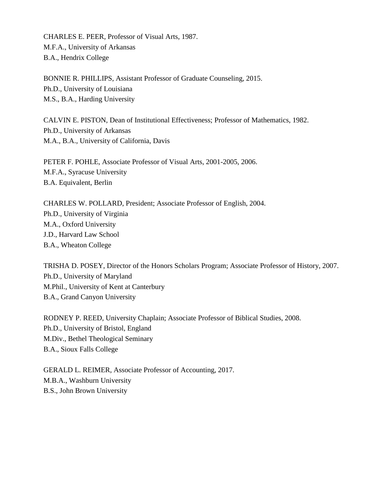CHARLES E. PEER, Professor of Visual Arts, 1987. M.F.A., University of Arkansas B.A., Hendrix College

BONNIE R. PHILLIPS, Assistant Professor of Graduate Counseling, 2015. Ph.D., University of Louisiana M.S., B.A., Harding University

CALVIN E. PISTON, Dean of Institutional Effectiveness; Professor of Mathematics, 1982. Ph.D., University of Arkansas M.A., B.A., University of California, Davis

PETER F. POHLE, Associate Professor of Visual Arts, 2001-2005, 2006. M.F.A., Syracuse University B.A. Equivalent, Berlin

CHARLES W. POLLARD, President; Associate Professor of English, 2004. Ph.D., University of Virginia M.A., Oxford University J.D., Harvard Law School B.A., Wheaton College

TRISHA D. POSEY, Director of the Honors Scholars Program; Associate Professor of History, 2007. Ph.D., University of Maryland M.Phil., University of Kent at Canterbury B.A., Grand Canyon University

RODNEY P. REED, University Chaplain; Associate Professor of Biblical Studies, 2008. Ph.D., University of Bristol, England M.Div., Bethel Theological Seminary B.A., Sioux Falls College

GERALD L. REIMER, Associate Professor of Accounting, 2017. M.B.A., Washburn University B.S., John Brown University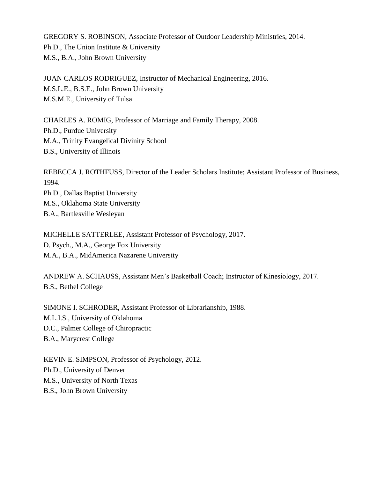GREGORY S. ROBINSON, Associate Professor of Outdoor Leadership Ministries, 2014. Ph.D., The Union Institute & University M.S., B.A., John Brown University

JUAN CARLOS RODRIGUEZ, Instructor of Mechanical Engineering, 2016. M.S.L.E., B.S.E., John Brown University M.S.M.E., University of Tulsa

CHARLES A. ROMIG, Professor of Marriage and Family Therapy, 2008. Ph.D., Purdue University M.A., Trinity Evangelical Divinity School B.S., University of Illinois

REBECCA J. ROTHFUSS, Director of the Leader Scholars Institute; Assistant Professor of Business, 1994. Ph.D., Dallas Baptist University

M.S., Oklahoma State University B.A., Bartlesville Wesleyan

MICHELLE SATTERLEE, Assistant Professor of Psychology, 2017. D. Psych., M.A., George Fox University M.A., B.A., MidAmerica Nazarene University

ANDREW A. SCHAUSS, Assistant Men's Basketball Coach; Instructor of Kinesiology, 2017. B.S., Bethel College

SIMONE I. SCHRODER, Assistant Professor of Librarianship, 1988. M.L.I.S., University of Oklahoma D.C., Palmer College of Chiropractic B.A., Marycrest College

KEVIN E. SIMPSON, Professor of Psychology, 2012. Ph.D., University of Denver M.S., University of North Texas B.S., John Brown University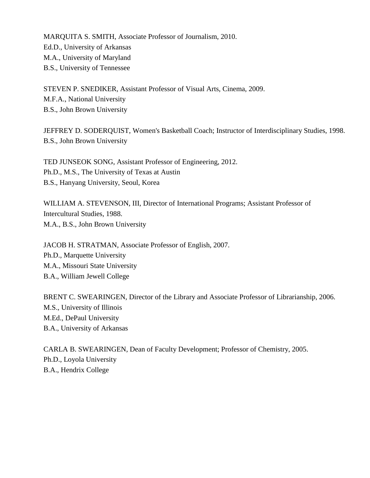MARQUITA S. SMITH, Associate Professor of Journalism, 2010. Ed.D., University of Arkansas M.A., University of Maryland B.S., University of Tennessee

STEVEN P. SNEDIKER, Assistant Professor of Visual Arts, Cinema, 2009. M.F.A., National University B.S., John Brown University

JEFFREY D. SODERQUIST, Women's Basketball Coach; Instructor of Interdisciplinary Studies, 1998. B.S., John Brown University

TED JUNSEOK SONG, Assistant Professor of Engineering, 2012. Ph.D., M.S., The University of Texas at Austin B.S., Hanyang University, Seoul, Korea

WILLIAM A. STEVENSON, III, Director of International Programs; Assistant Professor of Intercultural Studies, 1988. M.A., B.S., John Brown University

JACOB H. STRATMAN, Associate Professor of English, 2007. Ph.D., Marquette University M.A., Missouri State University B.A., William Jewell College

BRENT C. SWEARINGEN, Director of the Library and Associate Professor of Librarianship, 2006. M.S., University of Illinois M.Ed., DePaul University B.A., University of Arkansas

CARLA B. SWEARINGEN, Dean of Faculty Development; Professor of Chemistry, 2005. Ph.D., Loyola University B.A., Hendrix College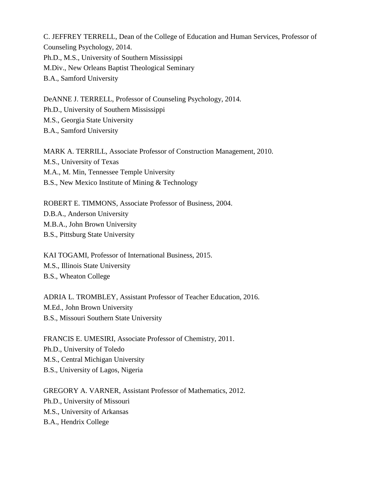C. JEFFREY TERRELL, Dean of the College of Education and Human Services, Professor of Counseling Psychology, 2014. Ph.D., M.S., University of Southern Mississippi M.Div., New Orleans Baptist Theological Seminary B.A., Samford University

DeANNE J. TERRELL, Professor of Counseling Psychology, 2014. Ph.D., University of Southern Mississippi M.S., Georgia State University B.A., Samford University

MARK A. TERRILL, Associate Professor of Construction Management, 2010. M.S., University of Texas M.A., M. Min, Tennessee Temple University B.S., New Mexico Institute of Mining & Technology

ROBERT E. TIMMONS, Associate Professor of Business, 2004. D.B.A., Anderson University M.B.A., John Brown University B.S., Pittsburg State University

KAI TOGAMI, Professor of International Business, 2015. M.S., Illinois State University B.S., Wheaton College

ADRIA L. TROMBLEY, Assistant Professor of Teacher Education, 2016. M.Ed., John Brown University B.S., Missouri Southern State University

FRANCIS E. UMESIRI, Associate Professor of Chemistry, 2011. Ph.D., University of Toledo M.S., Central Michigan University B.S., University of Lagos, Nigeria

GREGORY A. VARNER, Assistant Professor of Mathematics, 2012. Ph.D., University of Missouri M.S., University of Arkansas B.A., Hendrix College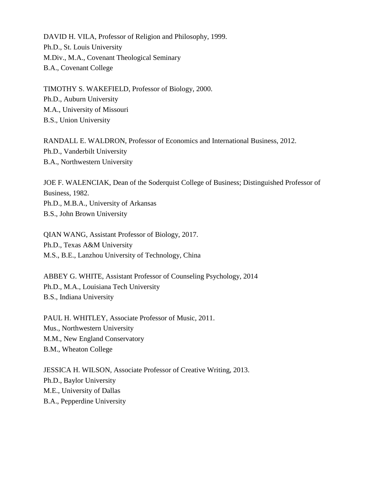DAVID H. VILA, Professor of Religion and Philosophy, 1999. Ph.D., St. Louis University M.Div., M.A., Covenant Theological Seminary B.A., Covenant College

TIMOTHY S. WAKEFIELD, Professor of Biology, 2000. Ph.D., Auburn University M.A., University of Missouri B.S., Union University

RANDALL E. WALDRON, Professor of Economics and International Business, 2012. Ph.D., Vanderbilt University B.A., Northwestern University

JOE F. WALENCIAK, Dean of the Soderquist College of Business; Distinguished Professor of Business, 1982. Ph.D., M.B.A., University of Arkansas B.S., John Brown University

QIAN WANG, Assistant Professor of Biology, 2017. Ph.D., Texas A&M University M.S., B.E., Lanzhou University of Technology, China

ABBEY G. WHITE, Assistant Professor of Counseling Psychology, 2014 Ph.D., M.A., Louisiana Tech University B.S., Indiana University

PAUL H. WHITLEY, Associate Professor of Music, 2011. Mus., Northwestern University M.M., New England Conservatory B.M., Wheaton College

JESSICA H. WILSON, Associate Professor of Creative Writing, 2013. Ph.D., Baylor University M.E., University of Dallas B.A., Pepperdine University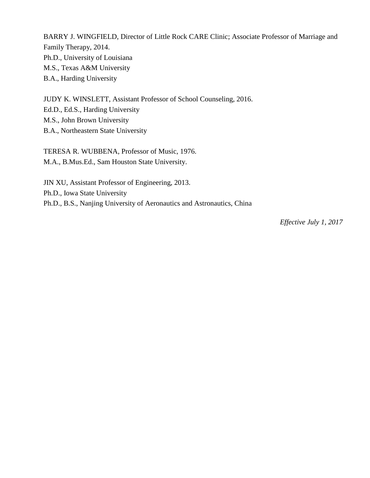BARRY J. WINGFIELD, Director of Little Rock CARE Clinic; Associate Professor of Marriage and Family Therapy, 2014. Ph.D., University of Louisiana M.S., Texas A&M University B.A., Harding University

JUDY K. WINSLETT, Assistant Professor of School Counseling, 2016. Ed.D., Ed.S., Harding University M.S., John Brown University B.A., Northeastern State University

TERESA R. WUBBENA, Professor of Music, 1976. M.A., B.Mus.Ed., Sam Houston State University.

JIN XU, Assistant Professor of Engineering, 2013. Ph.D., Iowa State University Ph.D., B.S., Nanjing University of Aeronautics and Astronautics, China

*Effective July 1, 2017*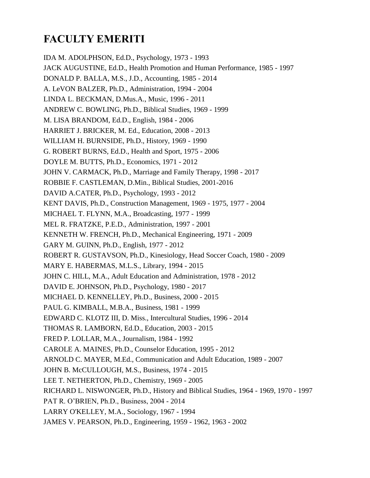## **FACULTY EMERITI**

IDA M. ADOLPHSON, Ed.D., Psychology, 1973 - 1993 JACK AUGUSTINE, Ed.D., Health Promotion and Human Performance, 1985 - 1997 DONALD P. BALLA, M.S., J.D., Accounting, 1985 - 2014 A. LeVON BALZER, Ph.D., Administration, 1994 - 2004 LINDA L. BECKMAN, D.Mus.A., Music, 1996 - 2011 ANDREW C. BOWLING, Ph.D., Biblical Studies, 1969 - 1999 M. LISA BRANDOM, Ed.D., English, 1984 - 2006 HARRIET J. BRICKER, M. Ed., Education, 2008 - 2013 WILLIAM H. BURNSIDE, Ph.D., History, 1969 - 1990 G. ROBERT BURNS, Ed.D., Health and Sport, 1975 - 2006 DOYLE M. BUTTS, Ph.D., Economics, 1971 - 2012 JOHN V. CARMACK, Ph.D., Marriage and Family Therapy, 1998 - 2017 ROBBIE F. CASTLEMAN, D.Min., Biblical Studies, 2001-2016 DAVID A.CATER, Ph.D., Psychology, 1993 - 2012 KENT DAVIS, Ph.D., Construction Management, 1969 - 1975, 1977 - 2004 MICHAEL T. FLYNN, M.A., Broadcasting, 1977 - 1999 MEL R. FRATZKE, P.E.D., Administration, 1997 - 2001 KENNETH W. FRENCH, Ph.D., Mechanical Engineering, 1971 - 2009 GARY M. GUINN, Ph.D., English, 1977 - 2012 ROBERT R. GUSTAVSON, Ph.D., Kinesiology, Head Soccer Coach, 1980 - 2009 MARY E. HABERMAS, M.L.S., Library, 1994 - 2015 JOHN C. HILL, M.A., Adult Education and Administration, 1978 - 2012 DAVID E. JOHNSON, Ph.D., Psychology, 1980 - 2017 MICHAEL D. KENNELLEY, Ph.D., Business, 2000 - 2015 PAUL G. KIMBALL, M.B.A., Business, 1981 - 1999 EDWARD C. KLOTZ III, D. Miss., Intercultural Studies, 1996 - 2014 THOMAS R. LAMBORN, Ed.D., Education, 2003 - 2015 FRED P. LOLLAR, M.A., Journalism, 1984 - 1992 CAROLE A. MAINES, Ph.D., Counselor Education, 1995 - 2012 ARNOLD C. MAYER, M.Ed., Communication and Adult Education, 1989 - 2007 JOHN B. McCULLOUGH, M.S., Business, 1974 - 2015 LEE T. NETHERTON, Ph.D., Chemistry, 1969 - 2005 RICHARD L. NISWONGER, Ph.D., History and Biblical Studies, 1964 - 1969, 1970 - 1997 PAT R. O'BRIEN, Ph.D., Business, 2004 - 2014 LARRY O'KELLEY, M.A., Sociology, 1967 - 1994 JAMES V. PEARSON, Ph.D., Engineering, 1959 - 1962, 1963 - 2002